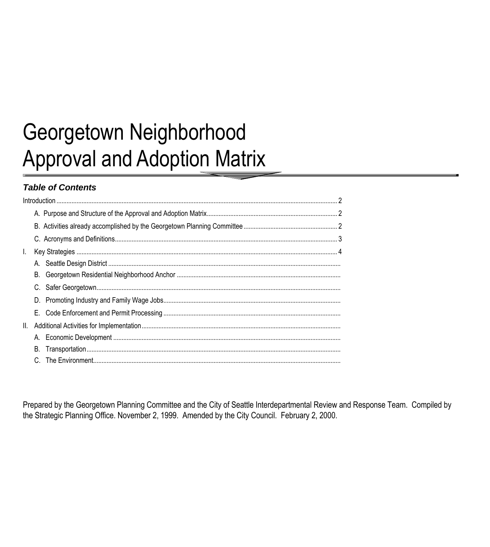# Georgetown Neighborhood **Approval and Adoption Matrix**

# **Table of Contents**

| L.              |    |  |
|-----------------|----|--|
|                 |    |  |
|                 |    |  |
|                 |    |  |
|                 |    |  |
|                 |    |  |
| $\mathbf{II}$ . |    |  |
|                 |    |  |
|                 | В. |  |
|                 | C. |  |

Prepared by the Georgetown Planning Committee and the City of Seattle Interdepartmental Review and Response Team. Compiled by the Strategic Planning Office. November 2, 1999. Amended by the City Council. February 2, 2000.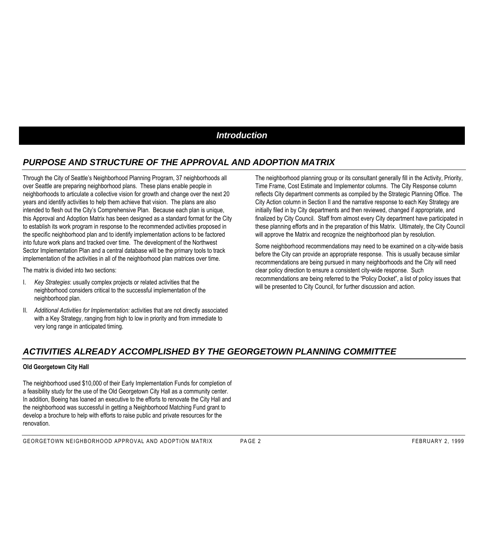## *Introduction*

## *PURPOSE AND STRUCTURE OF THE APPROVAL AND ADOPTION MATRIX*

Through the City of Seattle's Neighborhood Planning Program, 37 neighborhoods all over Seattle are preparing neighborhood plans. These plans enable people in neighborhoods to articulate a collective vision for growth and change over the next 20 years and identify activities to help them achieve that vision. The plans are also intended to flesh out the City's Comprehensive Plan. Because each plan is unique, this Approval and Adoption Matrix has been designed as a standard format for the City to establish its work program in response to the recommended activities proposed in the specific neighborhood plan and to identify implementation actions to be factored into future work plans and tracked over time. The development of the Northwest Sector Implementation Plan and a central database will be the primary tools to track implementation of the activities in all of the neighborhood plan matrices over time.

The matrix is divided into two sections:

- I. *Key Strategies*: usually complex projects or related activities that the neighborhood considers critical to the successful implementation of the neighborhood plan.
- II. *Additional Activities for Implementation:* activities that are not directly associated with a Key Strategy, ranging from high to low in priority and from immediate to very long range in anticipated timing.

The neighborhood planning group or its consultant generally fill in the Activity, Priority, Time Frame, Cost Estimate and Implementor columns. The City Response column reflects City department comments as compiled by the Strategic Planning Office. The City Action column in Section II and the narrative response to each Key Strategy are initially filed in by City departments and then reviewed, changed if appropriate, and finalized by City Council. Staff from almost every City department have participated in these planning efforts and in the preparation of this Matrix. Ultimately, the City Council will approve the Matrix and recognize the neighborhood plan by resolution.

Some neighborhood recommendations may need to be examined on a city-wide basis before the City can provide an appropriate response. This is usually because similar recommendations are being pursued in many neighborhoods and the City will need clear policy direction to ensure a consistent city-wide response. Such recommendations are being referred to the "Policy Docket", a list of policy issues that will be presented to City Council, for further discussion and action.

## *ACTIVITIES ALREADY ACCOMPLISHED BY THE GEORGETOWN PLANNING COMMITTEE*

#### **Old Georgetown City Hall**

The neighborhood used \$10,000 of their Early Implementation Funds for completion of a feasibility study for the use of the Old Georgetown City Hall as a community center. In addition, Boeing has loaned an executive to the efforts to renovate the City Hall and the neighborhood was successful in getting a Neighborhood Matching Fund grant to develop a brochure to help with efforts to raise public and private resources for the renovation.

GEORGETOWN NEIGHBORHOOD APPROVAL AND ADOPTION MATRIX PAGE 2 FEBRUARY 2, 1999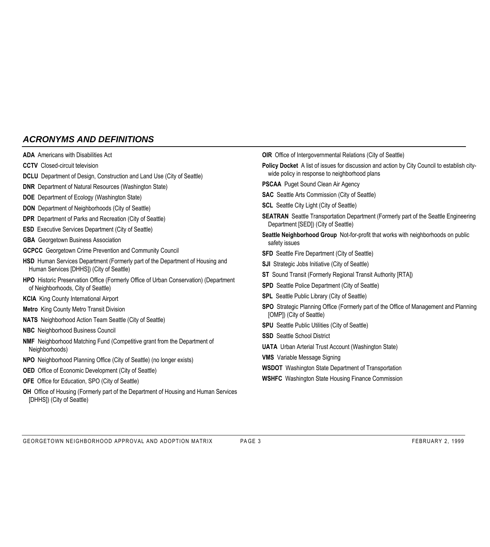## *ACRONYMS AND DEFINITIONS*

- **ADA** Americans with Disabilities Act
- **CCTV** Closed-circuit television
- **DCLU** Department of Design, Construction and Land Use (City of Seattle)
- **DNR** Department of Natural Resources (Washington State)
- **DOE** Department of Ecology (Washington State)
- **DON** Department of Neighborhoods (City of Seattle)
- **DPR** Department of Parks and Recreation (City of Seattle)
- **ESD** Executive Services Department (City of Seattle)
- **GBA** Georgetown Business Association
- **GCPCC** Georgetown Crime Prevention and Community Council
- **HSD** Human Services Department (Formerly part of the Department of Housing and Human Services [DHHS]) (City of Seattle)
- **HPO** Historic Preservation Office (Formerly Office of Urban Conservation) (Department of Neighborhoods, City of Seattle)
- **KCIA** King County International Airport
- **Metro** King County Metro Transit Division
- **NATS** Neighborhood Action Team Seattle (City of Seattle)
- **NBC** Neighborhood Business Council
- **NMF** Neighborhood Matching Fund (Competitive grant from the Department of Neighborhoods)
- **NPO** Neighborhood Planning Office (City of Seattle) (no longer exists)
- **OED** Office of Economic Development (City of Seattle)
- **OFE** Office for Education, SPO (City of Seattle)
- **OH** Office of Housing (Formerly part of the Department of Housing and Human Services [DHHS]) (City of Seattle)
- **OIR** Office of Intergovernmental Relations (City of Seattle)
- **Policy Docket** A list of issues for discussion and action by City Council to establish citywide policy in response to neighborhood plans
- **PSCAA** Puget Sound Clean Air Agency
- **SAC** Seattle Arts Commission (City of Seattle)
- **SCL** Seattle City Light (City of Seattle)
- **SEATRAN** Seattle Transportation Department (Formerly part of the Seattle Engineering Department [SED]) (City of Seattle)
- **Seattle Neighborhood Group** Not-for-profit that works with neighborhoods on public safety issues
- **SFD** Seattle Fire Department (City of Seattle)
- **SJI** Strategic Jobs Initiative (City of Seattle)
- **ST** Sound Transit (Formerly Regional Transit Authority [RTA])
- **SPD** Seattle Police Department (City of Seattle)
- **SPL** Seattle Public Library (City of Seattle)
- **SPO** Strategic Planning Office (Formerly part of the Office of Management and Planning [OMP]) (City of Seattle)
- **SPU** Seattle Public Utilities (City of Seattle)
- **SSD** Seattle School District
- **UATA** Urban Arterial Trust Account (Washington State)
- **VMS** Variable Message Signing
- **WSDOT** Washington State Department of Transportation
- **WSHFC** Washington State Housing Finance Commission

GEORGETOWN NEIGHBORHOOD APPROVAL AND ADOPTION MATRIX PAGE 3 FEBRUARY 2, 1999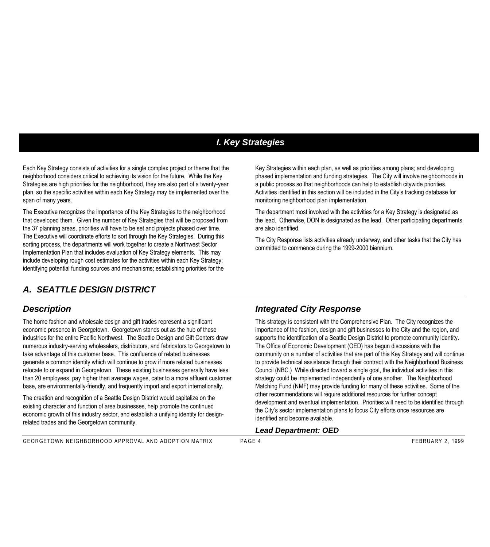# *I. Key Strategies*

Each Key Strategy consists of activities for a single complex project or theme that the neighborhood considers critical to achieving its vision for the future. While the Key Strategies are high priorities for the neighborhood, they are also part of a twenty-year plan, so the specific activities within each Key Strategy may be implemented over the span of many years.

The Executive recognizes the importance of the Key Strategies to the neighborhood that developed them. Given the number of Key Strategies that will be proposed from the 37 planning areas, priorities will have to be set and projects phased over time. The Executive will coordinate efforts to sort through the Key Strategies. During this sorting process, the departments will work together to create a Northwest Sector Implementation Plan that includes evaluation of Key Strategy elements. This may include developing rough cost estimates for the activities within each Key Strategy; identifying potential funding sources and mechanisms; establishing priorities for the

## *A. SEATTLE DESIGN DISTRICT*

## *Description*

The home fashion and wholesale design and gift trades represent a significant economic presence in Georgetown. Georgetown stands out as the hub of these industries for the entire Pacific Northwest. The Seattle Design and Gift Centers draw numerous industry-serving wholesalers, distributors, and fabricators to Georgetown to take advantage of this customer base. This confluence of related businesses generate a common identity which will continue to grow if more related businesses relocate to or expand in Georgetown. These existing businesses generally have less than 20 employees, pay higher than average wages, cater to a more affluent customer base, are environmentally-friendly, and frequently import and export internationally.

The creation and recognition of a Seattle Design District would capitalize on the existing character and function of area businesses, help promote the continued economic growth of this industry sector, and establish a unifying identity for designrelated trades and the Georgetown community.

Key Strategies within each plan, as well as priorities among plans; and developing phased implementation and funding strategies. The City will involve neighborhoods in a public process so that neighborhoods can help to establish citywide priorities. Activities identified in this section will be included in the City's tracking database for monitoring neighborhood plan implementation.

The department most involved with the activities for a Key Strategy is designated as the lead. Otherwise, DON is designated as the lead. Other participating departments are also identified.

The City Response lists activities already underway, and other tasks that the City has committed to commence during the 1999-2000 biennium.

## *Integrated City Response*

This strategy is consistent with the Comprehensive Plan. The City recognizes the importance of the fashion, design and gift businesses to the City and the region, and supports the identification of a Seattle Design District to promote community identity. The Office of Economic Development (OED) has begun discussions with the community on a number of activities that are part of this Key Strategy and will continue to provide technical assistance through their contract with the Neighborhood Business Council (NBC.) While directed toward a single goal, the individual activities in this strategy could be implemented independently of one another. The Neighborhood Matching Fund (NMF) may provide funding for many of these activities. Some of the other recommendations will require additional resources for further concept development and eventual implementation. Priorities will need to be identified through the City's sector implementation plans to focus City efforts once resources are identified and become available.

#### *Lead Department: OED*

GEORGETOWN NEIGHBORHOOD APPROVAL AND ADOPTION MATRIX PAGE 4 FEBRUARY 2, 1999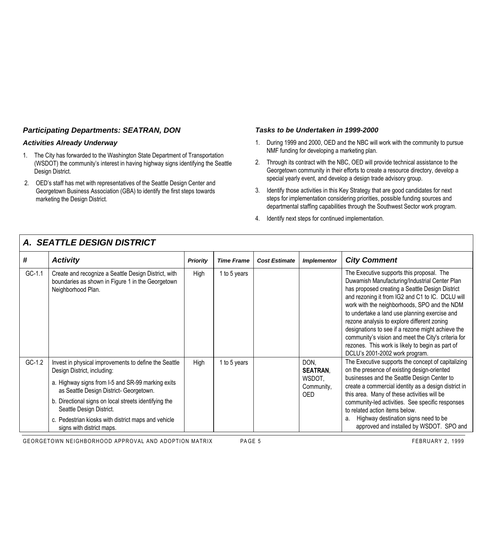## *Participating Departments: SEATRAN, DON*

#### *Activities Already Underway*

- 1. The City has forwarded to the Washington State Department of Transportation (WSDOT) the community's interest in having highway signs identifying the Seattle Design District.
- 2. OED's staff has met with representatives of the Seattle Design Center and Georgetown Business Association (GBA) to identify the first steps towards marketing the Design District.

#### *Tasks to be Undertaken in 1999-2000*

- 1. During 1999 and 2000, OED and the NBC will work with the community to pursue NMF funding for developing a marketing plan.
- 2. Through its contract with the NBC, OED will provide technical assistance to the Georgetown community in their efforts to create a resource directory, develop a special yearly event, and develop a design trade advisory group.
- 3. Identify those activities in this Key Strategy that are good candidates for next steps for implementation considering priorities, possible funding sources and departmental staffing capabilities through the Southwest Sector work program.
- 4. Identify next steps for continued implementation.

|          | A, ULATILL DLUIUN DIUTINUT                                                                                                      |                                                                                                     |                                                      |                      |                    |                                                                                                                                                                                                                                                                                                                                                                                                                                                                                                                                                     |  |  |  |  |  |                                   |                                                                                                                                                  |
|----------|---------------------------------------------------------------------------------------------------------------------------------|-----------------------------------------------------------------------------------------------------|------------------------------------------------------|----------------------|--------------------|-----------------------------------------------------------------------------------------------------------------------------------------------------------------------------------------------------------------------------------------------------------------------------------------------------------------------------------------------------------------------------------------------------------------------------------------------------------------------------------------------------------------------------------------------------|--|--|--|--|--|-----------------------------------|--------------------------------------------------------------------------------------------------------------------------------------------------|
| #        | <b>Activity</b>                                                                                                                 | <b>Priority</b>                                                                                     | <b>Time Frame</b>                                    | <b>Cost Estimate</b> | <b>Implementor</b> | <b>City Comment</b>                                                                                                                                                                                                                                                                                                                                                                                                                                                                                                                                 |  |  |  |  |  |                                   |                                                                                                                                                  |
| $GC-1.1$ | Create and recognize a Seattle Design District, with<br>boundaries as shown in Figure 1 in the Georgetown<br>Neighborhood Plan. | High                                                                                                | 1 to 5 years                                         |                      |                    | The Executive supports this proposal. The<br>Duwamish Manufacturing/Industrial Center Plan<br>has proposed creating a Seattle Design District<br>and rezoning it from IG2 and C1 to IC. DCLU will<br>work with the neighborhoods, SPO and the NDM<br>to undertake a land use planning exercise and<br>rezone analysis to explore different zoning<br>designations to see if a rezone might achieve the<br>community's vision and meet the City's criteria for<br>rezones. This work is likely to begin as part of<br>DCLU's 2001-2002 work program. |  |  |  |  |  |                                   |                                                                                                                                                  |
| $GC-1.2$ | Invest in physical improvements to define the Seattle<br>Design District, including:                                            | High                                                                                                | 1 to 5 years                                         |                      |                    |                                                                                                                                                                                                                                                                                                                                                                                                                                                                                                                                                     |  |  |  |  |  | DON.<br><b>SEATRAN.</b><br>WSDOT, | The Executive supports the concept of capitalizing<br>on the presence of existing design-oriented<br>businesses and the Seattle Design Center to |
|          | a. Highway signs from I-5 and SR-99 marking exits<br>as Seattle Design District- Georgetown.                                    | Community,<br>this area. Many of these activities will be<br>OED.<br>to related action items below. | create a commercial identity as a design district in |                      |                    |                                                                                                                                                                                                                                                                                                                                                                                                                                                                                                                                                     |  |  |  |  |  |                                   |                                                                                                                                                  |
|          | b. Directional signs on local streets identifying the<br>Seattle Design District.                                               |                                                                                                     | community-led activities. See specific responses     |                      |                    |                                                                                                                                                                                                                                                                                                                                                                                                                                                                                                                                                     |  |  |  |  |  |                                   |                                                                                                                                                  |
|          | c. Pedestrian kiosks with district maps and vehicle<br>signs with district maps.                                                |                                                                                                     |                                                      |                      |                    | Highway destination signs need to be<br>а.<br>approved and installed by WSDOT. SPO and                                                                                                                                                                                                                                                                                                                                                                                                                                                              |  |  |  |  |  |                                   |                                                                                                                                                  |

*A. SEATTLE DESIGN DISTRICT*

GEORGETOWN NEIGHBORHOOD APPROVAL AND ADOPTION MATRIX PAGE 5 FEBRUARY 2, 1999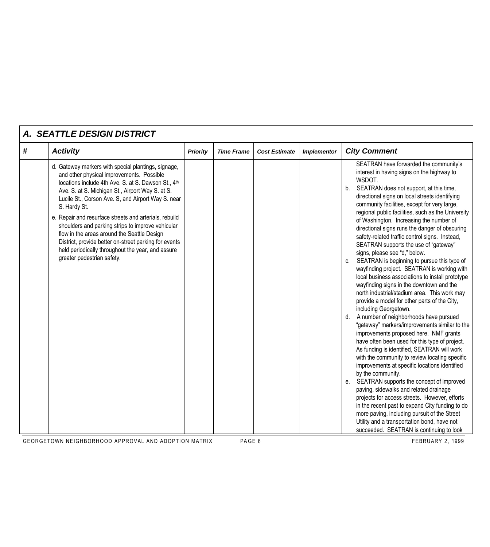|   | <b>A. SEATTLE DESIGN DISTRICT</b>                                                                                                                                                                                                                                                                                                                                                                                                                                                                                                                                                           |                 |                   |                      |                    |                                                                                                                                                                                                                                                                                                                                                                                                                                                                                                                                                                                                                                                                                                                                                                                                                                                                                                                                                                                                                                                                                                                                                                                                                                                                                                                                                                                                                                                                                                                                                                        |
|---|---------------------------------------------------------------------------------------------------------------------------------------------------------------------------------------------------------------------------------------------------------------------------------------------------------------------------------------------------------------------------------------------------------------------------------------------------------------------------------------------------------------------------------------------------------------------------------------------|-----------------|-------------------|----------------------|--------------------|------------------------------------------------------------------------------------------------------------------------------------------------------------------------------------------------------------------------------------------------------------------------------------------------------------------------------------------------------------------------------------------------------------------------------------------------------------------------------------------------------------------------------------------------------------------------------------------------------------------------------------------------------------------------------------------------------------------------------------------------------------------------------------------------------------------------------------------------------------------------------------------------------------------------------------------------------------------------------------------------------------------------------------------------------------------------------------------------------------------------------------------------------------------------------------------------------------------------------------------------------------------------------------------------------------------------------------------------------------------------------------------------------------------------------------------------------------------------------------------------------------------------------------------------------------------------|
| # | <b>Activity</b>                                                                                                                                                                                                                                                                                                                                                                                                                                                                                                                                                                             | <b>Priority</b> | <b>Time Frame</b> | <b>Cost Estimate</b> | <b>Implementor</b> | <b>City Comment</b>                                                                                                                                                                                                                                                                                                                                                                                                                                                                                                                                                                                                                                                                                                                                                                                                                                                                                                                                                                                                                                                                                                                                                                                                                                                                                                                                                                                                                                                                                                                                                    |
|   | d. Gateway markers with special plantings, signage,<br>and other physical improvements. Possible<br>locations include 4th Ave. S. at S. Dawson St., 4th<br>Ave. S. at S. Michigan St., Airport Way S. at S.<br>Lucile St., Corson Ave. S, and Airport Way S. near<br>S. Hardy St.<br>e. Repair and resurface streets and arterials, rebuild<br>shoulders and parking strips to improve vehicular<br>flow in the areas around the Seattle Design<br>District, provide better on-street parking for events<br>held periodically throughout the year, and assure<br>greater pedestrian safety. |                 |                   |                      |                    | SEATRAN have forwarded the community's<br>interest in having signs on the highway to<br>WSDOT.<br>SEATRAN does not support, at this time,<br>b.<br>directional signs on local streets identifying<br>community facilities, except for very large,<br>regional public facilities, such as the University<br>of Washington. Increasing the number of<br>directional signs runs the danger of obscuring<br>safety-related traffic control signs. Instead,<br>SEATRAN supports the use of "gateway"<br>signs, please see "d," below.<br>c. SEATRAN is beginning to pursue this type of<br>wayfinding project. SEATRAN is working with<br>local business associations to install prototype<br>wayfinding signs in the downtown and the<br>north industrial/stadium area. This work may<br>provide a model for other parts of the City,<br>including Georgetown.<br>d. A number of neighborhoods have pursued<br>"gateway" markers/improvements similar to the<br>improvements proposed here. NMF grants<br>have often been used for this type of project.<br>As funding is identified, SEATRAN will work<br>with the community to review locating specific<br>improvements at specific locations identified<br>by the community.<br>SEATRAN supports the concept of improved<br>е.<br>paving, sidewalks and related drainage<br>projects for access streets. However, efforts<br>in the recent past to expand City funding to do<br>more paving, including pursuit of the Street<br>Utility and a transportation bond, have not<br>succeeded. SEATRAN is continuing to look |

GEORGETOWN NEIGHBORHOOD APPROVAL AND ADOPTION MATRIX PAGE 6 FEBRUARY 2, 1999

 $\Gamma$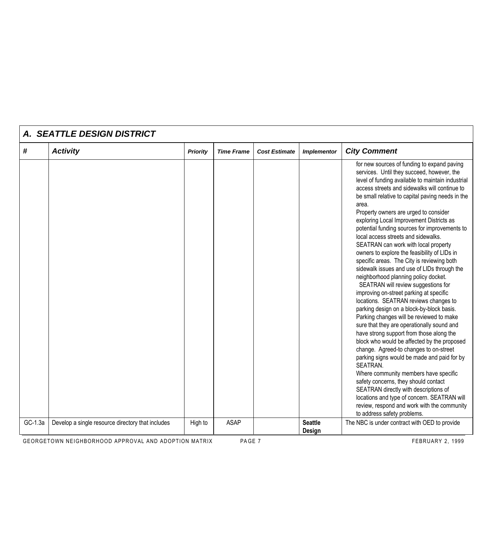|         | A. SEATTLE DESIGN DISTRICT                        |                 |                   |                      |                          |                                                                                                                                                                                                                                                                                                                                                                                                                                                                                                                                                                                                                                                                                                                                                                                                                                                                                                                                                                                                                                                                                                                                                                                                                                                                                                                                                                                                 |
|---------|---------------------------------------------------|-----------------|-------------------|----------------------|--------------------------|-------------------------------------------------------------------------------------------------------------------------------------------------------------------------------------------------------------------------------------------------------------------------------------------------------------------------------------------------------------------------------------------------------------------------------------------------------------------------------------------------------------------------------------------------------------------------------------------------------------------------------------------------------------------------------------------------------------------------------------------------------------------------------------------------------------------------------------------------------------------------------------------------------------------------------------------------------------------------------------------------------------------------------------------------------------------------------------------------------------------------------------------------------------------------------------------------------------------------------------------------------------------------------------------------------------------------------------------------------------------------------------------------|
| #       | <b>Activity</b>                                   | <b>Priority</b> | <b>Time Frame</b> | <b>Cost Estimate</b> | <b>Implementor</b>       | <b>City Comment</b>                                                                                                                                                                                                                                                                                                                                                                                                                                                                                                                                                                                                                                                                                                                                                                                                                                                                                                                                                                                                                                                                                                                                                                                                                                                                                                                                                                             |
|         |                                                   |                 |                   |                      |                          | for new sources of funding to expand paving<br>services. Until they succeed, however, the<br>level of funding available to maintain industrial<br>access streets and sidewalks will continue to<br>be small relative to capital paving needs in the<br>area.<br>Property owners are urged to consider<br>exploring Local Improvement Districts as<br>potential funding sources for improvements to<br>local access streets and sidewalks.<br>SEATRAN can work with local property<br>owners to explore the feasibility of LIDs in<br>specific areas. The City is reviewing both<br>sidewalk issues and use of LIDs through the<br>neighborhood planning policy docket.<br>SEATRAN will review suggestions for<br>improving on-street parking at specific<br>locations. SEATRAN reviews changes to<br>parking design on a block-by-block basis.<br>Parking changes will be reviewed to make<br>sure that they are operationally sound and<br>have strong support from those along the<br>block who would be affected by the proposed<br>change. Agreed-to changes to on-street<br>parking signs would be made and paid for by<br>SEATRAN.<br>Where community members have specific<br>safety concerns, they should contact<br>SEATRAN directly with descriptions of<br>locations and type of concern. SEATRAN will<br>review, respond and work with the community<br>to address safety problems. |
| GC-1.3a | Develop a single resource directory that includes | High to         | <b>ASAP</b>       |                      | <b>Seattle</b><br>Design | The NBC is under contract with OED to provide                                                                                                                                                                                                                                                                                                                                                                                                                                                                                                                                                                                                                                                                                                                                                                                                                                                                                                                                                                                                                                                                                                                                                                                                                                                                                                                                                   |

GEORGETOWN NEIGHBORHOOD APPROVAL AND ADOPTION MATRIX PAGE 7 PAGE 7

 $\mathbf{r}$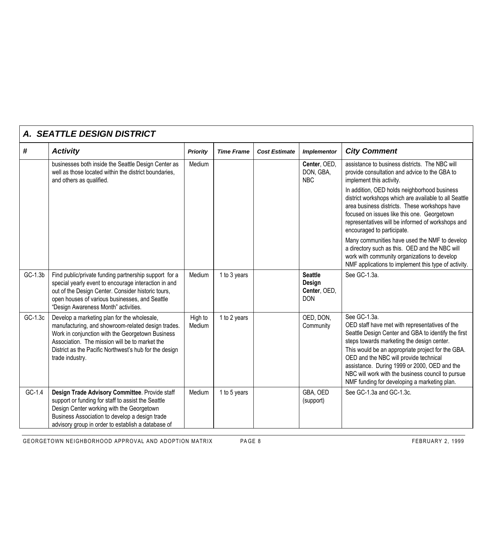|          | A. SEATTLE DESIGN DISTRICT                                                                                                                                                                                                                                                           |                   |                   |                      |                                                        |                                                                                                                                                                                                                                                                                                                                                                                                                                                                                                                                                                                                                                    |  |  |  |
|----------|--------------------------------------------------------------------------------------------------------------------------------------------------------------------------------------------------------------------------------------------------------------------------------------|-------------------|-------------------|----------------------|--------------------------------------------------------|------------------------------------------------------------------------------------------------------------------------------------------------------------------------------------------------------------------------------------------------------------------------------------------------------------------------------------------------------------------------------------------------------------------------------------------------------------------------------------------------------------------------------------------------------------------------------------------------------------------------------------|--|--|--|
| #        | <b>Activity</b>                                                                                                                                                                                                                                                                      | <b>Priority</b>   | <b>Time Frame</b> | <b>Cost Estimate</b> | <b>Implementor</b>                                     | <b>City Comment</b>                                                                                                                                                                                                                                                                                                                                                                                                                                                                                                                                                                                                                |  |  |  |
|          | businesses both inside the Seattle Design Center as<br>well as those located within the district boundaries,<br>and others as qualified.                                                                                                                                             | Medium            |                   |                      | Center, OED,<br>DON, GBA,<br><b>NBC</b>                | assistance to business districts. The NBC will<br>provide consultation and advice to the GBA to<br>implement this activity.<br>In addition, OED holds neighborhood business<br>district workshops which are available to all Seattle<br>area business districts. These workshops have<br>focused on issues like this one. Georgetown<br>representatives will be informed of workshops and<br>encouraged to participate.<br>Many communities have used the NMF to develop<br>a directory such as this. OED and the NBC will<br>work with community organizations to develop<br>NMF applications to implement this type of activity. |  |  |  |
| GC-1.3b  | Find public/private funding partnership support for a<br>special yearly event to encourage interaction in and<br>out of the Design Center. Consider historic tours,<br>open houses of various businesses, and Seattle<br>"Design Awareness Month" activities.                        | Medium            | 1 to 3 years      |                      | <b>Seattle</b><br>Design<br>Center, OED,<br><b>DON</b> | See GC-1.3a.                                                                                                                                                                                                                                                                                                                                                                                                                                                                                                                                                                                                                       |  |  |  |
| GC-1.3c  | Develop a marketing plan for the wholesale,<br>manufacturing, and showroom-related design trades.<br>Work in conjunction with the Georgetown Business<br>Association. The mission will be to market the<br>District as the Pacific Northwest's hub for the design<br>trade industry. | High to<br>Medium | 1 to 2 years      |                      | OED, DON,<br>Community                                 | See GC-1.3a.<br>OED staff have met with representatives of the<br>Seattle Design Center and GBA to identify the first<br>steps towards marketing the design center.<br>This would be an appropriate project for the GBA.<br>OED and the NBC will provide technical<br>assistance. During 1999 or 2000, OED and the<br>NBC will work with the business council to pursue<br>NMF funding for developing a marketing plan.                                                                                                                                                                                                            |  |  |  |
| $GC-1.4$ | Design Trade Advisory Committee. Provide staff<br>support or funding for staff to assist the Seattle<br>Design Center working with the Georgetown<br>Business Association to develop a design trade<br>advisory group in order to establish a database of                            | Medium            | 1 to 5 years      |                      | GBA, OED<br>(support)                                  | See GC-1.3a and GC-1.3c.                                                                                                                                                                                                                                                                                                                                                                                                                                                                                                                                                                                                           |  |  |  |

GEORGETOWN NEIGHBORHOOD APPROVAL AND ADOPTION MATRIX PAGE 8 FEBRUARY 2, 1999

- r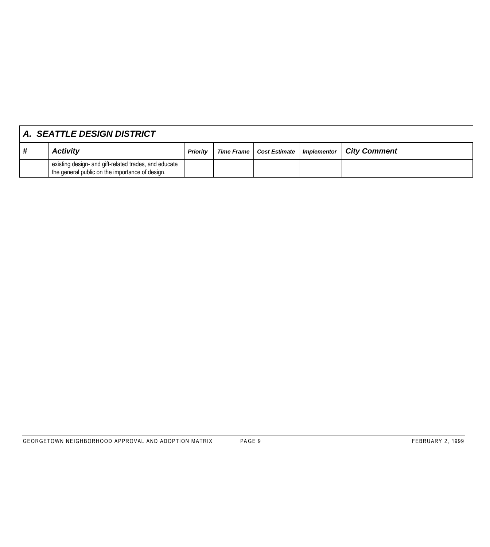|   | A. SEATTLE DESIGN DISTRICT                                                                               |                 |  |                            |             |                     |  |  |
|---|----------------------------------------------------------------------------------------------------------|-----------------|--|----------------------------|-------------|---------------------|--|--|
| # | <b>Activity</b>                                                                                          | <b>Priority</b> |  | Time Frame   Cost Estimate | Implementor | <b>City Comment</b> |  |  |
|   | existing design- and gift-related trades, and educate<br>the general public on the importance of design. |                 |  |                            |             |                     |  |  |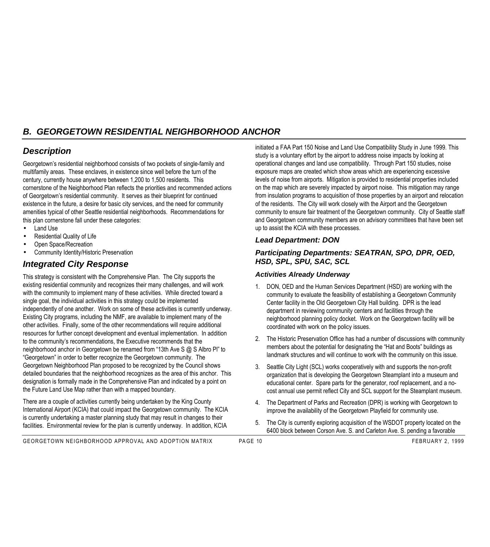# *B. GEORGETOWN RESIDENTIAL NEIGHBORHOOD ANCHOR*

## *Description*

Georgetown's residential neighborhood consists of two pockets of single-family and multifamily areas. These enclaves, in existence since well before the turn of the century, currently house anywhere between 1,200 to 1,500 residents. This cornerstone of the Neighborhood Plan reflects the priorities and recommended actions of Georgetown's residential community. It serves as their blueprint for continued existence in the future, a desire for basic city services, and the need for community amenities typical of other Seattle residential neighborhoods. Recommendations for this plan cornerstone fall under these categories:

- Land Use
- Residential Quality of Life
- Open Space/Recreation
- Community Identity/Historic Preservation

## *Integrated City Response*

This strategy is consistent with the Comprehensive Plan. The City supports the existing residential community and recognizes their many challenges, and will work with the community to implement many of these activities. While directed toward a single goal, the individual activities in this strategy could be implemented independently of one another. Work on some of these activities is currently underway. Existing City programs, including the NMF, are available to implement many of the other activities. Finally, some of the other recommendations will require additional resources for further concept development and eventual implementation. In addition to the community's recommendations, the Executive recommends that the neighborhood anchor in Georgetown be renamed from "13th Ave S @ S Albro Pl" to "Georgetown" in order to better recognize the Georgetown community. The Georgetown Neighborhood Plan proposed to be recognized by the Council shows detailed boundaries that the neighborhood recognizes as the area of this anchor. This designation is formally made in the Comprehensive Plan and indicated by a point on the Future Land Use Map rather than with a mapped boundary.

There are a couple of activities currently being undertaken by the King County International Airport (KCIA) that could impact the Georgetown community. The KCIA is currently undertaking a master planning study that may result in changes to their facilities. Environmental review for the plan is currently underway. In addition, KCIA

initiated a FAA Part 150 Noise and Land Use Compatibility Study in June 1999. This study is a voluntary effort by the airport to address noise impacts by looking at operational changes and land use compatibility. Through Part 150 studies, noise exposure maps are created which show areas which are experiencing excessive levels of noise from airports. Mitigation is provided to residential properties included on the map which are severely impacted by airport noise. This mitigation may range from insulation programs to acquisition of those properties by an airport and relocation of the residents. The City will work closely with the Airport and the Georgetown community to ensure fair treatment of the Georgetown community. City of Seattle staff and Georgetown community members are on advisory committees that have been set up to assist the KCIA with these processes.

#### *Lead Department: DON*

#### *Participating Departments: SEATRAN, SPO, DPR, OED, HSD, SPL, SPU, SAC, SCL*

#### *Activities Already Underway*

- 1. DON, OED and the Human Services Department (HSD) are working with the community to evaluate the feasibility of establishing a Georgetown Community Center facility in the Old Georgetown City Hall building. DPR is the lead department in reviewing community centers and facilities through the neighborhood planning policy docket. Work on the Georgetown facility will be coordinated with work on the policy issues.
- 2. The Historic Preservation Office has had a number of discussions with community members about the potential for designating the "Hat and Boots" buildings as landmark structures and will continue to work with the community on this issue.
- 3. Seattle City Light (SCL) works cooperatively with and supports the non-profit organization that is developing the Georgetown Steamplant into a museum and educational center. Spare parts for the generator, roof replacement, and a nocost annual use permit reflect City and SCL support for the Steamplant museum.
- 4. The Department of Parks and Recreation (DPR) is working with Georgetown to improve the availability of the Georgetown Playfield for community use.
- 5. The City is currently exploring acquisition of the WSDOT property located on the 6400 block between Corson Ave. S. and Carleton Ave. S. pending a favorable

GEORGETOWN NEIGHBORHOOD APPROVAL AND ADOPTION MATRIX PAGE 10 FEBRUARY 2, 1999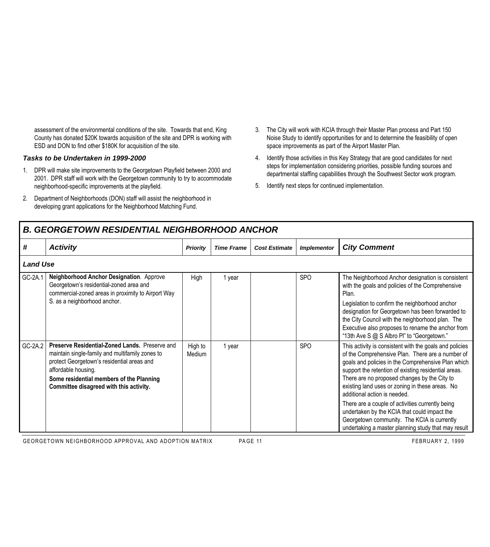assessment of the environmental conditions of the site. Towards that end, King County has donated \$20K towards acquisition of the site and DPR is working with ESD and DON to find other \$180K for acquisition of the site.

#### *Tasks to be Undertaken in 1999-2000*

Г

- 1. DPR will make site improvements to the Georgetown Playfield between 2000 and 2001. DPR staff will work with the Georgetown community to try to accommodate neighborhood-specific improvements at the playfield.
- 2. Department of Neighborhoods (DON) staff will assist the neighborhood in developing grant applications for the Neighborhood Matching Fund.
- 3. The City will work with KCIA through their Master Plan process and Part 150 Noise Study to identify opportunities for and to determine the feasibility of open space improvements as part of the Airport Master Plan.
- 4. Identify those activities in this Key Strategy that are good candidates for next steps for implementation considering priorities, possible funding sources and departmental staffing capabilities through the Southwest Sector work program.
- 5. Identify next steps for continued implementation.

|         | <b>B. GEORGETOWN RESIDENTIAL NEIGHBORHOOD ANCHOR</b>                                                                                                                                                                                                          |                   |                   |                      |                    |                                                                                                                                                                                                                                                                                                                                                                                                                                                                                                                                                                        |  |  |  |  |
|---------|---------------------------------------------------------------------------------------------------------------------------------------------------------------------------------------------------------------------------------------------------------------|-------------------|-------------------|----------------------|--------------------|------------------------------------------------------------------------------------------------------------------------------------------------------------------------------------------------------------------------------------------------------------------------------------------------------------------------------------------------------------------------------------------------------------------------------------------------------------------------------------------------------------------------------------------------------------------------|--|--|--|--|
| #       | <b>Activity</b>                                                                                                                                                                                                                                               | <b>Priority</b>   | <b>Time Frame</b> | <b>Cost Estimate</b> | <b>Implementor</b> | <b>City Comment</b>                                                                                                                                                                                                                                                                                                                                                                                                                                                                                                                                                    |  |  |  |  |
|         | <b>Land Use</b>                                                                                                                                                                                                                                               |                   |                   |                      |                    |                                                                                                                                                                                                                                                                                                                                                                                                                                                                                                                                                                        |  |  |  |  |
| GC-2A.1 | Neighborhood Anchor Designation. Approve<br>Georgetown's residential-zoned area and<br>commercial-zoned areas in proximity to Airport Way<br>S. as a neighborhood anchor.                                                                                     | High              | 1 year            |                      | <b>SPO</b>         | The Neighborhood Anchor designation is consistent<br>with the goals and policies of the Comprehensive<br>Plan.<br>Legislation to confirm the neighborhood anchor<br>designation for Georgetown has been forwarded to<br>the City Council with the neighborhood plan. The<br>Executive also proposes to rename the anchor from<br>"13th Ave S @ S Albro Pl" to "Georgetown."                                                                                                                                                                                            |  |  |  |  |
| GC-2A.2 | Preserve Residential-Zoned Lands. Preserve and<br>maintain single-family and multifamily zones to<br>protect Georgetown's residential areas and<br>affordable housing.<br>Some residential members of the Planning<br>Committee disagreed with this activity. | High to<br>Medium | 1 year            |                      | <b>SPO</b>         | This activity is consistent with the goals and policies<br>of the Comprehensive Plan. There are a number of<br>goals and policies in the Comprehensive Plan which<br>support the retention of existing residential areas.<br>There are no proposed changes by the City to<br>existing land uses or zoning in these areas. No<br>additional action is needed.<br>There are a couple of activities currently being<br>undertaken by the KCIA that could impact the<br>Georgetown community. The KCIA is currently<br>undertaking a master planning study that may result |  |  |  |  |

GEORGETOWN NEIGHBORHOOD APPROVAL AND ADOPTION MATRIX PAGE 11 PAGE 11 FEBRUARY 2, 1999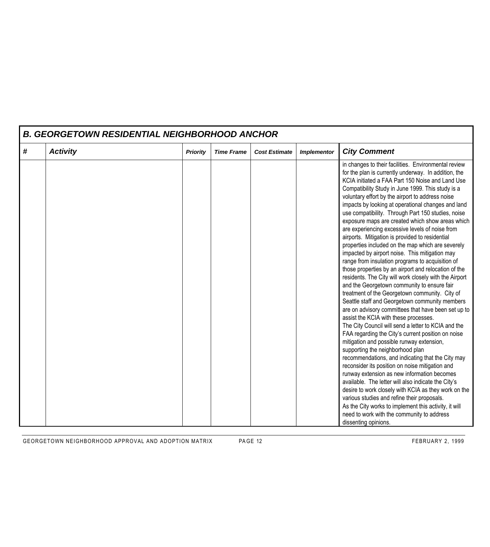|   | <b>B. GEORGETOWN RESIDENTIAL NEIGHBORHOOD ANCHOR</b> |                 |                   |                      |                    |                                                                                                                                                                                                                                                                                                                                                                                                                                                                                                                                                                                                                                                                                                                                                                                                                                                                                                                                                                                                                                                                                                                                                                                                                                                                                                                                                                                                                                                                                                                                                                                                                                                                                                                                   |  |  |  |  |
|---|------------------------------------------------------|-----------------|-------------------|----------------------|--------------------|-----------------------------------------------------------------------------------------------------------------------------------------------------------------------------------------------------------------------------------------------------------------------------------------------------------------------------------------------------------------------------------------------------------------------------------------------------------------------------------------------------------------------------------------------------------------------------------------------------------------------------------------------------------------------------------------------------------------------------------------------------------------------------------------------------------------------------------------------------------------------------------------------------------------------------------------------------------------------------------------------------------------------------------------------------------------------------------------------------------------------------------------------------------------------------------------------------------------------------------------------------------------------------------------------------------------------------------------------------------------------------------------------------------------------------------------------------------------------------------------------------------------------------------------------------------------------------------------------------------------------------------------------------------------------------------------------------------------------------------|--|--|--|--|
| # | <b>Activity</b>                                      | <b>Priority</b> | <b>Time Frame</b> | <b>Cost Estimate</b> | <b>Implementor</b> | <b>City Comment</b>                                                                                                                                                                                                                                                                                                                                                                                                                                                                                                                                                                                                                                                                                                                                                                                                                                                                                                                                                                                                                                                                                                                                                                                                                                                                                                                                                                                                                                                                                                                                                                                                                                                                                                               |  |  |  |  |
|   |                                                      |                 |                   |                      |                    | in changes to their facilities. Environmental review<br>for the plan is currently underway. In addition, the<br>KCIA initiated a FAA Part 150 Noise and Land Use<br>Compatibility Study in June 1999. This study is a<br>voluntary effort by the airport to address noise<br>impacts by looking at operational changes and land<br>use compatibility. Through Part 150 studies, noise<br>exposure maps are created which show areas which<br>are experiencing excessive levels of noise from<br>airports. Mitigation is provided to residential<br>properties included on the map which are severely<br>impacted by airport noise. This mitigation may<br>range from insulation programs to acquisition of<br>those properties by an airport and relocation of the<br>residents. The City will work closely with the Airport<br>and the Georgetown community to ensure fair<br>treatment of the Georgetown community. City of<br>Seattle staff and Georgetown community members<br>are on advisory committees that have been set up to<br>assist the KCIA with these processes.<br>The City Council will send a letter to KCIA and the<br>FAA regarding the City's current position on noise<br>mitigation and possible runway extension,<br>supporting the neighborhood plan<br>recommendations, and indicating that the City may<br>reconsider its position on noise mitigation and<br>runway extension as new information becomes<br>available. The letter will also indicate the City's<br>desire to work closely with KCIA as they work on the<br>various studies and refine their proposals.<br>As the City works to implement this activity, it will<br>need to work with the community to address<br>dissenting opinions. |  |  |  |  |

GEORGETOWN NEIGHBORHOOD APPROVAL AND ADOPTION MATRIX PAGE 12 FEBRUARY 2, 1999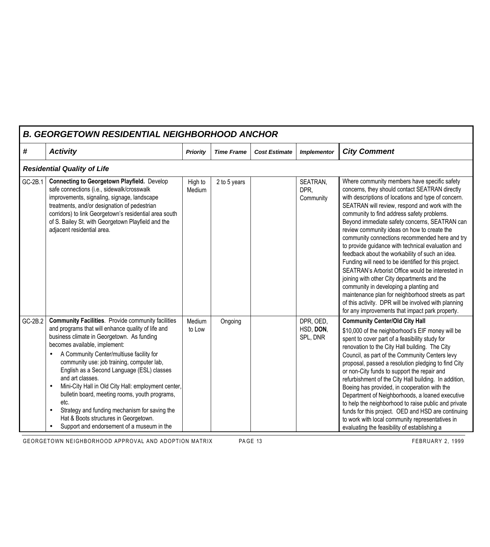|         | <b>B. GEORGETOWN RESIDENTIAL NEIGHBORHOOD ANCHOR</b>                                                                                                                                                                                                                                                                                                                                                                                                                                                                                                                                                                 |                   |                   |                      |                                    |                                                                                                                                                                                                                                                                                                                                                                                                                                                                                                                                                                                                                                                                                                                                                                                                                                                                                      |  |  |  |  |
|---------|----------------------------------------------------------------------------------------------------------------------------------------------------------------------------------------------------------------------------------------------------------------------------------------------------------------------------------------------------------------------------------------------------------------------------------------------------------------------------------------------------------------------------------------------------------------------------------------------------------------------|-------------------|-------------------|----------------------|------------------------------------|--------------------------------------------------------------------------------------------------------------------------------------------------------------------------------------------------------------------------------------------------------------------------------------------------------------------------------------------------------------------------------------------------------------------------------------------------------------------------------------------------------------------------------------------------------------------------------------------------------------------------------------------------------------------------------------------------------------------------------------------------------------------------------------------------------------------------------------------------------------------------------------|--|--|--|--|
| #       | <b>Activity</b>                                                                                                                                                                                                                                                                                                                                                                                                                                                                                                                                                                                                      | <b>Priority</b>   | <b>Time Frame</b> | <b>Cost Estimate</b> | <b>Implementor</b>                 | <b>City Comment</b>                                                                                                                                                                                                                                                                                                                                                                                                                                                                                                                                                                                                                                                                                                                                                                                                                                                                  |  |  |  |  |
|         | <b>Residential Quality of Life</b>                                                                                                                                                                                                                                                                                                                                                                                                                                                                                                                                                                                   |                   |                   |                      |                                    |                                                                                                                                                                                                                                                                                                                                                                                                                                                                                                                                                                                                                                                                                                                                                                                                                                                                                      |  |  |  |  |
| GC-2B.1 | <b>Connecting to Georgetown Playfield.</b> Develop<br>safe connections (i.e., sidewalk/crosswalk<br>improvements, signaling, signage, landscape<br>treatments, and/or designation of pedestrian<br>corridors) to link Georgetown's residential area south<br>of S. Bailey St. with Georgetown Playfield and the<br>adjacent residential area.                                                                                                                                                                                                                                                                        | High to<br>Medium | 2 to 5 years      |                      | SEATRAN,<br>DPR.<br>Community      | Where community members have specific safety<br>concerns, they should contact SEATRAN directly<br>with descriptions of locations and type of concern.<br>SEATRAN will review, respond and work with the<br>community to find address safety problems.<br>Beyond immediate safety concerns, SEATRAN can<br>review community ideas on how to create the<br>community connections recommended here and try<br>to provide guidance with technical evaluation and<br>feedback about the workability of such an idea.<br>Funding will need to be identified for this project.<br>SEATRAN's Arborist Office would be interested in<br>joining with other City departments and the<br>community in developing a planting and<br>maintenance plan for neighborhood streets as part<br>of this activity. DPR will be involved with planning<br>for any improvements that impact park property. |  |  |  |  |
| GC-2B.2 | <b>Community Facilities</b> . Provide community facilities<br>and programs that will enhance quality of life and<br>business climate in Georgetown. As funding<br>becomes available, implement:<br>A Community Center/multiuse facility for<br>community use: job training, computer lab,<br>English as a Second Language (ESL) classes<br>and art classes.<br>Mini-City Hall in Old City Hall: employment center,<br>bulletin board, meeting rooms, youth programs,<br>etc.<br>Strategy and funding mechanism for saving the<br>Hat & Boots structures in Georgetown.<br>Support and endorsement of a museum in the | Medium<br>to Low  | Ongoing           |                      | DPR, OED,<br>HSD, DON,<br>SPL, DNR | <b>Community Center/Old City Hall</b><br>\$10,000 of the neighborhood's EIF money will be<br>spent to cover part of a feasibility study for<br>renovation to the City Hall building. The City<br>Council, as part of the Community Centers levy<br>proposal, passed a resolution pledging to find City<br>or non-City funds to support the repair and<br>refurbishment of the City Hall building. In addition,<br>Boeing has provided, in cooperation with the<br>Department of Neighborhoods, a loaned executive<br>to help the neighborhood to raise public and private<br>funds for this project. OED and HSD are continuing<br>to work with local community representatives in<br>evaluating the feasibility of establishing a                                                                                                                                                   |  |  |  |  |

GEORGETOWN NEIGHBORHOOD APPROVAL AND ADOPTION MATRIX PAGE 13 PA PA CHANGE AND RESPONDENTLY 2, 1999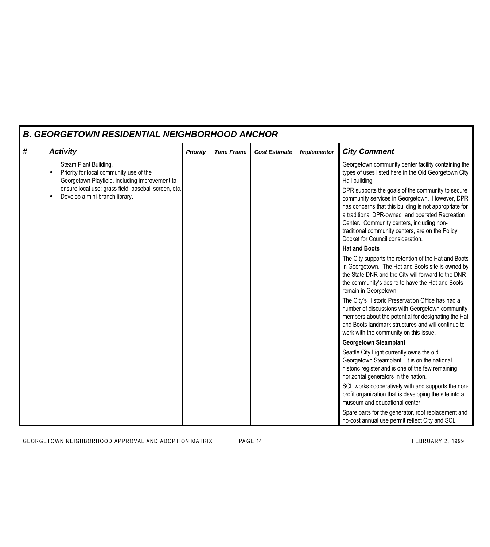|   | <b>B. GEORGETOWN RESIDENTIAL NEIGHBORHOOD ANCHOR</b>                                                                            |                 |                   |                      |                    |                                                                                                                                                                                                                                                                                                                                                        |  |  |  |  |
|---|---------------------------------------------------------------------------------------------------------------------------------|-----------------|-------------------|----------------------|--------------------|--------------------------------------------------------------------------------------------------------------------------------------------------------------------------------------------------------------------------------------------------------------------------------------------------------------------------------------------------------|--|--|--|--|
| # | <b>Activity</b>                                                                                                                 | <b>Priority</b> | <b>Time Frame</b> | <b>Cost Estimate</b> | <b>Implementor</b> | <b>City Comment</b>                                                                                                                                                                                                                                                                                                                                    |  |  |  |  |
|   | Steam Plant Building.<br>Priority for local community use of the<br>$\bullet$<br>Georgetown Playfield, including improvement to |                 |                   |                      |                    | Georgetown community center facility containing the<br>types of uses listed here in the Old Georgetown City<br>Hall building.                                                                                                                                                                                                                          |  |  |  |  |
|   | ensure local use: grass field, baseball screen, etc.<br>Develop a mini-branch library.<br>$\bullet$                             |                 |                   |                      |                    | DPR supports the goals of the community to secure<br>community services in Georgetown. However, DPR<br>has concerns that this building is not appropriate for<br>a traditional DPR-owned and operated Recreation<br>Center. Community centers, including non-<br>traditional community centers, are on the Policy<br>Docket for Council consideration. |  |  |  |  |
|   |                                                                                                                                 |                 |                   |                      |                    | <b>Hat and Boots</b>                                                                                                                                                                                                                                                                                                                                   |  |  |  |  |
|   |                                                                                                                                 |                 |                   |                      |                    | The City supports the retention of the Hat and Boots<br>in Georgetown. The Hat and Boots site is owned by<br>the State DNR and the City will forward to the DNR<br>the community's desire to have the Hat and Boots<br>remain in Georgetown.                                                                                                           |  |  |  |  |
|   |                                                                                                                                 |                 |                   |                      |                    | The City's Historic Preservation Office has had a<br>number of discussions with Georgetown community<br>members about the potential for designating the Hat<br>and Boots landmark structures and will continue to<br>work with the community on this issue.                                                                                            |  |  |  |  |
|   |                                                                                                                                 |                 |                   |                      |                    | <b>Georgetown Steamplant</b>                                                                                                                                                                                                                                                                                                                           |  |  |  |  |
|   |                                                                                                                                 |                 |                   |                      |                    | Seattle City Light currently owns the old<br>Georgetown Steamplant. It is on the national<br>historic register and is one of the few remaining<br>horizontal generators in the nation.                                                                                                                                                                 |  |  |  |  |
|   |                                                                                                                                 |                 |                   |                      |                    | SCL works cooperatively with and supports the non-<br>profit organization that is developing the site into a<br>museum and educational center.                                                                                                                                                                                                         |  |  |  |  |
|   |                                                                                                                                 |                 |                   |                      |                    | Spare parts for the generator, roof replacement and<br>no-cost annual use permit reflect City and SCL                                                                                                                                                                                                                                                  |  |  |  |  |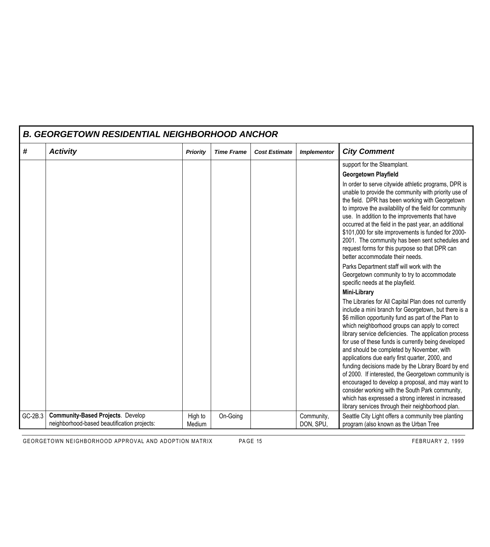|         | <b>B. GEORGETOWN RESIDENTIAL NEIGHBORHOOD ANCHOR</b>                                    |                   |                   |                      |                         |                                                                                                                                                                                                                                                                                                                                                                                                                                                                                                                                                                                                                                                                                                                                                                        |  |  |  |  |
|---------|-----------------------------------------------------------------------------------------|-------------------|-------------------|----------------------|-------------------------|------------------------------------------------------------------------------------------------------------------------------------------------------------------------------------------------------------------------------------------------------------------------------------------------------------------------------------------------------------------------------------------------------------------------------------------------------------------------------------------------------------------------------------------------------------------------------------------------------------------------------------------------------------------------------------------------------------------------------------------------------------------------|--|--|--|--|
| #       | <b>Activity</b>                                                                         | <b>Priority</b>   | <b>Time Frame</b> | <b>Cost Estimate</b> | <b>Implementor</b>      | <b>City Comment</b>                                                                                                                                                                                                                                                                                                                                                                                                                                                                                                                                                                                                                                                                                                                                                    |  |  |  |  |
|         |                                                                                         |                   |                   |                      |                         | support for the Steamplant.                                                                                                                                                                                                                                                                                                                                                                                                                                                                                                                                                                                                                                                                                                                                            |  |  |  |  |
|         |                                                                                         |                   |                   |                      |                         | <b>Georgetown Playfield</b>                                                                                                                                                                                                                                                                                                                                                                                                                                                                                                                                                                                                                                                                                                                                            |  |  |  |  |
|         |                                                                                         |                   |                   |                      |                         | In order to serve citywide athletic programs, DPR is<br>unable to provide the community with priority use of<br>the field. DPR has been working with Georgetown<br>to improve the availability of the field for community<br>use. In addition to the improvements that have<br>occurred at the field in the past year, an additional<br>\$101,000 for site improvements is funded for 2000-<br>2001. The community has been sent schedules and<br>request forms for this purpose so that DPR can<br>better accommodate their needs.                                                                                                                                                                                                                                    |  |  |  |  |
|         |                                                                                         |                   |                   |                      |                         | Parks Department staff will work with the<br>Georgetown community to try to accommodate<br>specific needs at the playfield.                                                                                                                                                                                                                                                                                                                                                                                                                                                                                                                                                                                                                                            |  |  |  |  |
|         |                                                                                         |                   |                   |                      |                         | <b>Mini-Library</b>                                                                                                                                                                                                                                                                                                                                                                                                                                                                                                                                                                                                                                                                                                                                                    |  |  |  |  |
|         |                                                                                         |                   |                   |                      |                         | The Libraries for All Capital Plan does not currently<br>include a mini branch for Georgetown, but there is a<br>\$6 million opportunity fund as part of the Plan to<br>which neighborhood groups can apply to correct<br>library service deficiencies. The application process<br>for use of these funds is currently being developed<br>and should be completed by November, with<br>applications due early first quarter, 2000, and<br>funding decisions made by the Library Board by end<br>of 2000. If interested, the Georgetown community is<br>encouraged to develop a proposal, and may want to<br>consider working with the South Park community,<br>which has expressed a strong interest in increased<br>library services through their neighborhood plan. |  |  |  |  |
| GC-2B.3 | <b>Community-Based Projects. Develop</b><br>neighborhood-based beautification projects: | High to<br>Medium | On-Going          |                      | Community,<br>DON, SPU, | Seattle City Light offers a community tree planting<br>program (also known as the Urban Tree                                                                                                                                                                                                                                                                                                                                                                                                                                                                                                                                                                                                                                                                           |  |  |  |  |

GEORGETOWN NEIGHBORHOOD APPROVAL AND ADOPTION MATRIX PAGE 15 FEBRUARY 2, 1999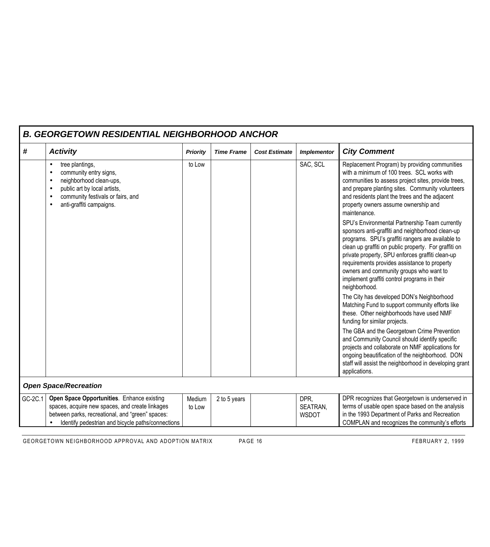|         |                                                                                                                                                                                                        | B. GEORGETOWN RESIDENTIAL NEIGHBORHOOD ANCHOR |                   |                      |                                  |                                                                                                                                                                                                                                                                                                                                                                                                                                                                                                                                                                                                                                                                                                                                                       |  |  |  |  |
|---------|--------------------------------------------------------------------------------------------------------------------------------------------------------------------------------------------------------|-----------------------------------------------|-------------------|----------------------|----------------------------------|-------------------------------------------------------------------------------------------------------------------------------------------------------------------------------------------------------------------------------------------------------------------------------------------------------------------------------------------------------------------------------------------------------------------------------------------------------------------------------------------------------------------------------------------------------------------------------------------------------------------------------------------------------------------------------------------------------------------------------------------------------|--|--|--|--|
| #       | <b>Activity</b>                                                                                                                                                                                        | <b>Priority</b>                               | <b>Time Frame</b> | <b>Cost Estimate</b> | <b>Implementor</b>               | <b>City Comment</b>                                                                                                                                                                                                                                                                                                                                                                                                                                                                                                                                                                                                                                                                                                                                   |  |  |  |  |
|         | tree plantings,<br>$\bullet$<br>community entry signs,<br>neighborhood clean-ups,<br>public art by local artists,<br>$\bullet$<br>community festivals or fairs, and<br>anti-graffiti campaigns.        | to Low                                        |                   |                      | SAC, SCL                         | Replacement Program) by providing communities<br>with a minimum of 100 trees. SCL works with<br>communities to assess project sites, provide trees,<br>and prepare planting sites. Community volunteers<br>and residents plant the trees and the adjacent<br>property owners assume ownership and<br>maintenance.<br>SPU's Environmental Partnership Team currently<br>sponsors anti-graffiti and neighborhood clean-up<br>programs. SPU's graffiti rangers are available to<br>clean up graffiti on public property. For graffiti on<br>private property, SPU enforces graffiti clean-up<br>requirements provides assistance to property<br>owners and community groups who want to<br>implement graffiti control programs in their<br>neighborhood. |  |  |  |  |
|         |                                                                                                                                                                                                        |                                               |                   |                      |                                  | The City has developed DON's Neighborhood<br>Matching Fund to support community efforts like<br>these. Other neighborhoods have used NMF<br>funding for similar projects.<br>The GBA and the Georgetown Crime Prevention<br>and Community Council should identify specific<br>projects and collaborate on NMF applications for<br>ongoing beautification of the neighborhood. DON<br>staff will assist the neighborhood in developing grant<br>applications.                                                                                                                                                                                                                                                                                          |  |  |  |  |
|         | <b>Open Space/Recreation</b>                                                                                                                                                                           |                                               |                   |                      |                                  |                                                                                                                                                                                                                                                                                                                                                                                                                                                                                                                                                                                                                                                                                                                                                       |  |  |  |  |
| GC-2C.1 | Open Space Opportunities. Enhance existing<br>spaces, acquire new spaces, and create linkages<br>between parks, recreational, and "green" spaces:<br>Identify pedestrian and bicycle paths/connections | Medium<br>to Low                              | 2 to 5 years      |                      | DPR,<br>SEATRAN,<br><b>WSDOT</b> | DPR recognizes that Georgetown is underserved in<br>terms of usable open space based on the analysis<br>in the 1993 Department of Parks and Recreation<br>COMPLAN and recognizes the community's efforts                                                                                                                                                                                                                                                                                                                                                                                                                                                                                                                                              |  |  |  |  |

*B. GEORGETOWN RESIDENTIAL NEIGHBORHOOD ANCHOR*

 $\Gamma$ 

GEORGETOWN NEIGHBORHOOD APPROVAL AND ADOPTION MATRIX PAGE 16 FEBRUARY 2, 1999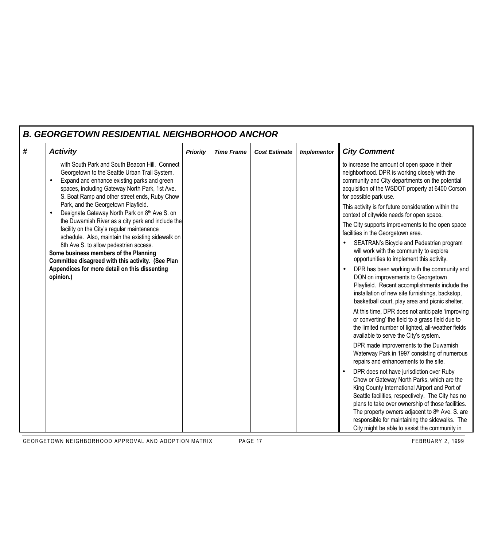| <b>B. GEORGETOWN RESIDENTIAL NEIGHBORHOOD ANCHOR</b> |                                                                                                                                                                                                                                                                                                                                                                                                                                                                                                                                                                                                                                                                                                         |                 |                   |                      |                    |                                                                                                                                                                                                                                                                                                                                                                                                         |  |  |  |
|------------------------------------------------------|---------------------------------------------------------------------------------------------------------------------------------------------------------------------------------------------------------------------------------------------------------------------------------------------------------------------------------------------------------------------------------------------------------------------------------------------------------------------------------------------------------------------------------------------------------------------------------------------------------------------------------------------------------------------------------------------------------|-----------------|-------------------|----------------------|--------------------|---------------------------------------------------------------------------------------------------------------------------------------------------------------------------------------------------------------------------------------------------------------------------------------------------------------------------------------------------------------------------------------------------------|--|--|--|
| #                                                    | <b>Activity</b>                                                                                                                                                                                                                                                                                                                                                                                                                                                                                                                                                                                                                                                                                         | <b>Priority</b> | <b>Time Frame</b> | <b>Cost Estimate</b> | <b>Implementor</b> | <b>City Comment</b>                                                                                                                                                                                                                                                                                                                                                                                     |  |  |  |
|                                                      | with South Park and South Beacon Hill. Connect<br>Georgetown to the Seattle Urban Trail System.<br>Expand and enhance existing parks and green<br>spaces, including Gateway North Park, 1st Ave.<br>S. Boat Ramp and other street ends, Ruby Chow<br>Park, and the Georgetown Playfield.<br>Designate Gateway North Park on 8th Ave S. on<br>the Duwamish River as a city park and include the<br>facility on the City's regular maintenance<br>schedule. Also, maintain the existing sidewalk on<br>8th Ave S. to allow pedestrian access.<br>Some business members of the Planning<br>Committee disagreed with this activity. (See Plan<br>Appendices for more detail on this dissenting<br>opinion.) |                 |                   |                      |                    | to increase the amount of open space in their<br>neighborhood. DPR is working closely with the<br>community and City departments on the potential<br>acquisition of the WSDOT property at 6400 Corson<br>for possible park use.                                                                                                                                                                         |  |  |  |
|                                                      |                                                                                                                                                                                                                                                                                                                                                                                                                                                                                                                                                                                                                                                                                                         |                 |                   |                      |                    | This activity is for future consideration within the<br>context of citywide needs for open space.                                                                                                                                                                                                                                                                                                       |  |  |  |
|                                                      |                                                                                                                                                                                                                                                                                                                                                                                                                                                                                                                                                                                                                                                                                                         |                 |                   |                      |                    | The City supports improvements to the open space<br>facilities in the Georgetown area.                                                                                                                                                                                                                                                                                                                  |  |  |  |
|                                                      |                                                                                                                                                                                                                                                                                                                                                                                                                                                                                                                                                                                                                                                                                                         |                 |                   |                      |                    | SEATRAN's Bicycle and Pedestrian program<br>will work with the community to explore<br>opportunities to implement this activity.                                                                                                                                                                                                                                                                        |  |  |  |
|                                                      |                                                                                                                                                                                                                                                                                                                                                                                                                                                                                                                                                                                                                                                                                                         |                 |                   |                      |                    | DPR has been working with the community and<br>DON on improvements to Georgetown<br>Playfield. Recent accomplishments include the<br>installation of new site furnishings, backstop,<br>basketball court, play area and picnic shelter.                                                                                                                                                                 |  |  |  |
|                                                      |                                                                                                                                                                                                                                                                                                                                                                                                                                                                                                                                                                                                                                                                                                         |                 |                   |                      |                    | At this time, DPR does not anticipate 'improving<br>or converting' the field to a grass field due to<br>the limited number of lighted, all-weather fields<br>available to serve the City's system.                                                                                                                                                                                                      |  |  |  |
|                                                      |                                                                                                                                                                                                                                                                                                                                                                                                                                                                                                                                                                                                                                                                                                         |                 |                   |                      |                    | DPR made improvements to the Duwamish<br>Waterway Park in 1997 consisting of numerous<br>repairs and enhancements to the site.                                                                                                                                                                                                                                                                          |  |  |  |
|                                                      |                                                                                                                                                                                                                                                                                                                                                                                                                                                                                                                                                                                                                                                                                                         |                 |                   |                      |                    | DPR does not have jurisdiction over Ruby<br>Chow or Gateway North Parks, which are the<br>King County International Airport and Port of<br>Seattle facilities, respectively. The City has no<br>plans to take over ownership of those facilities.<br>The property owners adjacent to 8th Ave. S. are<br>responsible for maintaining the sidewalks. The<br>City might be able to assist the community in |  |  |  |

#### GEORGETOWN NEIGHBORHOOD APPROVAL AND ADOPTION MATRIX PAGE 17 PAGE 17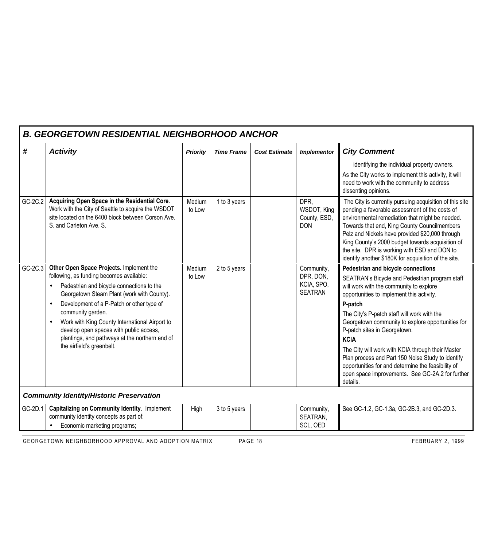| <b>B. GEORGETOWN RESIDENTIAL NEIGHBORHOOD ANCHOR</b>                                                                                                                                                                                                                                                                                                                                                                                                                 |                                                 |                   |                      |                                                         |                                                                                                                                                                                                                                                                                                                                                                                                                                                                                                                                                                            |  |  |  |  |
|----------------------------------------------------------------------------------------------------------------------------------------------------------------------------------------------------------------------------------------------------------------------------------------------------------------------------------------------------------------------------------------------------------------------------------------------------------------------|-------------------------------------------------|-------------------|----------------------|---------------------------------------------------------|----------------------------------------------------------------------------------------------------------------------------------------------------------------------------------------------------------------------------------------------------------------------------------------------------------------------------------------------------------------------------------------------------------------------------------------------------------------------------------------------------------------------------------------------------------------------------|--|--|--|--|
| <b>Activity</b>                                                                                                                                                                                                                                                                                                                                                                                                                                                      | <b>Priority</b>                                 | <b>Time Frame</b> | <b>Cost Estimate</b> | <b>Implementor</b>                                      | <b>City Comment</b>                                                                                                                                                                                                                                                                                                                                                                                                                                                                                                                                                        |  |  |  |  |
|                                                                                                                                                                                                                                                                                                                                                                                                                                                                      |                                                 |                   |                      |                                                         | identifying the individual property owners.<br>As the City works to implement this activity, it will<br>need to work with the community to address<br>dissenting opinions.                                                                                                                                                                                                                                                                                                                                                                                                 |  |  |  |  |
| Acquiring Open Space in the Residential Core.<br>Work with the City of Seattle to acquire the WSDOT<br>site located on the 6400 block between Corson Ave.<br>S. and Carleton Ave. S.                                                                                                                                                                                                                                                                                 | Medium<br>to Low                                | 1 to 3 years      |                      | DPR,<br>WSDOT, King<br>County, ESD,<br><b>DON</b>       | The City is currently pursuing acquisition of this site<br>pending a favorable assessment of the costs of<br>environmental remediation that might be needed.<br>Towards that end, King County Councilmembers<br>Pelz and Nickels have provided \$20,000 through<br>King County's 2000 budget towards acquisition of<br>the site. DPR is working with ESD and DON to<br>identify another \$180K for acquisition of the site.                                                                                                                                                |  |  |  |  |
| Other Open Space Projects. Implement the<br>following, as funding becomes available:<br>Pedestrian and bicycle connections to the<br>$\bullet$<br>Georgetown Steam Plant (work with County).<br>Development of a P-Patch or other type of<br>$\bullet$<br>community garden.<br>Work with King County International Airport to<br>$\bullet$<br>develop open spaces with public access,<br>plantings, and pathways at the northern end of<br>the airfield's greenbelt. | Medium<br>to Low                                | 2 to 5 years      |                      | Community,<br>DPR, DON,<br>KCIA, SPO,<br><b>SEATRAN</b> | Pedestrian and bicycle connections<br>SEATRAN's Bicycle and Pedestrian program staff<br>will work with the community to explore<br>opportunities to implement this activity.<br>P-patch<br>The City's P-patch staff will work with the<br>Georgetown community to explore opportunities for<br>P-patch sites in Georgetown.<br><b>KCIA</b><br>The City will work with KCIA through their Master<br>Plan process and Part 150 Noise Study to identify<br>opportunities for and determine the feasibility of<br>open space improvements. See GC-2A.2 for further<br>details. |  |  |  |  |
|                                                                                                                                                                                                                                                                                                                                                                                                                                                                      |                                                 |                   |                      |                                                         |                                                                                                                                                                                                                                                                                                                                                                                                                                                                                                                                                                            |  |  |  |  |
| <b>Capitalizing on Community Identity. Implement</b><br>community identity concepts as part of:<br>Economic marketing programs;                                                                                                                                                                                                                                                                                                                                      | High                                            | 3 to 5 years      |                      | Community,<br>SEATRAN,<br>SCL, OED                      | See GC-1.2, GC-1.3a, GC-2B.3, and GC-2D.3.                                                                                                                                                                                                                                                                                                                                                                                                                                                                                                                                 |  |  |  |  |
|                                                                                                                                                                                                                                                                                                                                                                                                                                                                      | <b>Community Identity/Historic Preservation</b> |                   |                      |                                                         |                                                                                                                                                                                                                                                                                                                                                                                                                                                                                                                                                                            |  |  |  |  |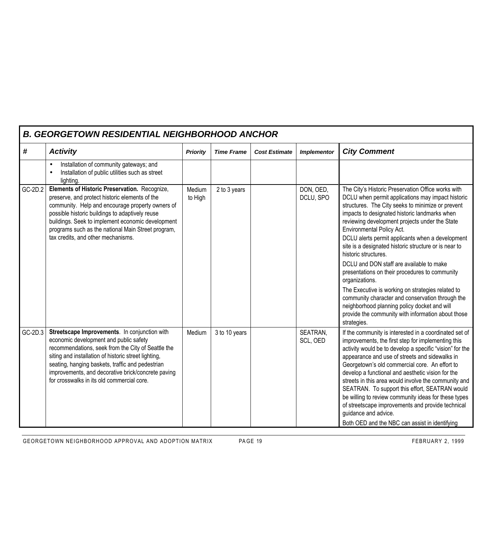| <b>B. GEORGETOWN RESIDENTIAL NEIGHBORHOOD ANCHOR</b> |                                                                                                                                                                                                                                                                                                                                                               |                   |                   |                      |                        |                                                                                                                                                                                                                                                                                                                                                                                                                                                                                                                                                                                                                                                                                                                                                                                 |  |  |  |
|------------------------------------------------------|---------------------------------------------------------------------------------------------------------------------------------------------------------------------------------------------------------------------------------------------------------------------------------------------------------------------------------------------------------------|-------------------|-------------------|----------------------|------------------------|---------------------------------------------------------------------------------------------------------------------------------------------------------------------------------------------------------------------------------------------------------------------------------------------------------------------------------------------------------------------------------------------------------------------------------------------------------------------------------------------------------------------------------------------------------------------------------------------------------------------------------------------------------------------------------------------------------------------------------------------------------------------------------|--|--|--|
| #                                                    | <b>Activity</b>                                                                                                                                                                                                                                                                                                                                               | <b>Priority</b>   | <b>Time Frame</b> | <b>Cost Estimate</b> | <b>Implementor</b>     | <b>City Comment</b>                                                                                                                                                                                                                                                                                                                                                                                                                                                                                                                                                                                                                                                                                                                                                             |  |  |  |
|                                                      | Installation of community gateways; and<br>Installation of public utilities such as street<br>lighting.                                                                                                                                                                                                                                                       |                   |                   |                      |                        |                                                                                                                                                                                                                                                                                                                                                                                                                                                                                                                                                                                                                                                                                                                                                                                 |  |  |  |
| GC-2D.2                                              | Elements of Historic Preservation. Recognize,<br>preserve, and protect historic elements of the<br>community. Help and encourage property owners of<br>possible historic buildings to adaptively reuse<br>buildings. Seek to implement economic development<br>programs such as the national Main Street program,<br>tax credits, and other mechanisms.       | Medium<br>to High | 2 to 3 years      |                      | DON, OED,<br>DCLU, SPO | The City's Historic Preservation Office works with<br>DCLU when permit applications may impact historic<br>structures. The City seeks to minimize or prevent<br>impacts to designated historic landmarks when<br>reviewing development projects under the State<br>Environmental Policy Act.<br>DCLU alerts permit applicants when a development<br>site is a designated historic structure or is near to<br>historic structures.<br>DCLU and DON staff are available to make<br>presentations on their procedures to community<br>organizations.<br>The Executive is working on strategies related to<br>community character and conservation through the<br>neighborhood planning policy docket and will<br>provide the community with information about those<br>strategies. |  |  |  |
| GC-2D.3                                              | Streetscape Improvements. In conjunction with<br>economic development and public safety<br>recommendations, seek from the City of Seattle the<br>siting and installation of historic street lighting,<br>seating, hanging baskets, traffic and pedestrian<br>improvements, and decorative brick/concrete paving<br>for crosswalks in its old commercial core. | Medium            | 3 to 10 years     |                      | SEATRAN,<br>SCL, OED   | If the community is interested in a coordinated set of<br>improvements, the first step for implementing this<br>activity would be to develop a specific "vision" for the<br>appearance and use of streets and sidewalks in<br>Georgetown's old commercial core. An effort to<br>develop a functional and aesthetic vision for the<br>streets in this area would involve the community and<br>SEATRAN. To support this effort, SEATRAN would<br>be willing to review community ideas for these types<br>of streetscape improvements and provide technical<br>guidance and advice.<br>Both OED and the NBC can assist in identifying                                                                                                                                              |  |  |  |

GEORGETOWN NEIGHBORHOOD APPROVAL AND ADOPTION MATRIX PAGE 19 FEBRUARY 2, 1999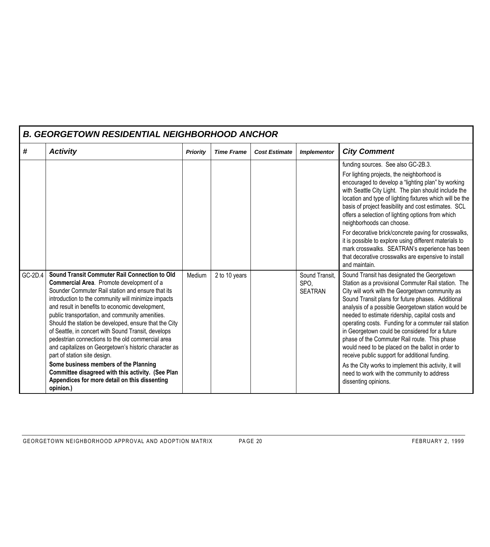| <b>B. GEORGETOWN RESIDENTIAL NEIGHBORHOOD ANCHOR</b> |                                                                                                                                                                                                                                                                                                                                                                                                                                                                                                                                                                                                                                                                                                                                        |                 |                   |                      |                                          |                                                                                                                                                                                                                                                                                                                                                                                                                                                                                                                                                                                                                                                                                                                     |  |  |  |
|------------------------------------------------------|----------------------------------------------------------------------------------------------------------------------------------------------------------------------------------------------------------------------------------------------------------------------------------------------------------------------------------------------------------------------------------------------------------------------------------------------------------------------------------------------------------------------------------------------------------------------------------------------------------------------------------------------------------------------------------------------------------------------------------------|-----------------|-------------------|----------------------|------------------------------------------|---------------------------------------------------------------------------------------------------------------------------------------------------------------------------------------------------------------------------------------------------------------------------------------------------------------------------------------------------------------------------------------------------------------------------------------------------------------------------------------------------------------------------------------------------------------------------------------------------------------------------------------------------------------------------------------------------------------------|--|--|--|
| #                                                    | <b>Activity</b>                                                                                                                                                                                                                                                                                                                                                                                                                                                                                                                                                                                                                                                                                                                        | <b>Priority</b> | <b>Time Frame</b> | <b>Cost Estimate</b> | <b>Implementor</b>                       | <b>City Comment</b>                                                                                                                                                                                                                                                                                                                                                                                                                                                                                                                                                                                                                                                                                                 |  |  |  |
|                                                      |                                                                                                                                                                                                                                                                                                                                                                                                                                                                                                                                                                                                                                                                                                                                        |                 |                   |                      |                                          | funding sources. See also GC-2B.3.<br>For lighting projects, the neighborhood is<br>encouraged to develop a "lighting plan" by working<br>with Seattle City Light. The plan should include the<br>location and type of lighting fixtures which will be the<br>basis of project feasibility and cost estimates. SCL<br>offers a selection of lighting options from which<br>neighborhoods can choose.<br>For decorative brick/concrete paving for crosswalks,<br>it is possible to explore using different materials to<br>mark crosswalks. SEATRAN's experience has been<br>that decorative crosswalks are expensive to install<br>and maintain.                                                                    |  |  |  |
| GC-2D.4                                              | Sound Transit Commuter Rail Connection to Old<br>Commercial Area. Promote development of a<br>Sounder Commuter Rail station and ensure that its<br>introduction to the community will minimize impacts<br>and result in benefits to economic development,<br>public transportation, and community amenities.<br>Should the station be developed, ensure that the City<br>of Seattle, in concert with Sound Transit, develops<br>pedestrian connections to the old commercial area<br>and capitalizes on Georgetown's historic character as<br>part of station site design.<br>Some business members of the Planning<br>Committee disagreed with this activity. (See Plan<br>Appendices for more detail on this dissenting<br>opinion.) | Medium          | 2 to 10 years     |                      | Sound Transit,<br>SPO.<br><b>SEATRAN</b> | Sound Transit has designated the Georgetown<br>Station as a provisional Commuter Rail station. The<br>City will work with the Georgetown community as<br>Sound Transit plans for future phases. Additional<br>analysis of a possible Georgetown station would be<br>needed to estimate ridership, capital costs and<br>operating costs. Funding for a commuter rail station<br>in Georgetown could be considered for a future<br>phase of the Commuter Rail route. This phase<br>would need to be placed on the ballot in order to<br>receive public support for additional funding.<br>As the City works to implement this activity, it will<br>need to work with the community to address<br>dissenting opinions. |  |  |  |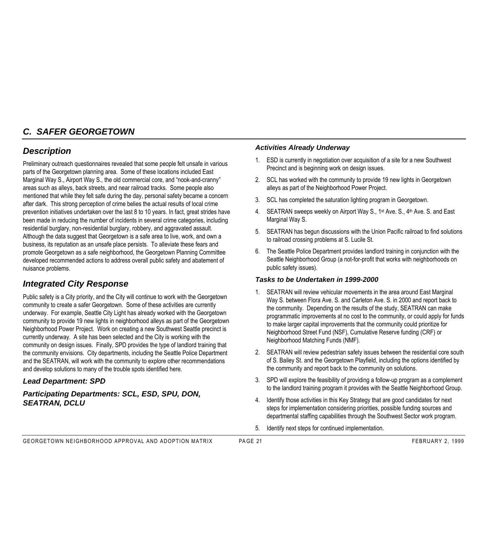## *C. SAFER GEORGETOWN*

## *Description*

Preliminary outreach questionnaires revealed that some people felt unsafe in various parts of the Georgetown planning area. Some of these locations included East Marginal Way S., Airport Way S., the old commercial core, and "nook-and-cranny" areas such as alleys, back streets, and near railroad tracks. Some people also mentioned that while they felt safe during the day, personal safety became a concern after dark. This strong perception of crime belies the actual results of local crime prevention initiatives undertaken over the last 8 to 10 years. In fact, great strides have been made in reducing the number of incidents in several crime categories, including residential burglary, non-residential burglary, robbery, and aggravated assault. Although the data suggest that Georgetown is a safe area to live, work, and own a business, its reputation as an unsafe place persists. To alleviate these fears and promote Georgetown as a safe neighborhood, the Georgetown Planning Committee developed recommended actions to address overall public safety and abatement of nuisance problems.

## *Integrated City Response*

Public safety is a City priority, and the City will continue to work with the Georgetown community to create a safer Georgetown. Some of these activities are currently underway. For example, Seattle City Light has already worked with the Georgetown community to provide 19 new lights in neighborhood alleys as part of the Georgetown Neighborhood Power Project. Work on creating a new Southwest Seattle precinct is currently underway. A site has been selected and the City is working with the community on design issues. Finally, SPD provides the type of landlord training that the community envisions. City departments, including the Seattle Police Department and the SEATRAN, will work with the community to explore other recommendations and develop solutions to many of the trouble spots identified here.

### *Lead Department: SPD*

*Participating Departments: SCL, ESD, SPU, DON, SEATRAN, DCLU*

#### *Activities Already Underway*

- 1. ESD is currently in negotiation over acquisition of a site for a new Southwest Precinct and is beginning work on design issues.
- 2. SCL has worked with the community to provide 19 new lights in Georgetown alleys as part of the Neighborhood Power Project.
- 3. SCL has completed the saturation lighting program in Georgetown.
- 4. SEATRAN sweeps weekly on Airport Way S., 1<sup>st</sup> Ave. S., 4<sup>th</sup> Ave. S. and East Marginal Way S.
- 5. SEATRAN has begun discussions with the Union Pacific railroad to find solutions to railroad crossing problems at S. Lucile St.
- 6. The Seattle Police Department provides landlord training in conjunction with the Seattle Neighborhood Group (a not-for-profit that works with neighborhoods on public safety issues).

#### *Tasks to be Undertaken in 1999-2000*

- 1. SEATRAN will review vehicular movements in the area around East Marginal Way S. between Flora Ave. S. and Carleton Ave. S. in 2000 and report back to the community. Depending on the results of the study, SEATRAN can make programmatic improvements at no cost to the community, or could apply for funds to make larger capital improvements that the community could prioritize for Neighborhood Street Fund (NSF), Cumulative Reserve funding (CRF) or Neighborhood Matching Funds (NMF).
- 2. SEATRAN will review pedestrian safety issues between the residential core south of S. Bailey St. and the Georgetown Playfield, including the options identified by the community and report back to the community on solutions.
- 3. SPD will explore the feasibility of providing a follow-up program as a complement to the landlord training program it provides with the Seattle Neighborhood Group.
- 4. Identify those activities in this Key Strategy that are good candidates for next steps for implementation considering priorities, possible funding sources and departmental staffing capabilities through the Southwest Sector work program.
- 5. Identify next steps for continued implementation.

GEORGETOWN NEIGHBORHOOD APPROVAL AND ADOPTION MATRIX PAGE 21 FEBRUARY 2, 1999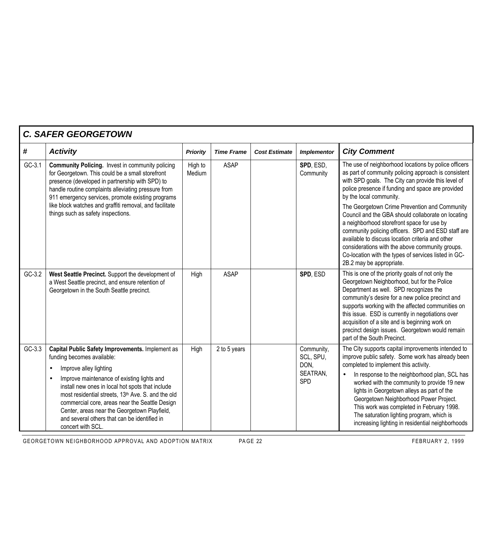|          | <b>C. SAFER GEORGETOWN</b>                                                                                                                                                                                                                                                                                                                                                                                                              |                   |                   |                      |                                                           |                                                                                                                                                                                                                                                                                                                                                                                                                                                                                        |  |  |  |  |
|----------|-----------------------------------------------------------------------------------------------------------------------------------------------------------------------------------------------------------------------------------------------------------------------------------------------------------------------------------------------------------------------------------------------------------------------------------------|-------------------|-------------------|----------------------|-----------------------------------------------------------|----------------------------------------------------------------------------------------------------------------------------------------------------------------------------------------------------------------------------------------------------------------------------------------------------------------------------------------------------------------------------------------------------------------------------------------------------------------------------------------|--|--|--|--|
| #        | <b>Activity</b>                                                                                                                                                                                                                                                                                                                                                                                                                         | <b>Priority</b>   | <b>Time Frame</b> | <b>Cost Estimate</b> | <b>Implementor</b>                                        | <b>City Comment</b>                                                                                                                                                                                                                                                                                                                                                                                                                                                                    |  |  |  |  |
| $GC-3.1$ | <b>Community Policing.</b> Invest in community policing<br>for Georgetown. This could be a small storefront<br>presence (developed in partnership with SPD) to<br>handle routine complaints alleviating pressure from<br>911 emergency services, promote existing programs                                                                                                                                                              | High to<br>Medium | <b>ASAP</b>       |                      | SPD, ESD,<br>Community                                    | The use of neighborhood locations by police officers<br>as part of community policing approach is consistent<br>with SPD goals. The City can provide this level of<br>police presence if funding and space are provided<br>by the local community.                                                                                                                                                                                                                                     |  |  |  |  |
|          | like block watches and graffiti removal, and facilitate<br>things such as safety inspections.                                                                                                                                                                                                                                                                                                                                           |                   |                   |                      |                                                           | The Georgetown Crime Prevention and Community<br>Council and the GBA should collaborate on locating<br>a neighborhood storefront space for use by<br>community policing officers. SPD and ESD staff are<br>available to discuss location criteria and other<br>considerations with the above community groups.<br>Co-location with the types of services listed in GC-<br>2B.2 may be appropriate.                                                                                     |  |  |  |  |
| $GC-3.2$ | West Seattle Precinct. Support the development of<br>a West Seattle precinct, and ensure retention of<br>Georgetown in the South Seattle precinct.                                                                                                                                                                                                                                                                                      | High              | <b>ASAP</b>       |                      | SPD, ESD                                                  | This is one of the priority goals of not only the<br>Georgetown Neighborhood, but for the Police<br>Department as well. SPD recognizes the<br>community's desire for a new police precinct and<br>supports working with the affected communities on<br>this issue. ESD is currently in negotiations over<br>acquisition of a site and is beginning work on<br>precinct design issues. Georgetown would remain<br>part of the South Precinct.                                           |  |  |  |  |
| $GC-3.3$ | Capital Public Safety Improvements. Implement as<br>funding becomes available:<br>Improve alley lighting<br>Improve maintenance of existing lights and<br>install new ones in local hot spots that include<br>most residential streets, 13th Ave. S. and the old<br>commercial core, areas near the Seattle Design<br>Center, areas near the Georgetown Playfield,<br>and several others that can be identified in<br>concert with SCL. | High              | 2 to 5 years      |                      | Community,<br>SCL, SPU,<br>DON,<br>SEATRAN,<br><b>SPD</b> | The City supports capital improvements intended to<br>improve public safety. Some work has already been<br>completed to implement this activity.<br>In response to the neighborhood plan, SCL has<br>worked with the community to provide 19 new<br>lights in Georgetown alleys as part of the<br>Georgetown Neighborhood Power Project.<br>This work was completed in February 1998.<br>The saturation lighting program, which is<br>increasing lighting in residential neighborhoods |  |  |  |  |

GEORGETOWN NEIGHBORHOOD APPROVAL AND ADOPTION MATRIX PAGE 22 FEBRUARY 2, 1999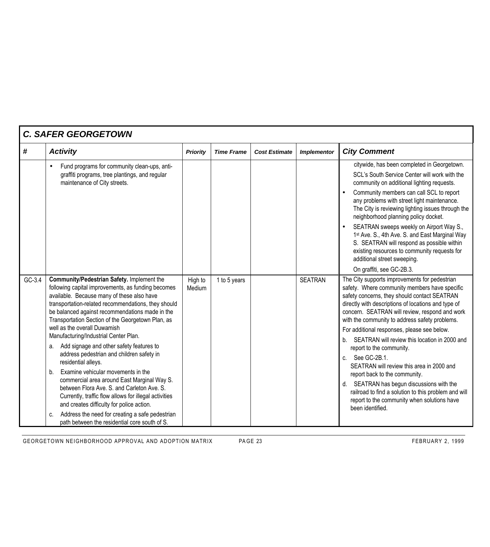| <b>C. SAFER GEORGETOWN</b> |                                                                                                                                                                                                                                                                                                                                                                                                                                                                                                                                                                                                                                                                                                                                                                                                                                                                       |                   |                   |                      |                    |                                                                                                                                                                                                                                                                                                                                                                                                                                                                                                                                                                                                                                                                                                                         |  |  |  |
|----------------------------|-----------------------------------------------------------------------------------------------------------------------------------------------------------------------------------------------------------------------------------------------------------------------------------------------------------------------------------------------------------------------------------------------------------------------------------------------------------------------------------------------------------------------------------------------------------------------------------------------------------------------------------------------------------------------------------------------------------------------------------------------------------------------------------------------------------------------------------------------------------------------|-------------------|-------------------|----------------------|--------------------|-------------------------------------------------------------------------------------------------------------------------------------------------------------------------------------------------------------------------------------------------------------------------------------------------------------------------------------------------------------------------------------------------------------------------------------------------------------------------------------------------------------------------------------------------------------------------------------------------------------------------------------------------------------------------------------------------------------------------|--|--|--|
| #                          | <b>Activity</b>                                                                                                                                                                                                                                                                                                                                                                                                                                                                                                                                                                                                                                                                                                                                                                                                                                                       | <b>Priority</b>   | <b>Time Frame</b> | <b>Cost Estimate</b> | <b>Implementor</b> | <b>City Comment</b>                                                                                                                                                                                                                                                                                                                                                                                                                                                                                                                                                                                                                                                                                                     |  |  |  |
|                            | Fund programs for community clean-ups, anti-<br>graffiti programs, tree plantings, and regular<br>maintenance of City streets.                                                                                                                                                                                                                                                                                                                                                                                                                                                                                                                                                                                                                                                                                                                                        |                   |                   |                      |                    | citywide, has been completed in Georgetown.<br>SCL's South Service Center will work with the<br>community on additional lighting requests.<br>Community members can call SCL to report<br>any problems with street light maintenance.<br>The City is reviewing lighting issues through the<br>neighborhood planning policy docket.<br>SEATRAN sweeps weekly on Airport Way S.,<br>1st Ave. S., 4th Ave. S. and East Marginal Way<br>S. SEATRAN will respond as possible within<br>existing resources to community requests for<br>additional street sweeping.<br>On graffiti, see GC-2B.3.                                                                                                                              |  |  |  |
| $GC-3.4$                   | Community/Pedestrian Safety. Implement the<br>following capital improvements, as funding becomes<br>available. Because many of these also have<br>transportation-related recommendations, they should<br>be balanced against recommendations made in the<br>Transportation Section of the Georgetown Plan, as<br>well as the overall Duwamish<br>Manufacturing/Industrial Center Plan.<br>Add signage and other safety features to<br>а.<br>address pedestrian and children safety in<br>residential alleys.<br>Examine vehicular movements in the<br>b.<br>commercial area around East Marginal Way S.<br>between Flora Ave. S. and Carleton Ave. S.<br>Currently, traffic flow allows for illegal activities<br>and creates difficulty for police action.<br>Address the need for creating a safe pedestrian<br>C.<br>path between the residential core south of S. | High to<br>Medium | 1 to 5 years      |                      | <b>SEATRAN</b>     | The City supports improvements for pedestrian<br>safety. Where community members have specific<br>safety concerns, they should contact SEATRAN<br>directly with descriptions of locations and type of<br>concern. SEATRAN will review, respond and work<br>with the community to address safety problems.<br>For additional responses, please see below.<br>SEATRAN will review this location in 2000 and<br>b.<br>report to the community.<br>See GC-2B.1.<br>C.<br>SEATRAN will review this area in 2000 and<br>report back to the community.<br>d. SEATRAN has begun discussions with the<br>railroad to find a solution to this problem and will<br>report to the community when solutions have<br>been identified. |  |  |  |

GEORGETOWN NEIGHBORHOOD APPROVAL AND ADOPTION MATRIX PAGE 23 FEBRUARY 2, 1999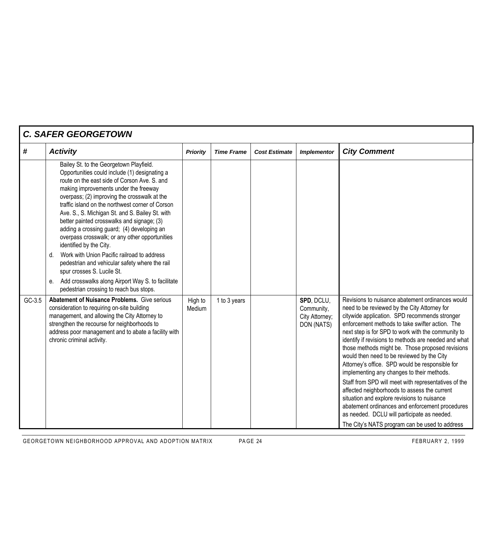| <b>C. SAFER GEORGETOWN</b> |                                                                                                                                                                                                                                                                                                                                                                                                                                                                                                                                                                                                                                                                                                                                                                       |                   |                   |                      |                                                          |                                                                                                                                                                                                                                                                                                                                                                                                                                                                                                                                                                                                                                                                                                                                                                                                                                  |  |  |
|----------------------------|-----------------------------------------------------------------------------------------------------------------------------------------------------------------------------------------------------------------------------------------------------------------------------------------------------------------------------------------------------------------------------------------------------------------------------------------------------------------------------------------------------------------------------------------------------------------------------------------------------------------------------------------------------------------------------------------------------------------------------------------------------------------------|-------------------|-------------------|----------------------|----------------------------------------------------------|----------------------------------------------------------------------------------------------------------------------------------------------------------------------------------------------------------------------------------------------------------------------------------------------------------------------------------------------------------------------------------------------------------------------------------------------------------------------------------------------------------------------------------------------------------------------------------------------------------------------------------------------------------------------------------------------------------------------------------------------------------------------------------------------------------------------------------|--|--|
| #                          | <b>Activity</b>                                                                                                                                                                                                                                                                                                                                                                                                                                                                                                                                                                                                                                                                                                                                                       | <b>Priority</b>   | <b>Time Frame</b> | <b>Cost Estimate</b> | <b>Implementor</b>                                       | <b>City Comment</b>                                                                                                                                                                                                                                                                                                                                                                                                                                                                                                                                                                                                                                                                                                                                                                                                              |  |  |
|                            | Bailey St. to the Georgetown Playfield.<br>Opportunities could include (1) designating a<br>route on the east side of Corson Ave. S. and<br>making improvements under the freeway<br>overpass; (2) improving the crosswalk at the<br>traffic island on the northwest corner of Corson<br>Ave. S., S. Michigan St. and S. Bailey St. with<br>better painted crosswalks and signage; (3)<br>adding a crossing guard; (4) developing an<br>overpass crosswalk; or any other opportunities<br>identified by the City.<br>Work with Union Pacific railroad to address<br>$d_{\cdot}$<br>pedestrian and vehicular safety where the rail<br>spur crosses S. Lucile St.<br>Add crosswalks along Airport Way S. to facilitate<br>е.<br>pedestrian crossing to reach bus stops. |                   |                   |                      |                                                          |                                                                                                                                                                                                                                                                                                                                                                                                                                                                                                                                                                                                                                                                                                                                                                                                                                  |  |  |
| GC-3.5                     | <b>Abatement of Nuisance Problems.</b> Give serious<br>consideration to requiring on-site building<br>management, and allowing the City Attorney to<br>strengthen the recourse for neighborhoods to<br>address poor management and to abate a facility with<br>chronic criminal activity.                                                                                                                                                                                                                                                                                                                                                                                                                                                                             | High to<br>Medium | 1 to 3 years      |                      | SPD, DCLU,<br>Community,<br>City Attorney;<br>DON (NATS) | Revisions to nuisance abatement ordinances would<br>need to be reviewed by the City Attorney for<br>citywide application. SPD recommends stronger<br>enforcement methods to take swifter action. The<br>next step is for SPD to work with the community to<br>identify if revisions to methods are needed and what<br>those methods might be. Those proposed revisions<br>would then need to be reviewed by the City<br>Attorney's office. SPD would be responsible for<br>implementing any changes to their methods.<br>Staff from SPD will meet with representatives of the<br>affected neighborhoods to assess the current<br>situation and explore revisions to nuisance<br>abatement ordinances and enforcement procedures<br>as needed. DCLU will participate as needed.<br>The City's NATS program can be used to address |  |  |

GEORGETOWN NEIGHBORHOOD APPROVAL AND ADOPTION MATRIX PAGE 24 FEBRUARY 2, 1999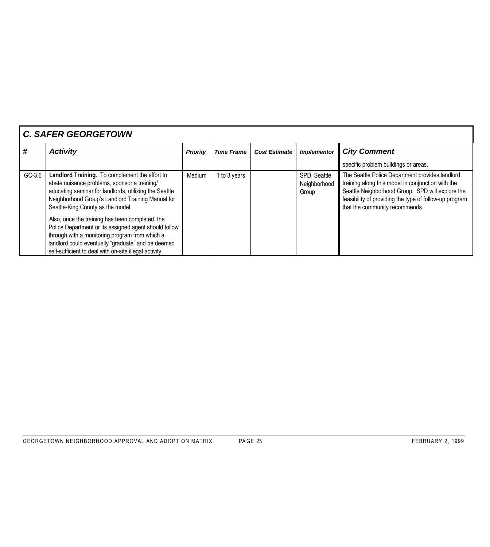| <b>C. SAFER GEORGETOWN</b> |                                                                                                                                                                                                                                                                            |                 |                   |                      |                                       |                                                                                                                                                                                                                                                      |  |  |
|----------------------------|----------------------------------------------------------------------------------------------------------------------------------------------------------------------------------------------------------------------------------------------------------------------------|-----------------|-------------------|----------------------|---------------------------------------|------------------------------------------------------------------------------------------------------------------------------------------------------------------------------------------------------------------------------------------------------|--|--|
| #                          | <b>Activity</b>                                                                                                                                                                                                                                                            | <b>Priority</b> | <b>Time Frame</b> | <b>Cost Estimate</b> | <b>Implementor</b>                    | <b>City Comment</b>                                                                                                                                                                                                                                  |  |  |
|                            |                                                                                                                                                                                                                                                                            |                 |                   |                      |                                       | specific problem buildings or areas.                                                                                                                                                                                                                 |  |  |
| GC-3.6                     | Landlord Training. To complement the effort to<br>abate nuisance problems, sponsor a training/<br>educating seminar for landlords, utilizing the Seattle<br>Neighborhood Group's Landlord Training Manual for<br>Seattle-King County as the model.                         | Medium          | 1 to 3 years      |                      | SPD, Seattle<br>Neighborhood<br>Group | The Seattle Police Department provides landlord<br>training along this model in conjunction with the<br>Seattle Neighborhood Group. SPD will explore the<br>feasibility of providing the type of follow-up program<br>that the community recommends. |  |  |
|                            | Also, once the training has been completed, the<br>Police Department or its assigned agent should follow<br>through with a monitoring program from which a<br>landlord could eventually "graduate" and be deemed<br>self-sufficient to deal with on-site illegal activity. |                 |                   |                      |                                       |                                                                                                                                                                                                                                                      |  |  |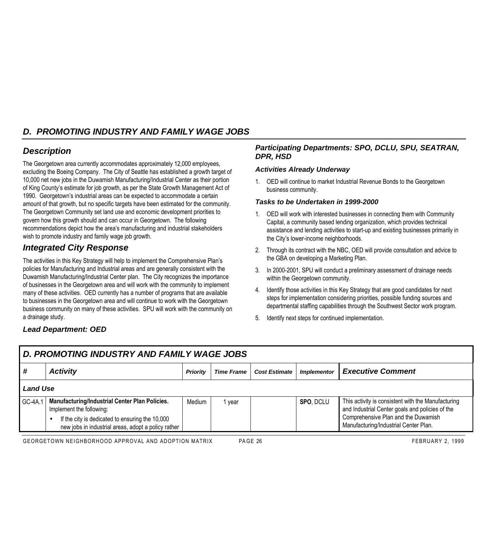# *D. PROMOTING INDUSTRY AND FAMILY WAGE JOBS*

## *Description*

The Georgetown area currently accommodates approximately 12,000 employees, excluding the Boeing Company. The City of Seattle has established a growth target of 10,000 net new jobs in the Duwamish Manufacturing/Industrial Center as their portion of King County's estimate for job growth, as per the State Growth Management Act of 1990. Georgetown's industrial areas can be expected to accommodate a certain amount of that growth, but no specific targets have been estimated for the community. The Georgetown Community set land use and economic development priorities to govern how this growth should and can occur in Georgetown. The following recommendations depict how the area's manufacturing and industrial stakeholders wish to promote industry and family wage job growth.

# *Integrated City Response*

The activities in this Key Strategy will help to implement the Comprehensive Plan's policies for Manufacturing and Industrial areas and are generally consistent with the Duwamish Manufacturing/Industrial Center plan. The City recognizes the importance of businesses in the Georgetown area and will work with the community to implement many of these activities. OED currently has a number of programs that are available to businesses in the Georgetown area and will continue to work with the Georgetown business community on many of these activities. SPU will work with the community on a drainage study.

### *Participating Departments: SPO, DCLU, SPU, SEATRAN, DPR, HSD*

### *Activities Already Underway*

1. OED will continue to market Industrial Revenue Bonds to the Georgetown business community.

#### *Tasks to be Undertaken in 1999-2000*

- 1. OED will work with interested businesses in connecting them with Community Capital, a community based lending organization, which provides technical assistance and lending activities to start-up and existing businesses primarily in the City's lower-income neighborhoods.
- 2. Through its contract with the NBC, OED will provide consultation and advice to the GBA on developing a Marketing Plan.
- 3. In 2000-2001, SPU will conduct a preliminary assessment of drainage needs within the Georgetown community.
- 4. Identify those activities in this Key Strategy that are good candidates for next steps for implementation considering priorities, possible funding sources and departmental staffing capabilities through the Southwest Sector work program.
- 5. Identify next steps for continued implementation.

## *Lead Department: OED*

| D. PROMOTING INDUSTRY AND FAMILY WAGE JOBS |                                                                                                                                                                                      |                 |                     |                      |                    |                                                                                                                                                                                       |  |  |
|--------------------------------------------|--------------------------------------------------------------------------------------------------------------------------------------------------------------------------------------|-----------------|---------------------|----------------------|--------------------|---------------------------------------------------------------------------------------------------------------------------------------------------------------------------------------|--|--|
| #                                          | <b>Activity</b>                                                                                                                                                                      | <b>Priority</b> | <b>Time Frame</b> 1 | <b>Cost Estimate</b> | <b>Implementor</b> | <b>Executive Comment</b>                                                                                                                                                              |  |  |
| <b>Land Use</b>                            |                                                                                                                                                                                      |                 |                     |                      |                    |                                                                                                                                                                                       |  |  |
| GC-4A.1                                    | Manufacturing/Industrial Center Plan Policies.<br>Implement the following:<br>If the city is dedicated to ensuring the 10,000<br>new jobs in industrial areas, adopt a policy rather | Medium          | vear                |                      | <b>SPO, DCLU</b>   | This activity is consistent with the Manufacturing<br>and Industrial Center goals and policies of the<br>Comprehensive Plan and the Duwamish<br>Manufacturing/Industrial Center Plan. |  |  |

GEORGETOWN NEIGHBORHOOD APPROVAL AND ADOPTION MATRIX PAGE 26 FEBRUARY 2, 1999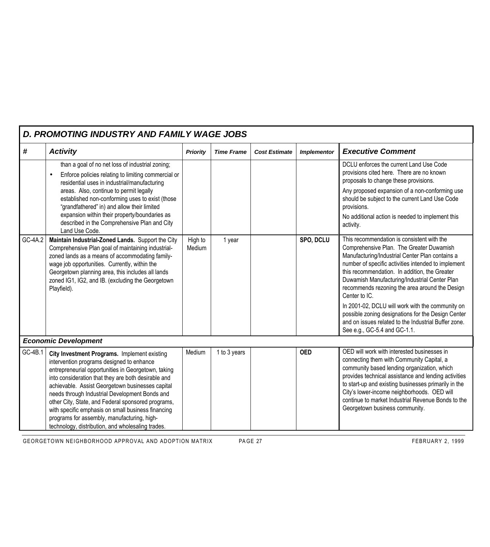| D. PROMOTING INDUSTRY AND FAMILY WAGE JOBS |                                                                                                                                                                                                                                                                                                                                                                                                                                                                                                                               |                   |                   |                      |                    |                                                                                                                                                                                                                                                                                                                                                                                                                                                                                                                                                                         |  |  |  |
|--------------------------------------------|-------------------------------------------------------------------------------------------------------------------------------------------------------------------------------------------------------------------------------------------------------------------------------------------------------------------------------------------------------------------------------------------------------------------------------------------------------------------------------------------------------------------------------|-------------------|-------------------|----------------------|--------------------|-------------------------------------------------------------------------------------------------------------------------------------------------------------------------------------------------------------------------------------------------------------------------------------------------------------------------------------------------------------------------------------------------------------------------------------------------------------------------------------------------------------------------------------------------------------------------|--|--|--|
| #                                          | <b>Activity</b>                                                                                                                                                                                                                                                                                                                                                                                                                                                                                                               | <b>Priority</b>   | <b>Time Frame</b> | <b>Cost Estimate</b> | <b>Implementor</b> | <b>Executive Comment</b>                                                                                                                                                                                                                                                                                                                                                                                                                                                                                                                                                |  |  |  |
|                                            | than a goal of no net loss of industrial zoning;<br>Enforce policies relating to limiting commercial or<br>residential uses in industrial/manufacturing<br>areas. Also, continue to permit legally<br>established non-conforming uses to exist (those<br>"grandfathered" in) and allow their limited<br>expansion within their property/boundaries as<br>described in the Comprehensive Plan and City<br>Land Use Code.                                                                                                       |                   |                   |                      |                    | DCLU enforces the current Land Use Code<br>provisions cited here. There are no known<br>proposals to change these provisions.<br>Any proposed expansion of a non-conforming use<br>should be subject to the current Land Use Code<br>provisions.<br>No additional action is needed to implement this<br>activity.                                                                                                                                                                                                                                                       |  |  |  |
| GC-4A.2                                    | Maintain Industrial-Zoned Lands. Support the City<br>Comprehensive Plan goal of maintaining industrial-<br>zoned lands as a means of accommodating family-<br>wage job opportunities. Currently, within the<br>Georgetown planning area, this includes all lands<br>zoned IG1, IG2, and IB. (excluding the Georgetown<br>Playfield).                                                                                                                                                                                          | High to<br>Medium | 1 year            |                      | SPO, DCLU          | This recommendation is consistent with the<br>Comprehensive Plan. The Greater Duwamish<br>Manufacturing/Industrial Center Plan contains a<br>number of specific activities intended to implement<br>this recommendation. In addition, the Greater<br>Duwamish Manufacturing/Industrial Center Plan<br>recommends rezoning the area around the Design<br>Center to IC.<br>In 2001-02, DCLU will work with the community on<br>possible zoning designations for the Design Center<br>and on issues related to the Industrial Buffer zone.<br>See e.g., GC-5.4 and GC-1.1. |  |  |  |
|                                            | <b>Economic Development</b>                                                                                                                                                                                                                                                                                                                                                                                                                                                                                                   |                   |                   |                      |                    |                                                                                                                                                                                                                                                                                                                                                                                                                                                                                                                                                                         |  |  |  |
| GC-4B.1                                    | City Investment Programs. Implement existing<br>intervention programs designed to enhance<br>entrepreneurial opportunities in Georgetown, taking<br>into consideration that they are both desirable and<br>achievable. Assist Georgetown businesses capital<br>needs through Industrial Development Bonds and<br>other City, State, and Federal sponsored programs,<br>with specific emphasis on small business financing<br>programs for assembly, manufacturing, high-<br>technology, distribution, and wholesaling trades. | Medium            | 1 to 3 years      |                      | <b>OED</b>         | OED will work with interested businesses in<br>connecting them with Community Capital, a<br>community based lending organization, which<br>provides technical assistance and lending activities<br>to start-up and existing businesses primarily in the<br>City's lower-income neighborhoods. OED will<br>continue to market Industrial Revenue Bonds to the<br>Georgetown business community.                                                                                                                                                                          |  |  |  |

GEORGETOWN NEIGHBORHOOD APPROVAL AND ADOPTION MATRIX PAGE 27 PAGE 27 FEBRUARY 2, 1999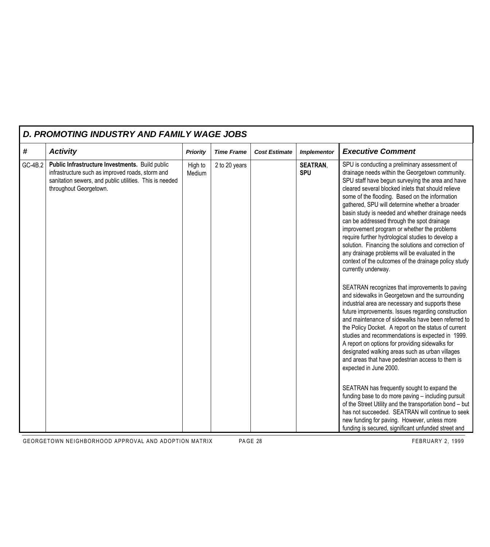|         | D. PROMOTING INDUSTRY AND FAMILY WAGE JOBS                                                                                                                                               |                   |                   |                      |                               |                                                                                                                                                                                                                                                                                                                                                                                                                                                                                                                                                                                                                                                                                                                                                                                                                                                                                                                                                                                                                                                                                                                                                                                                                                                                                                                                                                                                                                                                                                       |  |  |  |  |
|---------|------------------------------------------------------------------------------------------------------------------------------------------------------------------------------------------|-------------------|-------------------|----------------------|-------------------------------|-------------------------------------------------------------------------------------------------------------------------------------------------------------------------------------------------------------------------------------------------------------------------------------------------------------------------------------------------------------------------------------------------------------------------------------------------------------------------------------------------------------------------------------------------------------------------------------------------------------------------------------------------------------------------------------------------------------------------------------------------------------------------------------------------------------------------------------------------------------------------------------------------------------------------------------------------------------------------------------------------------------------------------------------------------------------------------------------------------------------------------------------------------------------------------------------------------------------------------------------------------------------------------------------------------------------------------------------------------------------------------------------------------------------------------------------------------------------------------------------------------|--|--|--|--|
| #       | <b>Activity</b>                                                                                                                                                                          | <b>Priority</b>   | <b>Time Frame</b> | <b>Cost Estimate</b> | <b>Implementor</b>            | <b>Executive Comment</b>                                                                                                                                                                                                                                                                                                                                                                                                                                                                                                                                                                                                                                                                                                                                                                                                                                                                                                                                                                                                                                                                                                                                                                                                                                                                                                                                                                                                                                                                              |  |  |  |  |
| GC-4B.2 | Public Infrastructure Investments. Build public<br>infrastructure such as improved roads, storm and<br>sanitation sewers, and public utilities. This is needed<br>throughout Georgetown. | High to<br>Medium | 2 to 20 years     |                      | <b>SEATRAN,</b><br><b>SPU</b> | SPU is conducting a preliminary assessment of<br>drainage needs within the Georgetown community.<br>SPU staff have begun surveying the area and have<br>cleared several blocked inlets that should relieve<br>some of the flooding. Based on the information<br>gathered, SPU will determine whether a broader<br>basin study is needed and whether drainage needs<br>can be addressed through the spot drainage<br>improvement program or whether the problems<br>require further hydrological studies to develop a<br>solution. Financing the solutions and correction of<br>any drainage problems will be evaluated in the<br>context of the outcomes of the drainage policy study<br>currently underway.<br>SEATRAN recognizes that improvements to paving<br>and sidewalks in Georgetown and the surrounding<br>industrial area are necessary and supports these<br>future improvements. Issues regarding construction<br>and maintenance of sidewalks have been referred to<br>the Policy Docket. A report on the status of current<br>studies and recommendations is expected in 1999.<br>A report on options for providing sidewalks for<br>designated walking areas such as urban villages<br>and areas that have pedestrian access to them is<br>expected in June 2000.<br>SEATRAN has frequently sought to expand the<br>funding base to do more paving - including pursuit<br>of the Street Utility and the transportation bond - but<br>has not succeeded. SEATRAN will continue to seek |  |  |  |  |
|         |                                                                                                                                                                                          |                   |                   |                      |                               | new funding for paving. However, unless more<br>funding is secured, significant unfunded street and                                                                                                                                                                                                                                                                                                                                                                                                                                                                                                                                                                                                                                                                                                                                                                                                                                                                                                                                                                                                                                                                                                                                                                                                                                                                                                                                                                                                   |  |  |  |  |

GEORGETOWN NEIGHBORHOOD APPROVAL AND ADOPTION MATRIX PAGE 28 FEBRUARY 2, 1999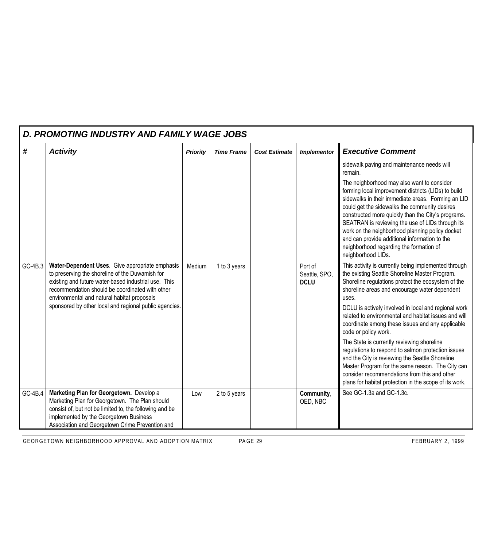| D. PROMOTING INDUSTRY AND FAMILY WAGE JOBS |                                                                                                                                                                                                                                                                                                                        |                 |                   |                      |                                         |                                                                                                                                                                                                                                                                                                                                                                                                                                                                                                                                                                                                                                                                                                                                         |  |  |  |
|--------------------------------------------|------------------------------------------------------------------------------------------------------------------------------------------------------------------------------------------------------------------------------------------------------------------------------------------------------------------------|-----------------|-------------------|----------------------|-----------------------------------------|-----------------------------------------------------------------------------------------------------------------------------------------------------------------------------------------------------------------------------------------------------------------------------------------------------------------------------------------------------------------------------------------------------------------------------------------------------------------------------------------------------------------------------------------------------------------------------------------------------------------------------------------------------------------------------------------------------------------------------------------|--|--|--|
| #                                          | <b>Activity</b>                                                                                                                                                                                                                                                                                                        | <b>Priority</b> | <b>Time Frame</b> | <b>Cost Estimate</b> | <b>Implementor</b>                      | <b>Executive Comment</b>                                                                                                                                                                                                                                                                                                                                                                                                                                                                                                                                                                                                                                                                                                                |  |  |  |
|                                            |                                                                                                                                                                                                                                                                                                                        |                 |                   |                      |                                         | sidewalk paving and maintenance needs will<br>remain.<br>The neighborhood may also want to consider<br>forming local improvement districts (LIDs) to build<br>sidewalks in their immediate areas. Forming an LID<br>could get the sidewalks the community desires<br>constructed more quickly than the City's programs.<br>SEATRAN is reviewing the use of LIDs through its<br>work on the neighborhood planning policy docket<br>and can provide additional information to the<br>neighborhood regarding the formation of<br>neighborhood LIDs.                                                                                                                                                                                        |  |  |  |
| GC-4B.3                                    | Water-Dependent Uses. Give appropriate emphasis<br>to preserving the shoreline of the Duwamish for<br>existing and future water-based industrial use. This<br>recommendation should be coordinated with other<br>environmental and natural habitat proposals<br>sponsored by other local and regional public agencies. | Medium          | 1 to 3 years      |                      | Port of<br>Seattle, SPO,<br><b>DCLU</b> | This activity is currently being implemented through<br>the existing Seattle Shoreline Master Program.<br>Shoreline regulations protect the ecosystem of the<br>shoreline areas and encourage water dependent<br>uses.<br>DCLU is actively involved in local and regional work<br>related to environmental and habitat issues and will<br>coordinate among these issues and any applicable<br>code or policy work.<br>The State is currently reviewing shoreline<br>regulations to respond to salmon protection issues<br>and the City is reviewing the Seattle Shoreline<br>Master Program for the same reason. The City can<br>consider recommendations from this and other<br>plans for habitat protection in the scope of its work. |  |  |  |
| GC-4B.4                                    | Marketing Plan for Georgetown. Develop a<br>Marketing Plan for Georgetown. The Plan should<br>consist of, but not be limited to, the following and be<br>implemented by the Georgetown Business<br>Association and Georgetown Crime Prevention and                                                                     | Low             | 2 to 5 years      |                      | Community,<br>OED, NBC                  | See GC-1.3a and GC-1.3c.                                                                                                                                                                                                                                                                                                                                                                                                                                                                                                                                                                                                                                                                                                                |  |  |  |

GEORGETOWN NEIGHBORHOOD APPROVAL AND ADOPTION MATRIX PAGE 29 FEBRUARY 2, 1999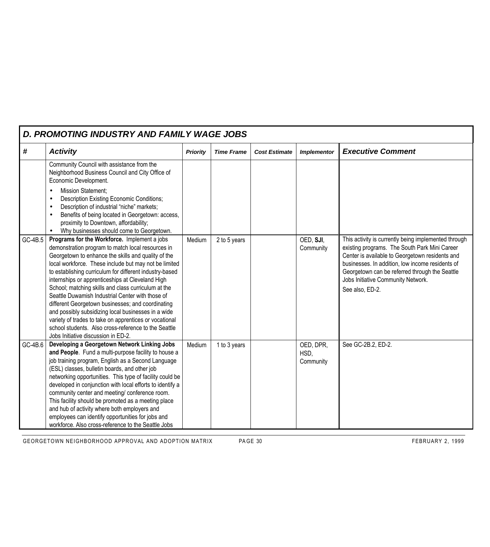|         | D. PROMOTING INDUSTRY AND FAMILY WAGE JOBS                                                                                                                                                                                                                                                                                                                                                                                                                                                                                                                                                                                                                                                                       |                 |                   |                      |                                |                                                                                                                                                                                                                                                                                                                         |
|---------|------------------------------------------------------------------------------------------------------------------------------------------------------------------------------------------------------------------------------------------------------------------------------------------------------------------------------------------------------------------------------------------------------------------------------------------------------------------------------------------------------------------------------------------------------------------------------------------------------------------------------------------------------------------------------------------------------------------|-----------------|-------------------|----------------------|--------------------------------|-------------------------------------------------------------------------------------------------------------------------------------------------------------------------------------------------------------------------------------------------------------------------------------------------------------------------|
| #       | <b>Activity</b>                                                                                                                                                                                                                                                                                                                                                                                                                                                                                                                                                                                                                                                                                                  | <b>Priority</b> | <b>Time Frame</b> | <b>Cost Estimate</b> | <b>Implementor</b>             | <b>Executive Comment</b>                                                                                                                                                                                                                                                                                                |
|         | Community Council with assistance from the<br>Neighborhood Business Council and City Office of<br>Economic Development.<br><b>Mission Statement;</b><br>$\bullet$<br>Description Existing Economic Conditions;<br>$\bullet$<br>Description of industrial "niche" markets;<br>$\bullet$<br>Benefits of being located in Georgetown: access,<br>proximity to Downtown, affordability;<br>Why businesses should come to Georgetown.                                                                                                                                                                                                                                                                                 |                 |                   |                      |                                |                                                                                                                                                                                                                                                                                                                         |
| GC-4B.5 | Programs for the Workforce. Implement a jobs<br>demonstration program to match local resources in<br>Georgetown to enhance the skills and quality of the<br>local workforce. These include but may not be limited<br>to establishing curriculum for different industry-based<br>internships or apprenticeships at Cleveland High<br>School; matching skills and class curriculum at the<br>Seattle Duwamish Industrial Center with those of<br>different Georgetown businesses; and coordinating<br>and possibly subsidizing local businesses in a wide<br>variety of trades to take on apprentices or vocational<br>school students. Also cross-reference to the Seattle<br>Jobs Initiative discussion in ED-2. | Medium          | 2 to 5 years      |                      | OED, SJI,<br>Community         | This activity is currently being implemented through<br>existing programs. The South Park Mini Career<br>Center is available to Georgetown residents and<br>businesses. In addition, low income residents of<br>Georgetown can be referred through the Seattle<br>Jobs Initiative Community Network.<br>See also, ED-2. |
| GC-4B.6 | Developing a Georgetown Network Linking Jobs<br>and People. Fund a multi-purpose facility to house a<br>job training program, English as a Second Language<br>(ESL) classes, bulletin boards, and other job<br>networking opportunities. This type of facility could be<br>developed in conjunction with local efforts to identify a<br>community center and meeting/ conference room.<br>This facility should be promoted as a meeting place<br>and hub of activity where both employers and<br>employees can identify opportunities for jobs and<br>workforce. Also cross-reference to the Seattle Jobs                                                                                                        | Medium          | 1 to 3 years      |                      | OED, DPR,<br>HSD,<br>Community | See GC-2B.2, ED-2.                                                                                                                                                                                                                                                                                                      |

GEORGETOWN NEIGHBORHOOD APPROVAL AND ADOPTION MATRIX PAGE 30 FEBRUARY 2, 1999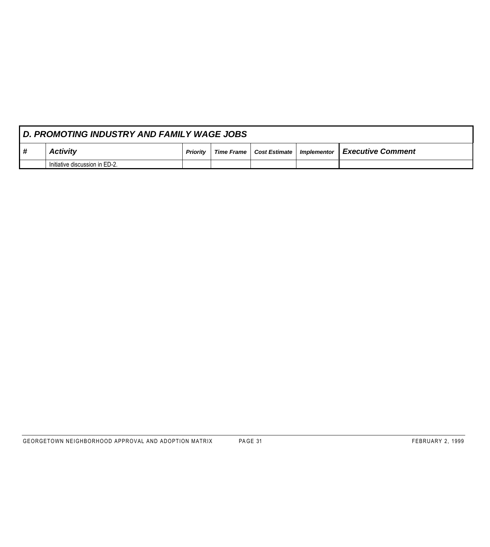|   | <b>D. PROMOTING INDUSTRY AND FAMILY WAGE JOBS</b> |                 |                   |  |  |                                                                       |  |  |  |  |  |
|---|---------------------------------------------------|-----------------|-------------------|--|--|-----------------------------------------------------------------------|--|--|--|--|--|
| # | <b>Activity</b>                                   | <b>Priority</b> | <b>Time Frame</b> |  |  | $\mid$ Cost Estimate $\mid$ Implementor $\parallel$ Executive Comment |  |  |  |  |  |
|   | Initiative discussion in ED-2.                    |                 |                   |  |  |                                                                       |  |  |  |  |  |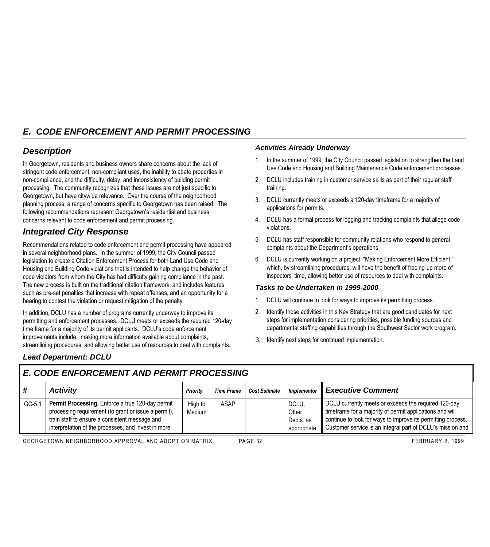# *E. CODE ENFORCEMENT AND PERMIT PROCESSING*

## *Description*

In Georgetown, residents and business owners share concerns about the lack of stringent code enforcement, non-compliant uses, the inability to abate properties in non-compliance, and the difficulty, delay, and inconsistency of building permit processing. The community recognizes that these issues are not just specific to Georgetown, but have citywide relevance. Over the course of the neighborhood planning process, a range of concerns specific to Georgetown has been raised. The following recommendations represent Georgetown's residential and business concerns relevant to code enforcement and permit processing.

# *Integrated City Response*

Recommendations related to code enforcement and permit processing have appeared in several neighborhood plans. In the summer of 1999, the City Council passed legislation to create a Citation Enforcement Process for both Land Use Code and Housing and Building Code violations that is intended to help change the behavior of code violators from whom the City has had difficulty gaining compliance in the past. The new process is built on the traditional citation framework, and includes features such as pre-set penalties that increase with repeat offenses, and an opportunity for a hearing to contest the violation or request mitigation of the penalty.

In addition, DCLU has a number of programs currently underway to improve its permitting and enforcement processes. DCLU meets or exceeds the required 120-day time frame for a majority of its permit applicants. DCLU's code enforcement improvements include: making more information available about complaints, streamlining procedures, and allowing better use of resources to deal with complaints.

#### *Activities Already Underway*

- 1. In the summer of 1999, the City Council passed legislation to strengthen the Land Use Code and Housing and Building Maintenance Code enforcement processes.
- 2. DCLU includes training in customer service skills as part of their regular staff training.
- 3. DCLU currently meets or exceeds a 120-day timeframe for a majority of applications for permits.
- 4. DCLU has a formal process for logging and tracking complaints that allege code violations.
- 5. DCLU has staff responsible for community relations who respond to general complaints about the Department's operations.
- 6. DCLU is currently working on a project, "Making Enforcement More Efficient," which, by streamlining procedures, will have the benefit of freeing-up more of inspectors' time, allowing better use of resources to deal with complaints.

#### *Tasks to be Undertaken in 1999-2000*

- 1. DCLU will continue to look for ways to improve its permitting process.
- 2. Identify those activities in this Key Strategy that are good candidates for next steps for implementation considering priorities, possible funding sources and departmental staffing capabilities through the Southwest Sector work program.
- 3. Identify next steps for continued implementation.

## *Lead Department: DCLU*

# *E. CODE ENFORCEMENT AND PERMIT PROCESSING*

|        | <b>Activity</b>                                                                                                                                                                                                   | <b>Priority</b>   | <b>Time Frame</b> | <b>Cost Estimate</b> | <b>Implementor</b>                         | <b>Executive Comment</b>                                                                                                                                                                                                                       |
|--------|-------------------------------------------------------------------------------------------------------------------------------------------------------------------------------------------------------------------|-------------------|-------------------|----------------------|--------------------------------------------|------------------------------------------------------------------------------------------------------------------------------------------------------------------------------------------------------------------------------------------------|
| GC-5.1 | Permit Processing. Enforce a true 120-day permit<br>processing requirement (to grant or issue a permit),<br>train staff to ensure a consistent message and<br>interpretation of the processes, and invest in more | High to<br>Medium | <b>ASAP</b>       |                      | DCLU,<br>Other<br>Depts. as<br>appropriate | DCLU currently meets or exceeds the required 120-day<br>timeframe for a majority of permit applications and will<br>continue to look for ways to improve its permitting process.<br>Customer service is an integral part of DCLU's mission and |

GEORGETOWN NEIGHBORHOOD APPROVAL AND ADOPTION MATRIX PAGE 32 FEBRUARY 2, 1999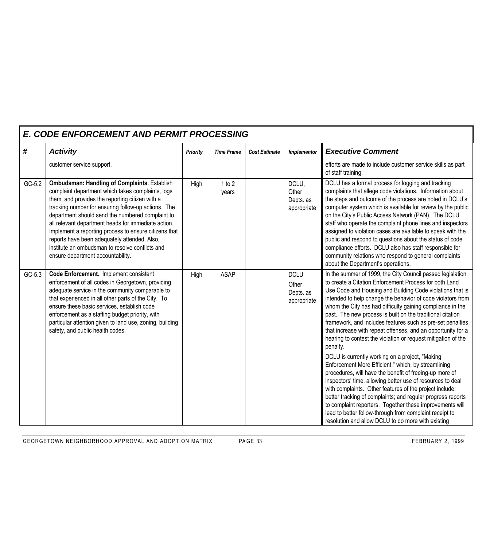|        | <b>E. CODE ENFORCEMENT AND PERMIT PROCESSING</b>                                                                                                                                                                                                                                                                                                                                                                                                                                                                               |                 |                   |                      |                                                  |                                                                                                                                                                                                                                                                                                                                                                                                                                                                                                                                                                                                                                                                                                                                                                                                                                                                                                                                                                                                                                                                                                                                   |  |  |  |  |  |
|--------|--------------------------------------------------------------------------------------------------------------------------------------------------------------------------------------------------------------------------------------------------------------------------------------------------------------------------------------------------------------------------------------------------------------------------------------------------------------------------------------------------------------------------------|-----------------|-------------------|----------------------|--------------------------------------------------|-----------------------------------------------------------------------------------------------------------------------------------------------------------------------------------------------------------------------------------------------------------------------------------------------------------------------------------------------------------------------------------------------------------------------------------------------------------------------------------------------------------------------------------------------------------------------------------------------------------------------------------------------------------------------------------------------------------------------------------------------------------------------------------------------------------------------------------------------------------------------------------------------------------------------------------------------------------------------------------------------------------------------------------------------------------------------------------------------------------------------------------|--|--|--|--|--|
| #      | <b>Activity</b>                                                                                                                                                                                                                                                                                                                                                                                                                                                                                                                | <b>Priority</b> | <b>Time Frame</b> | <b>Cost Estimate</b> | Implementor                                      | <b>Executive Comment</b>                                                                                                                                                                                                                                                                                                                                                                                                                                                                                                                                                                                                                                                                                                                                                                                                                                                                                                                                                                                                                                                                                                          |  |  |  |  |  |
|        | customer service support.                                                                                                                                                                                                                                                                                                                                                                                                                                                                                                      |                 |                   |                      |                                                  | efforts are made to include customer service skills as part<br>of staff training.                                                                                                                                                                                                                                                                                                                                                                                                                                                                                                                                                                                                                                                                                                                                                                                                                                                                                                                                                                                                                                                 |  |  |  |  |  |
| GC-5.2 | <b>Ombudsman: Handling of Complaints. Establish</b><br>complaint department which takes complaints, logs<br>them, and provides the reporting citizen with a<br>tracking number for ensuring follow-up actions. The<br>department should send the numbered complaint to<br>all relevant department heads for immediate action.<br>Implement a reporting process to ensure citizens that<br>reports have been adequately attended. Also,<br>institute an ombudsman to resolve conflicts and<br>ensure department accountability. | High            | 1 to 2<br>years   |                      | DCLU,<br>Other<br>Depts. as<br>appropriate       | DCLU has a formal process for logging and tracking<br>complaints that allege code violations. Information about<br>the steps and outcome of the process are noted in DCLU's<br>computer system which is available for review by the public<br>on the City's Public Access Network (PAN). The DCLU<br>staff who operate the complaint phone lines and inspectors<br>assigned to violation cases are available to speak with the<br>public and respond to questions about the status of code<br>compliance efforts. DCLU also has staff responsible for<br>community relations who respond to general complaints<br>about the Department's operations.                                                                                                                                                                                                                                                                                                                                                                                                                                                                              |  |  |  |  |  |
| GC-5.3 | Code Enforcement. Implement consistent<br>enforcement of all codes in Georgetown, providing<br>adequate service in the community comparable to<br>that experienced in all other parts of the City. To<br>ensure these basic services, establish code<br>enforcement as a staffing budget priority, with<br>particular attention given to land use, zoning, building<br>safety, and public health codes.                                                                                                                        | High            | <b>ASAP</b>       |                      | <b>DCLU</b><br>Other<br>Depts. as<br>appropriate | In the summer of 1999, the City Council passed legislation<br>to create a Citation Enforcement Process for both Land<br>Use Code and Housing and Building Code violations that is<br>intended to help change the behavior of code violators from<br>whom the City has had difficulty gaining compliance in the<br>past. The new process is built on the traditional citation<br>framework, and includes features such as pre-set penalties<br>that increase with repeat offenses, and an opportunity for a<br>hearing to contest the violation or request mitigation of the<br>penalty.<br>DCLU is currently working on a project, "Making<br>Enforcement More Efficient," which, by streamlining<br>procedures, will have the benefit of freeing-up more of<br>inspectors' time, allowing better use of resources to deal<br>with complaints. Other features of the project include:<br>better tracking of complaints; and regular progress reports<br>to complaint reporters. Together these improvements will<br>lead to better follow-through from complaint receipt to<br>resolution and allow DCLU to do more with existing |  |  |  |  |  |

GEORGETOWN NEIGHBORHOOD APPROVAL AND ADOPTION MATRIX PAGE 33 FEBRUARY 2, 1999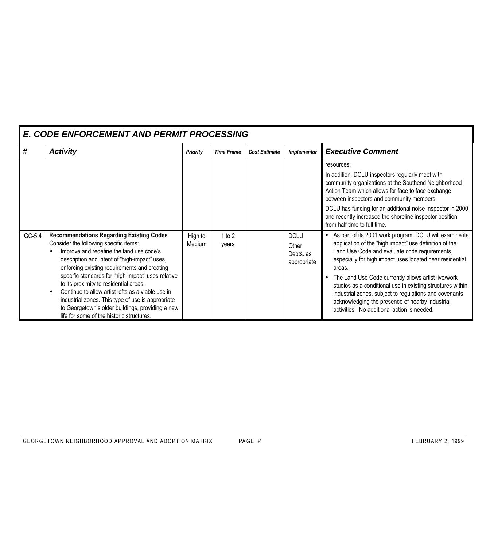|        | <b>E. CODE ENFORCEMENT AND PERMIT PROCESSING</b>                                                                                                                                                                                                                                                                                                                                                                                                                                                                                                   |                   |                     |                      |                                                  |                                                                                                                                                                                                                                                                                                                                                                                                                                                                                                                           |
|--------|----------------------------------------------------------------------------------------------------------------------------------------------------------------------------------------------------------------------------------------------------------------------------------------------------------------------------------------------------------------------------------------------------------------------------------------------------------------------------------------------------------------------------------------------------|-------------------|---------------------|----------------------|--------------------------------------------------|---------------------------------------------------------------------------------------------------------------------------------------------------------------------------------------------------------------------------------------------------------------------------------------------------------------------------------------------------------------------------------------------------------------------------------------------------------------------------------------------------------------------------|
| #      | <b>Activity</b>                                                                                                                                                                                                                                                                                                                                                                                                                                                                                                                                    | <b>Priority</b>   | <b>Time Frame</b>   | <b>Cost Estimate</b> | Implementor                                      | <b>Executive Comment</b>                                                                                                                                                                                                                                                                                                                                                                                                                                                                                                  |
|        |                                                                                                                                                                                                                                                                                                                                                                                                                                                                                                                                                    |                   |                     |                      |                                                  | resources.<br>In addition, DCLU inspectors regularly meet with<br>community organizations at the Southend Neighborhood<br>Action Team which allows for face to face exchange<br>between inspectors and community members.<br>DCLU has funding for an additional noise inspector in 2000<br>and recently increased the shoreline inspector position<br>from half time to full time.                                                                                                                                        |
| GC-5.4 | <b>Recommendations Regarding Existing Codes.</b><br>Consider the following specific items:<br>Improve and redefine the land use code's<br>description and intent of "high-impact" uses,<br>enforcing existing requirements and creating<br>specific standards for "high-impact" uses relative<br>to its proximity to residential areas.<br>Continue to allow artist lofts as a viable use in<br>industrial zones. This type of use is appropriate<br>to Georgetown's older buildings, providing a new<br>life for some of the historic structures. | High to<br>Medium | $1$ to $2$<br>years |                      | <b>DCLU</b><br>Other<br>Depts. as<br>appropriate | As part of its 2001 work program, DCLU will examine its<br>application of the "high impact" use definition of the<br>Land Use Code and evaluate code requirements,<br>especially for high impact uses located near residential<br>areas.<br>The Land Use Code currently allows artist live/work<br>studios as a conditional use in existing structures within<br>industrial zones, subject to regulations and covenants<br>acknowledging the presence of nearby industrial<br>activities. No additional action is needed. |

#### GEORGETOWN NEIGHBORHOOD APPROVAL AND ADOPTION MATRIX PAGE 34 FEBRUARY 2, 1999

 $\overline{\phantom{a}}$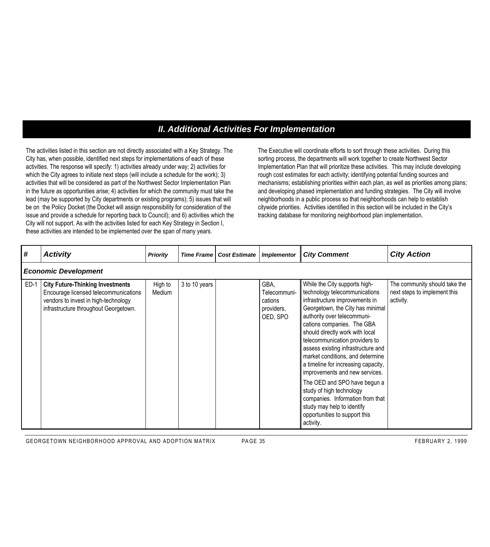## *II. Additional Activities For Implementation*

The activities listed in this section are not directly associated with a Key Strategy. The City has, when possible, identified next steps for implementations of each of these activities. The response will specify: 1) activities already under way; 2) activities for which the City agrees to initiate next steps (will include a schedule for the work); 3) activities that will be considered as part of the Northwest Sector Implementation Plan in the future as opportunities arise; 4) activities for which the community must take the lead (may be supported by City departments or existing programs); 5) issues that will be on the Policy Docket (the Docket will assign responsibility for consideration of the issue and provide a schedule for reporting back to Council); and 6) activities which the City will not support. As with the activities listed for each Key Strategy in Section I, these activities are intended to be implemented over the span of many years.

The Executive will coordinate efforts to sort through these activities. During this sorting process, the departments will work together to create Northwest Sector Implementation Plan that will prioritize these activities. This may include developing rough cost estimates for each activity; identifying potential funding sources and mechanisms; establishing priorities within each plan, as well as priorities among plans; and developing phased implementation and funding strategies. The City will involve neighborhoods in a public process so that neighborhoods can help to establish citywide priorities. Activities identified in this section will be included in the City's tracking database for monitoring neighborhood plan implementation.

| #      | <b>Activity</b>                                                                                                                                                   | <b>Priority</b>   | <b>Time Frame</b> | <b>Cost Estimate</b> | <b>Implementor</b>                                        | <b>City Comment</b>                                                                                                                                                                                                                                                                                                                                                                                                                                                                                                                                                                                   | <b>City Action</b>                                                         |  |  |  |  |  |  |
|--------|-------------------------------------------------------------------------------------------------------------------------------------------------------------------|-------------------|-------------------|----------------------|-----------------------------------------------------------|-------------------------------------------------------------------------------------------------------------------------------------------------------------------------------------------------------------------------------------------------------------------------------------------------------------------------------------------------------------------------------------------------------------------------------------------------------------------------------------------------------------------------------------------------------------------------------------------------------|----------------------------------------------------------------------------|--|--|--|--|--|--|
|        | <b>Economic Development</b>                                                                                                                                       |                   |                   |                      |                                                           |                                                                                                                                                                                                                                                                                                                                                                                                                                                                                                                                                                                                       |                                                                            |  |  |  |  |  |  |
| $ED-1$ | <b>City Future-Thinking Investments</b><br>Encourage licensed telecommunications<br>vendors to invest in high-technology<br>infrastructure throughout Georgetown. | High to<br>Medium | 3 to 10 years     |                      | GBA.<br>Telecommuni-<br>cations<br>providers,<br>OED, SPO | While the City supports high-<br>technology telecommunications<br>infrastructure improvements in<br>Georgetown, the City has minimal<br>authority over telecommuni-<br>cations companies. The GBA<br>should directly work with local<br>telecommunication providers to<br>assess existing infrastructure and<br>market conditions, and determine<br>a timeline for increasing capacity,<br>improvements and new services.<br>The OED and SPO have begun a<br>study of high technology<br>companies. Information from that<br>study may help to identify<br>opportunities to support this<br>activity. | The community should take the<br>next steps to implement this<br>activity. |  |  |  |  |  |  |

GEORGETOWN NEIGHBORHOOD APPROVAL AND ADOPTION MATRIX PAGE 35 FEBRUARY 2, 1999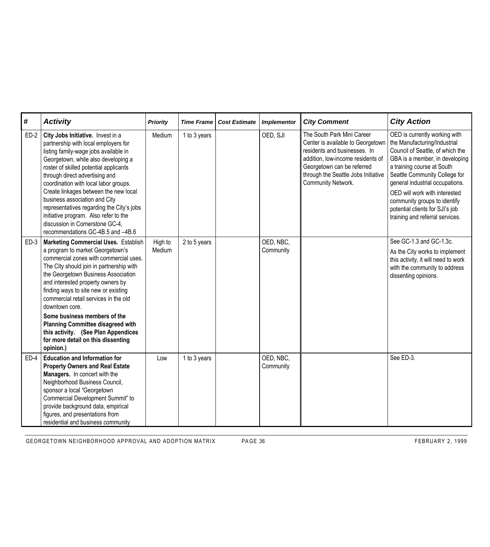| #      | <b>Activity</b>                                                                                                                                                                                                                                                                                                                                                                                                                                                                                                            | <b>Priority</b>   | <b>Time Frame</b> | <b>Cost Estimate</b> | <b>Implementor</b>     | <b>City Comment</b>                                                                                                                                                                                                             | <b>City Action</b>                                                                                                                                                                                                                                                                                                                                                           |
|--------|----------------------------------------------------------------------------------------------------------------------------------------------------------------------------------------------------------------------------------------------------------------------------------------------------------------------------------------------------------------------------------------------------------------------------------------------------------------------------------------------------------------------------|-------------------|-------------------|----------------------|------------------------|---------------------------------------------------------------------------------------------------------------------------------------------------------------------------------------------------------------------------------|------------------------------------------------------------------------------------------------------------------------------------------------------------------------------------------------------------------------------------------------------------------------------------------------------------------------------------------------------------------------------|
| $ED-2$ | City Jobs Initiative. Invest in a<br>partnership with local employers for<br>listing family-wage jobs available in<br>Georgetown, while also developing a<br>roster of skilled potential applicants<br>through direct advertising and<br>coordination with local labor groups.<br>Create linkages between the new local<br>business association and City<br>representatives regarding the City's jobs<br>initiative program. Also refer to the<br>discussion in Cornerstone GC-4,<br>recommendations GC-4B.5 and -4B.6     | Medium            | 1 to 3 years      |                      | OED, SJI               | The South Park Mini Career<br>Center is available to Georgetown<br>residents and businesses. In<br>addition, low-income residents of<br>Georgetown can be referred<br>through the Seattle Jobs Initiative<br>Community Network. | OED is currently working with<br>the Manufacturing/Industrial<br>Council of Seattle, of which the<br>GBA is a member, in developing<br>a training course at South<br>Seattle Community College for<br>general industrial occupations.<br>OED will work with interested<br>community groups to identify<br>potential clients for SJI's job<br>training and referral services. |
| $ED-3$ | <b>Marketing Commercial Uses. Establish</b><br>a program to market Georgetown's<br>commercial zones with commercial uses.<br>The City should join in partnership with<br>the Georgetown Business Association<br>and interested property owners by<br>finding ways to site new or existing<br>commercial retail services in the old<br>downtown core.<br>Some business members of the<br><b>Planning Committee disagreed with</b><br>this activity. (See Plan Appendices<br>for more detail on this dissenting<br>opinion.) | High to<br>Medium | 2 to 5 years      |                      | OED, NBC,<br>Community |                                                                                                                                                                                                                                 | See GC-1.3 and GC-1.3c.<br>As the City works to implement<br>this activity, it will need to work<br>with the community to address<br>dissenting opinions.                                                                                                                                                                                                                    |
| $ED-4$ | <b>Education and Information for</b><br><b>Property Owners and Real Estate</b><br>Managers. In concert with the<br>Neighborhood Business Council,<br>sponsor a local "Georgetown<br>Commercial Development Summit" to<br>provide background data, empirical<br>figures, and presentations from<br>residential and business community                                                                                                                                                                                       | Low               | 1 to 3 years      |                      | OED, NBC,<br>Community |                                                                                                                                                                                                                                 | See ED-3.                                                                                                                                                                                                                                                                                                                                                                    |

GEORGETOWN NEIGHBORHOOD APPROVAL AND ADOPTION MATRIX PAGE 36 FEBRUARY 2, 1999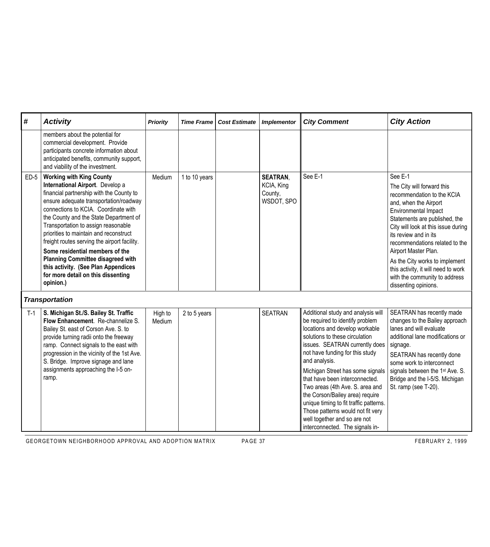| #      | <b>Activity</b>                                                                                                                                                                                                                                                                                                                                                                                                                                                                                                                                       | <b>Priority</b>   | <b>Time Frame</b> | <b>Cost Estimate</b> | <b>Implementor</b>                                     | <b>City Comment</b>                                                                                                                                                                                                                                                                                                                                                                                                                                                                                                           | <b>City Action</b>                                                                                                                                                                                                                                                                                                                                                                                                |
|--------|-------------------------------------------------------------------------------------------------------------------------------------------------------------------------------------------------------------------------------------------------------------------------------------------------------------------------------------------------------------------------------------------------------------------------------------------------------------------------------------------------------------------------------------------------------|-------------------|-------------------|----------------------|--------------------------------------------------------|-------------------------------------------------------------------------------------------------------------------------------------------------------------------------------------------------------------------------------------------------------------------------------------------------------------------------------------------------------------------------------------------------------------------------------------------------------------------------------------------------------------------------------|-------------------------------------------------------------------------------------------------------------------------------------------------------------------------------------------------------------------------------------------------------------------------------------------------------------------------------------------------------------------------------------------------------------------|
|        | members about the potential for<br>commercial development. Provide<br>participants concrete information about<br>anticipated benefits, community support,<br>and viability of the investment.                                                                                                                                                                                                                                                                                                                                                         |                   |                   |                      |                                                        |                                                                                                                                                                                                                                                                                                                                                                                                                                                                                                                               |                                                                                                                                                                                                                                                                                                                                                                                                                   |
| $ED-5$ | <b>Working with King County</b><br>International Airport. Develop a<br>financial partnership with the County to<br>ensure adequate transportation/roadway<br>connections to KCIA. Coordinate with<br>the County and the State Department of<br>Transportation to assign reasonable<br>priorities to maintain and reconstruct<br>freight routes serving the airport facility.<br>Some residential members of the<br><b>Planning Committee disagreed with</b><br>this activity. (See Plan Appendices<br>for more detail on this dissenting<br>opinion.) | Medium            | 1 to 10 years     |                      | <b>SEATRAN,</b><br>KCIA, King<br>County,<br>WSDOT, SPO | See E-1                                                                                                                                                                                                                                                                                                                                                                                                                                                                                                                       | See E-1<br>The City will forward this<br>recommendation to the KCIA<br>and, when the Airport<br>Environmental Impact<br>Statements are published, the<br>City will look at this issue during<br>its review and in its<br>recommendations related to the<br>Airport Master Plan.<br>As the City works to implement<br>this activity, it will need to work<br>with the community to address<br>dissenting opinions. |
|        | <b>Transportation</b>                                                                                                                                                                                                                                                                                                                                                                                                                                                                                                                                 |                   |                   |                      |                                                        |                                                                                                                                                                                                                                                                                                                                                                                                                                                                                                                               |                                                                                                                                                                                                                                                                                                                                                                                                                   |
| $T-1$  | S. Michigan St./S. Bailey St. Traffic<br>Flow Enhancement. Re-channelize S.<br>Bailey St. east of Corson Ave. S. to<br>provide turning radii onto the freeway<br>ramp. Connect signals to the east with<br>progression in the vicinity of the 1st Ave.<br>S. Bridge. Improve signage and lane<br>assignments approaching the I-5 on-<br>ramp.                                                                                                                                                                                                         | High to<br>Medium | 2 to 5 years      |                      | <b>SEATRAN</b>                                         | Additional study and analysis will<br>be required to identify problem<br>locations and develop workable<br>solutions to these circulation<br>issues. SEATRAN currently does<br>not have funding for this study<br>and analysis.<br>Michigan Street has some signals<br>that have been interconnected.<br>Two areas (4th Ave. S. area and<br>the Corson/Bailey area) require<br>unique timing to fit traffic patterns.<br>Those patterns would not fit very<br>well together and so are not<br>interconnected. The signals in- | SEATRAN has recently made<br>changes to the Bailey approach<br>lanes and will evaluate<br>additional lane modifications or<br>signage.<br>SEATRAN has recently done<br>some work to interconnect<br>signals between the 1 <sup>st</sup> Ave. S.<br>Bridge and the I-5/S. Michigan<br>St. ramp (see T-20).                                                                                                         |

GEORGETOWN NEIGHBORHOOD APPROVAL AND ADOPTION MATRIX PAGE 37 FEBRUARY 2, 1999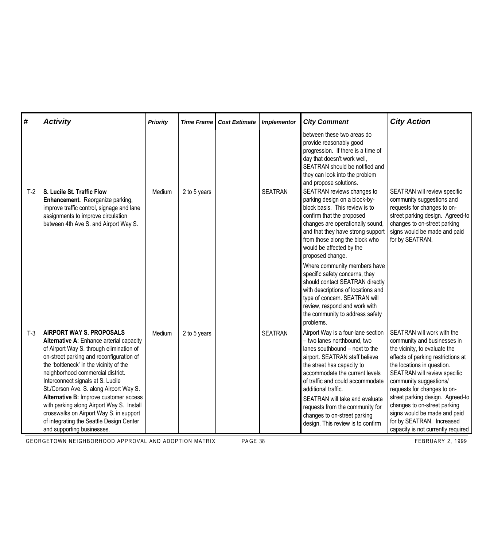| #     | <b>Activity</b>                                                                                                                                                                                                                                                                                                                                                                                                                                                                                                                                 | <b>Priority</b> | <b>Time Frame</b> | <b>Cost Estimate</b> | <b>Implementor</b> | <b>City Comment</b>                                                                                                                                                                                                                                                                                                                                                                                                                                                                                                                                | <b>City Action</b>                                                                                                                                                                                                                                                                                                                                                                                                             |
|-------|-------------------------------------------------------------------------------------------------------------------------------------------------------------------------------------------------------------------------------------------------------------------------------------------------------------------------------------------------------------------------------------------------------------------------------------------------------------------------------------------------------------------------------------------------|-----------------|-------------------|----------------------|--------------------|----------------------------------------------------------------------------------------------------------------------------------------------------------------------------------------------------------------------------------------------------------------------------------------------------------------------------------------------------------------------------------------------------------------------------------------------------------------------------------------------------------------------------------------------------|--------------------------------------------------------------------------------------------------------------------------------------------------------------------------------------------------------------------------------------------------------------------------------------------------------------------------------------------------------------------------------------------------------------------------------|
|       |                                                                                                                                                                                                                                                                                                                                                                                                                                                                                                                                                 |                 |                   |                      |                    | between these two areas do<br>provide reasonably good<br>progression. If there is a time of<br>day that doesn't work well,<br>SEATRAN should be notified and<br>they can look into the problem<br>and propose solutions.                                                                                                                                                                                                                                                                                                                           |                                                                                                                                                                                                                                                                                                                                                                                                                                |
| $T-2$ | S. Lucile St. Traffic Flow<br>Enhancement. Reorganize parking,<br>improve traffic control, signage and lane<br>assignments to improve circulation<br>between 4th Ave S. and Airport Way S.                                                                                                                                                                                                                                                                                                                                                      | Medium          | 2 to 5 years      |                      | <b>SEATRAN</b>     | SEATRAN reviews changes to<br>parking design on a block-by-<br>block basis. This review is to<br>confirm that the proposed<br>changes are operationally sound,<br>and that they have strong support<br>from those along the block who<br>would be affected by the<br>proposed change.<br>Where community members have<br>specific safety concerns, they<br>should contact SEATRAN directly<br>with descriptions of locations and<br>type of concern. SEATRAN will<br>review, respond and work with<br>the community to address safety<br>problems. | SEATRAN will review specific<br>community suggestions and<br>requests for changes to on-<br>street parking design. Agreed-to<br>changes to on-street parking<br>signs would be made and paid<br>for by SEATRAN.                                                                                                                                                                                                                |
| $T-3$ | <b>AIRPORT WAY S. PROPOSALS</b><br>Alternative A: Enhance arterial capacity<br>of Airport Way S. through elimination of<br>on-street parking and reconfiguration of<br>the 'bottleneck' in the vicinity of the<br>neighborhood commercial district.<br>Interconnect signals at S. Lucile<br>St./Corson Ave. S. along Airport Way S.<br>Alternative B: Improve customer access<br>with parking along Airport Way S. Install<br>crosswalks on Airport Way S. in support<br>of integrating the Seattle Design Center<br>and supporting businesses. | Medium          | 2 to 5 years      |                      | <b>SEATRAN</b>     | Airport Way is a four-lane section<br>- two lanes northbound, two<br>lanes southbound - next to the<br>airport. SEATRAN staff believe<br>the street has capacity to<br>accommodate the current levels<br>of traffic and could accommodate<br>additional traffic.<br>SEATRAN will take and evaluate<br>requests from the community for<br>changes to on-street parking<br>design. This review is to confirm                                                                                                                                         | SEATRAN will work with the<br>community and businesses in<br>the vicinity, to evaluate the<br>effects of parking restrictions at<br>the locations in question.<br>SEATRAN will review specific<br>community suggestions/<br>requests for changes to on-<br>street parking design. Agreed-to<br>changes to on-street parking<br>signs would be made and paid<br>for by SEATRAN. Increased<br>capacity is not currently required |

GEORGETOWN NEIGHBORHOOD APPROVAL AND ADOPTION MATRIX PAGE 38 FEBRUARY 2, 1999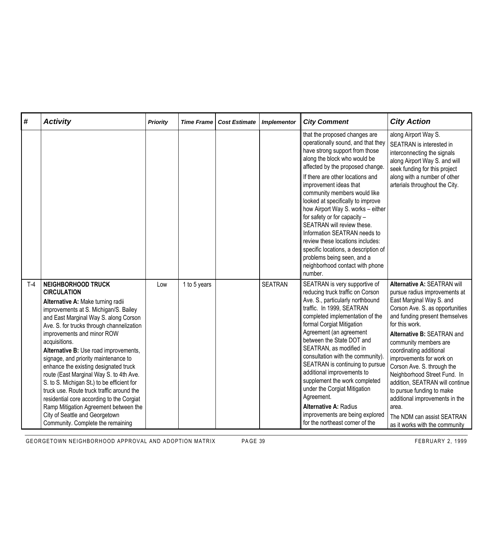| #     | <b>Activity</b>                                                                                                                                                                                                                                                                                                                                                                                                                                                                                                                                                                                                                                                                                 | <b>Priority</b> | <b>Time Frame</b> | <b>Cost Estimate</b> | <b>Implementor</b> | <b>City Comment</b>                                                                                                                                                                                                                                                                                                                                                                                                                                                                                                                                                                                     | <b>City Action</b>                                                                                                                                                                                                                                                                                                                                                                                                                                                                                                                     |
|-------|-------------------------------------------------------------------------------------------------------------------------------------------------------------------------------------------------------------------------------------------------------------------------------------------------------------------------------------------------------------------------------------------------------------------------------------------------------------------------------------------------------------------------------------------------------------------------------------------------------------------------------------------------------------------------------------------------|-----------------|-------------------|----------------------|--------------------|---------------------------------------------------------------------------------------------------------------------------------------------------------------------------------------------------------------------------------------------------------------------------------------------------------------------------------------------------------------------------------------------------------------------------------------------------------------------------------------------------------------------------------------------------------------------------------------------------------|----------------------------------------------------------------------------------------------------------------------------------------------------------------------------------------------------------------------------------------------------------------------------------------------------------------------------------------------------------------------------------------------------------------------------------------------------------------------------------------------------------------------------------------|
|       |                                                                                                                                                                                                                                                                                                                                                                                                                                                                                                                                                                                                                                                                                                 |                 |                   |                      |                    | that the proposed changes are<br>operationally sound, and that they<br>have strong support from those<br>along the block who would be<br>affected by the proposed change.<br>If there are other locations and<br>improvement ideas that<br>community members would like<br>looked at specifically to improve<br>how Airport Way S. works - either<br>for safety or for capacity -<br>SEATRAN will review these.<br>Information SEATRAN needs to<br>review these locations includes:<br>specific locations, a description of<br>problems being seen, and a<br>neighborhood contact with phone<br>number. | along Airport Way S.<br>SEATRAN is interested in<br>interconnecting the signals<br>along Airport Way S. and will<br>seek funding for this project<br>along with a number of other<br>arterials throughout the City.                                                                                                                                                                                                                                                                                                                    |
| $T-4$ | <b>NEIGHBORHOOD TRUCK</b><br><b>CIRCULATION</b><br>Alternative A: Make turning radii<br>improvements at S. Michigan/S. Bailey<br>and East Marginal Way S. along Corson<br>Ave. S. for trucks through channelization<br>improvements and minor ROW<br>acquisitions.<br>Alternative B: Use road improvements,<br>signage, and priority maintenance to<br>enhance the existing designated truck<br>route (East Marginal Way S. to 4th Ave.<br>S. to S. Michigan St.) to be efficient for<br>truck use. Route truck traffic around the<br>residential core according to the Corgiat<br>Ramp Mitigation Agreement between the<br>City of Seattle and Georgetown<br>Community. Complete the remaining | Low             | 1 to 5 years      |                      | <b>SEATRAN</b>     | SEATRAN is very supportive of<br>reducing truck traffic on Corson<br>Ave. S., particularly northbound<br>traffic. In 1999, SEATRAN<br>completed implementation of the<br>formal Corgiat Mitigation<br>Agreement (an agreement<br>between the State DOT and<br>SEATRAN, as modified in<br>consultation with the community).<br>SEATRAN is continuing to pursue<br>additional improvements to<br>supplement the work completed<br>under the Corgiat Mitigation<br>Agreement.<br><b>Alternative A: Radius</b><br>improvements are being explored<br>for the northeast corner of the                        | Alternative A: SEATRAN will<br>pursue radius improvements at<br>East Marginal Way S. and<br>Corson Ave. S. as opportunities<br>and funding present themselves<br>for this work.<br>Alternative B: SEATRAN and<br>community members are<br>coordinating additional<br>improvements for work on<br>Corson Ave. S. through the<br>Neighborhood Street Fund. In<br>addition, SEATRAN will continue<br>to pursue funding to make<br>additional improvements in the<br>area.<br>The NDM can assist SEATRAN<br>as it works with the community |

GEORGETOWN NEIGHBORHOOD APPROVAL AND ADOPTION MATRIX PAGE 39 FEBRUARY 2, 1999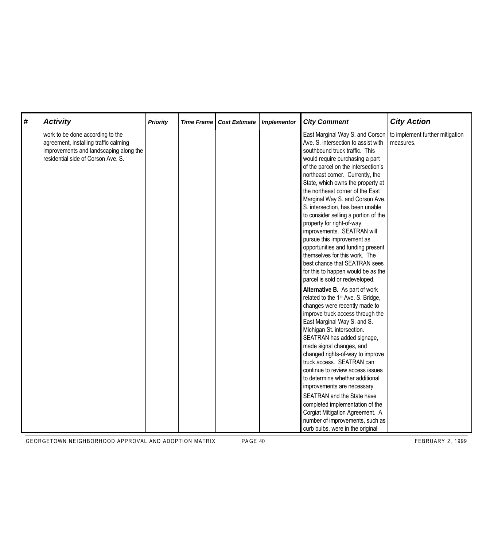| # | <b>Activity</b>                                                                                                                                           | <b>Priority</b> | <b>Time Frame</b> | <b>Cost Estimate</b> | <b>Implementor</b> | <b>City Comment</b>                                                                                                                                                                                                                                                                                                                                                                                                                                                                                                                                                                                                                                                                                                                                                                                                                                                                                                                                                                                                                                                                                                                                                                                            | <b>City Action</b>                           |
|---|-----------------------------------------------------------------------------------------------------------------------------------------------------------|-----------------|-------------------|----------------------|--------------------|----------------------------------------------------------------------------------------------------------------------------------------------------------------------------------------------------------------------------------------------------------------------------------------------------------------------------------------------------------------------------------------------------------------------------------------------------------------------------------------------------------------------------------------------------------------------------------------------------------------------------------------------------------------------------------------------------------------------------------------------------------------------------------------------------------------------------------------------------------------------------------------------------------------------------------------------------------------------------------------------------------------------------------------------------------------------------------------------------------------------------------------------------------------------------------------------------------------|----------------------------------------------|
|   | work to be done according to the<br>agreement, installing traffic calming<br>improvements and landscaping along the<br>residential side of Corson Ave. S. |                 |                   |                      |                    | East Marginal Way S. and Corson<br>Ave. S. intersection to assist with<br>southbound truck traffic. This<br>would require purchasing a part<br>of the parcel on the intersection's<br>northeast corner. Currently, the<br>State, which owns the property at<br>the northeast corner of the East<br>Marginal Way S. and Corson Ave.<br>S. intersection, has been unable<br>to consider selling a portion of the<br>property for right-of-way<br>improvements. SEATRAN will<br>pursue this improvement as<br>opportunities and funding present<br>themselves for this work. The<br>best chance that SEATRAN sees<br>for this to happen would be as the<br>parcel is sold or redeveloped.<br>Alternative B. As part of work<br>related to the 1 <sup>st</sup> Ave. S. Bridge,<br>changes were recently made to<br>improve truck access through the<br>East Marginal Way S. and S.<br>Michigan St. intersection.<br>SEATRAN has added signage,<br>made signal changes, and<br>changed rights-of-way to improve<br>truck access. SEATRAN can<br>continue to review access issues<br>to determine whether additional<br>improvements are necessary.<br>SEATRAN and the State have<br>completed implementation of the | to implement further mitigation<br>measures. |
|   |                                                                                                                                                           |                 |                   |                      |                    | Corgiat Mitigation Agreement. A<br>number of improvements, such as<br>curb bulbs, were in the original                                                                                                                                                                                                                                                                                                                                                                                                                                                                                                                                                                                                                                                                                                                                                                                                                                                                                                                                                                                                                                                                                                         |                                              |

GEORGETOWN NEIGHBORHOOD APPROVAL AND ADOPTION MATRIX PAGE 40 FEBRUARY 2, 1999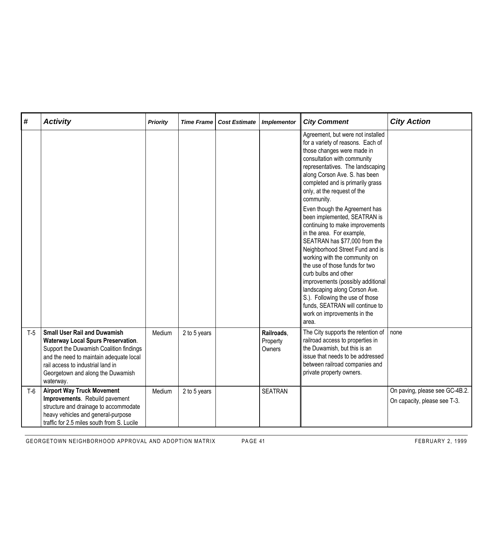| #     | <b>Activity</b>                                                                                                                                                                                                                                               | <b>Priority</b> | <b>Time Frame</b> | <b>Cost Estimate</b> | <b>Implementor</b>               | <b>City Comment</b>                                                                                                                                                                                                                                                                                                                                                                                                                                                              | <b>City Action</b>                                             |
|-------|---------------------------------------------------------------------------------------------------------------------------------------------------------------------------------------------------------------------------------------------------------------|-----------------|-------------------|----------------------|----------------------------------|----------------------------------------------------------------------------------------------------------------------------------------------------------------------------------------------------------------------------------------------------------------------------------------------------------------------------------------------------------------------------------------------------------------------------------------------------------------------------------|----------------------------------------------------------------|
|       |                                                                                                                                                                                                                                                               |                 |                   |                      |                                  | Agreement, but were not installed<br>for a variety of reasons. Each of<br>those changes were made in<br>consultation with community<br>representatives. The landscaping<br>along Corson Ave. S. has been<br>completed and is primarily grass<br>only, at the request of the<br>community.                                                                                                                                                                                        |                                                                |
|       |                                                                                                                                                                                                                                                               |                 |                   |                      |                                  | Even though the Agreement has<br>been implemented, SEATRAN is<br>continuing to make improvements<br>in the area. For example,<br>SEATRAN has \$77,000 from the<br>Neighborhood Street Fund and is<br>working with the community on<br>the use of those funds for two<br>curb bulbs and other<br>improvements (possibly additional<br>landscaping along Corson Ave.<br>S.). Following the use of those<br>funds, SEATRAN will continue to<br>work on improvements in the<br>area. |                                                                |
| $T-5$ | <b>Small User Rail and Duwamish</b><br><b>Waterway Local Spurs Preservation.</b><br>Support the Duwamish Coalition findings<br>and the need to maintain adequate local<br>rail access to industrial land in<br>Georgetown and along the Duwamish<br>waterway. | Medium          | 2 to 5 years      |                      | Railroads,<br>Property<br>Owners | The City supports the retention of<br>railroad access to properties in<br>the Duwamish, but this is an<br>issue that needs to be addressed<br>between railroad companies and<br>private property owners.                                                                                                                                                                                                                                                                         | I none                                                         |
| $T-6$ | <b>Airport Way Truck Movement</b><br>Improvements. Rebuild pavement<br>structure and drainage to accommodate<br>heavy vehicles and general-purpose<br>traffic for 2.5 miles south from S. Lucile                                                              | Medium          | 2 to 5 years      |                      | <b>SEATRAN</b>                   |                                                                                                                                                                                                                                                                                                                                                                                                                                                                                  | On paving, please see GC-4B.2.<br>On capacity, please see T-3. |

GEORGETOWN NEIGHBORHOOD APPROVAL AND ADOPTION MATRIX PAGE 41 FEBRUARY 2, 1999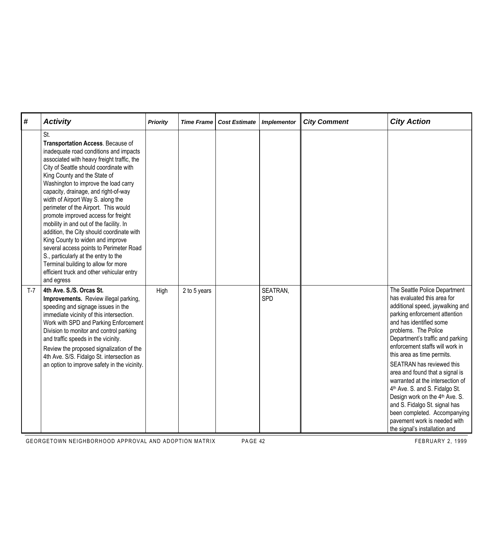| #     | <b>Activity</b>                                                                                                                                                                                                                                                                                                                                                                                                                                                                                                                                                                                                                                                                                                                 | <b>Priority</b> | <b>Time Frame</b> | <b>Cost Estimate</b> | <b>Implementor</b> | <b>City Comment</b> | <b>City Action</b>                                                                                                                                                                                                                                                                                                                                                                                                                                                                                                                                                                                  |
|-------|---------------------------------------------------------------------------------------------------------------------------------------------------------------------------------------------------------------------------------------------------------------------------------------------------------------------------------------------------------------------------------------------------------------------------------------------------------------------------------------------------------------------------------------------------------------------------------------------------------------------------------------------------------------------------------------------------------------------------------|-----------------|-------------------|----------------------|--------------------|---------------------|-----------------------------------------------------------------------------------------------------------------------------------------------------------------------------------------------------------------------------------------------------------------------------------------------------------------------------------------------------------------------------------------------------------------------------------------------------------------------------------------------------------------------------------------------------------------------------------------------------|
|       | St.<br>Transportation Access. Because of<br>inadequate road conditions and impacts<br>associated with heavy freight traffic, the<br>City of Seattle should coordinate with<br>King County and the State of<br>Washington to improve the load carry<br>capacity, drainage, and right-of-way<br>width of Airport Way S. along the<br>perimeter of the Airport. This would<br>promote improved access for freight<br>mobility in and out of the facility. In<br>addition, the City should coordinate with<br>King County to widen and improve<br>several access points to Perimeter Road<br>S., particularly at the entry to the<br>Terminal building to allow for more<br>efficient truck and other vehicular entry<br>and egress |                 |                   |                      |                    |                     |                                                                                                                                                                                                                                                                                                                                                                                                                                                                                                                                                                                                     |
| $T-7$ | 4th Ave. S./S. Orcas St.<br>Improvements. Review illegal parking,<br>speeding and signage issues in the<br>immediate vicinity of this intersection.<br>Work with SPD and Parking Enforcement<br>Division to monitor and control parking<br>and traffic speeds in the vicinity.<br>Review the proposed signalization of the<br>4th Ave. S/S. Fidalgo St. intersection as<br>an option to improve safety in the vicinity.                                                                                                                                                                                                                                                                                                         | High            | 2 to 5 years      |                      | SEATRAN,<br>SPD    |                     | The Seattle Police Department<br>has evaluated this area for<br>additional speed, jaywalking and<br>parking enforcement attention<br>and has identified some<br>problems. The Police<br>Department's traffic and parking<br>enforcement staffs will work in<br>this area as time permits.<br>SEATRAN has reviewed this<br>area and found that a signal is<br>warranted at the intersection of<br>4th Ave. S. and S. Fidalgo St.<br>Design work on the 4th Ave. S.<br>and S. Fidalgo St. signal has<br>been completed. Accompanying<br>pavement work is needed with<br>the signal's installation and |

GEORGETOWN NEIGHBORHOOD APPROVAL AND ADOPTION MATRIX PAGE 42 PA PA CHANGE AND RESPONDENTLY A 1999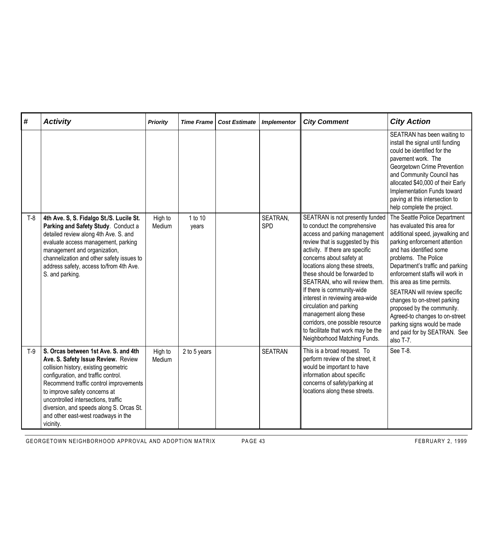| #     | <b>Activity</b>                                                                                                                                                                                                                                                                                                                                                               | <b>Priority</b>   | <b>Time Frame</b> | <b>Cost Estimate</b> | <b>Implementor</b>     | <b>City Comment</b>                                                                                                                                                                                                                                                                                                                                                                                                                                                                                                                     | <b>City Action</b>                                                                                                                                                                                                                                                                                                                                                                                                                                                                                    |
|-------|-------------------------------------------------------------------------------------------------------------------------------------------------------------------------------------------------------------------------------------------------------------------------------------------------------------------------------------------------------------------------------|-------------------|-------------------|----------------------|------------------------|-----------------------------------------------------------------------------------------------------------------------------------------------------------------------------------------------------------------------------------------------------------------------------------------------------------------------------------------------------------------------------------------------------------------------------------------------------------------------------------------------------------------------------------------|-------------------------------------------------------------------------------------------------------------------------------------------------------------------------------------------------------------------------------------------------------------------------------------------------------------------------------------------------------------------------------------------------------------------------------------------------------------------------------------------------------|
|       |                                                                                                                                                                                                                                                                                                                                                                               |                   |                   |                      |                        |                                                                                                                                                                                                                                                                                                                                                                                                                                                                                                                                         | SEATRAN has been waiting to<br>install the signal until funding<br>could be identified for the<br>pavement work. The<br>Georgetown Crime Prevention<br>and Community Council has<br>allocated \$40,000 of their Early<br>Implementation Funds toward<br>paving at this intersection to<br>help complete the project.                                                                                                                                                                                  |
| $T-8$ | 4th Ave. S, S. Fidalgo St./S. Lucile St.<br>Parking and Safety Study. Conduct a<br>detailed review along 4th Ave. S. and<br>evaluate access management, parking<br>management and organization,<br>channelization and other safety issues to<br>address safety, access to/from 4th Ave.<br>S. and parking.                                                                    | High to<br>Medium | 1 to 10<br>years  |                      | SEATRAN,<br><b>SPD</b> | SEATRAN is not presently funded<br>to conduct the comprehensive<br>access and parking management<br>review that is suggested by this<br>activity. If there are specific<br>concerns about safety at<br>locations along these streets,<br>these should be forwarded to<br>SEATRAN, who will review them.<br>If there is community-wide<br>interest in reviewing area-wide<br>circulation and parking<br>management along these<br>corridors, one possible resource<br>to facilitate that work may be the<br>Neighborhood Matching Funds. | The Seattle Police Department<br>has evaluated this area for<br>additional speed, jaywalking and<br>parking enforcement attention<br>and has identified some<br>problems. The Police<br>Department's traffic and parking<br>enforcement staffs will work in<br>this area as time permits.<br>SEATRAN will review specific<br>changes to on-street parking<br>proposed by the community.<br>Agreed-to changes to on-street<br>parking signs would be made<br>and paid for by SEATRAN. See<br>also T-7. |
| $T-9$ | S. Orcas between 1st Ave. S. and 4th<br>Ave. S. Safety Issue Review. Review<br>collision history, existing geometric<br>configuration, and traffic control.<br>Recommend traffic control improvements<br>to improve safety concerns at<br>uncontrolled intersections, traffic<br>diversion, and speeds along S. Orcas St.<br>and other east-west roadways in the<br>vicinity. | High to<br>Medium | 2 to 5 years      |                      | <b>SEATRAN</b>         | This is a broad request. To<br>perform review of the street, it<br>would be important to have<br>information about specific<br>concerns of safety/parking at<br>locations along these streets.                                                                                                                                                                                                                                                                                                                                          | See T-8.                                                                                                                                                                                                                                                                                                                                                                                                                                                                                              |

GEORGETOWN NEIGHBORHOOD APPROVAL AND ADOPTION MATRIX PAGE 43 FEBRUARY 2, 1999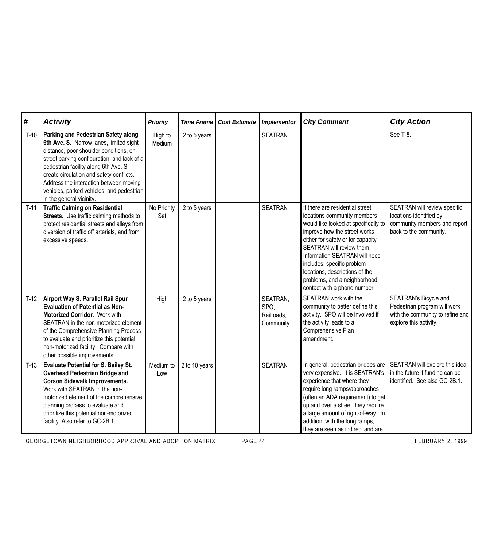| $\sharp$ | <b>Activity</b>                                                                                                                                                                                                                                                                                                                                                                  | <b>Priority</b>    | <b>Time Frame</b> | <b>Cost Estimate</b> | <b>Implementor</b>                          | <b>City Comment</b>                                                                                                                                                                                                                                                                                                                                                           | <b>City Action</b>                                                                                                  |
|----------|----------------------------------------------------------------------------------------------------------------------------------------------------------------------------------------------------------------------------------------------------------------------------------------------------------------------------------------------------------------------------------|--------------------|-------------------|----------------------|---------------------------------------------|-------------------------------------------------------------------------------------------------------------------------------------------------------------------------------------------------------------------------------------------------------------------------------------------------------------------------------------------------------------------------------|---------------------------------------------------------------------------------------------------------------------|
| $T-10$   | Parking and Pedestrian Safety along<br>6th Ave. S. Narrow lanes, limited sight<br>distance, poor shoulder conditions, on-<br>street parking configuration, and lack of a<br>pedestrian facility along 6th Ave. S.<br>create circulation and safety conflicts.<br>Address the interaction between moving<br>vehicles, parked vehicles, and pedestrian<br>in the general vicinity. | High to<br>Medium  | 2 to 5 years      |                      | <b>SEATRAN</b>                              |                                                                                                                                                                                                                                                                                                                                                                               | See T-8.                                                                                                            |
| $T-11$   | <b>Traffic Calming on Residential</b><br>Streets. Use traffic calming methods to<br>protect residential streets and alleys from<br>diversion of traffic off arterials, and from<br>excessive speeds.                                                                                                                                                                             | No Priority<br>Set | 2 to 5 years      |                      | <b>SEATRAN</b>                              | If there are residential street<br>locations community members<br>would like looked at specifically to<br>improve how the street works -<br>either for safety or for capacity -<br>SEATRAN will review them.<br>Information SEATRAN will need<br>includes: specific problem<br>locations, descriptions of the<br>problems, and a neighborhood<br>contact with a phone number. | SEATRAN will review specific<br>locations identified by<br>community members and report<br>back to the community.   |
| $T-12$   | Airport Way S. Parallel Rail Spur<br><b>Evaluation of Potential as Non-</b><br>Motorized Corridor. Work with<br>SEATRAN in the non-motorized element<br>of the Comprehensive Planning Process<br>to evaluate and prioritize this potential<br>non-motorized facility. Compare with<br>other possible improvements.                                                               | High               | 2 to 5 years      |                      | SEATRAN,<br>SPO,<br>Railroads,<br>Community | SEATRAN work with the<br>community to better define this<br>activity. SPO will be involved if<br>the activity leads to a<br>Comprehensive Plan<br>amendment.                                                                                                                                                                                                                  | SEATRAN's Bicycle and<br>Pedestrian program will work<br>with the community to refine and<br>explore this activity. |
| $T-13$   | <b>Evaluate Potential for S. Bailey St.</b><br><b>Overhead Pedestrian Bridge and</b><br><b>Corson Sidewalk Improvements.</b><br>Work with SEATRAN in the non-<br>motorized element of the comprehensive<br>planning process to evaluate and<br>prioritize this potential non-motorized<br>facility. Also refer to GC-2B.1.                                                       | Medium to<br>Low   | 2 to 10 years     |                      | <b>SEATRAN</b>                              | In general, pedestrian bridges are<br>very expensive. It is SEATRAN's<br>experience that where they<br>require long ramps/approaches<br>(often an ADA requirement) to get<br>up and over a street, they require<br>a large amount of right-of-way. In<br>addition, with the long ramps,<br>they are seen as indirect and are                                                  | SEATRAN will explore this idea<br>in the future if funding can be<br>identified. See also GC-2B.1.                  |

GEORGETOWN NEIGHBORHOOD APPROVAL AND ADOPTION MATRIX PAGE 44 FEBRUARY 2, 1999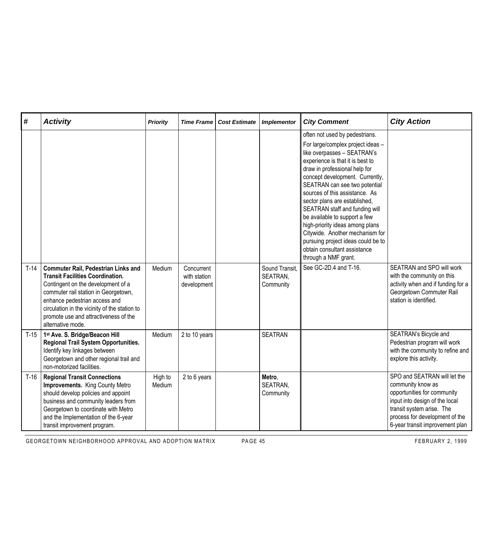| #      | <b>Activity</b>                                                                                                                                                                                                                                                                                                     | <b>Priority</b>   | <b>Time Frame</b>                         | <b>Cost Estimate</b> | <b>Implementor</b>                      | <b>City Comment</b>                                                                                                                                                                                                                                                                                                                                                                                                                                                                                                                                   | <b>City Action</b>                                                                                                                                                                                                   |
|--------|---------------------------------------------------------------------------------------------------------------------------------------------------------------------------------------------------------------------------------------------------------------------------------------------------------------------|-------------------|-------------------------------------------|----------------------|-----------------------------------------|-------------------------------------------------------------------------------------------------------------------------------------------------------------------------------------------------------------------------------------------------------------------------------------------------------------------------------------------------------------------------------------------------------------------------------------------------------------------------------------------------------------------------------------------------------|----------------------------------------------------------------------------------------------------------------------------------------------------------------------------------------------------------------------|
|        |                                                                                                                                                                                                                                                                                                                     |                   |                                           |                      |                                         | often not used by pedestrians.<br>For large/complex project ideas -<br>like overpasses - SEATRAN's<br>experience is that it is best to<br>draw in professional help for<br>concept development. Currently,<br>SEATRAN can see two potential<br>sources of this assistance. As<br>sector plans are established,<br>SEATRAN staff and funding will<br>be available to support a few<br>high-priority ideas among plans<br>Citywide. Another mechanism for<br>pursuing project ideas could be to<br>obtain consultant assistance<br>through a NMF grant. |                                                                                                                                                                                                                      |
| $T-14$ | <b>Commuter Rail, Pedestrian Links and</b><br><b>Transit Facilities Coordination.</b><br>Contingent on the development of a<br>commuter rail station in Georgetown,<br>enhance pedestrian access and<br>circulation in the vicinity of the station to<br>promote use and attractiveness of the<br>alternative mode. | Medium            | Concurrent<br>with station<br>development |                      | Sound Transit,<br>SEATRAN,<br>Community | See GC-2D.4 and T-16.                                                                                                                                                                                                                                                                                                                                                                                                                                                                                                                                 | SEATRAN and SPO will work<br>with the community on this<br>activity when and if funding for a<br>Georgetown Commuter Rail<br>station is identified.                                                                  |
| $T-15$ | 1st Ave. S. Bridge/Beacon Hill<br>Regional Trail System Opportunities.<br>Identify key linkages between<br>Georgetown and other regional trail and<br>non-motorized facilities.                                                                                                                                     | Medium            | 2 to 10 years                             |                      | <b>SEATRAN</b>                          |                                                                                                                                                                                                                                                                                                                                                                                                                                                                                                                                                       | SEATRAN's Bicycle and<br>Pedestrian program will work<br>with the community to refine and<br>explore this activity.                                                                                                  |
| $T-16$ | <b>Regional Transit Connections</b><br>Improvements. King County Metro<br>should develop policies and appoint<br>business and community leaders from<br>Georgetown to coordinate with Metro<br>and the Implementation of the 6-year<br>transit improvement program.                                                 | High to<br>Medium | 2 to 6 years                              |                      | Metro,<br>SEATRAN,<br>Community         |                                                                                                                                                                                                                                                                                                                                                                                                                                                                                                                                                       | SPO and SEATRAN will let the<br>community know as<br>opportunities for community<br>input into design of the local<br>transit system arise. The<br>process for development of the<br>6-year transit improvement plan |

GEORGETOWN NEIGHBORHOOD APPROVAL AND ADOPTION MATRIX PAGE 45 FEBRUARY 2, 1999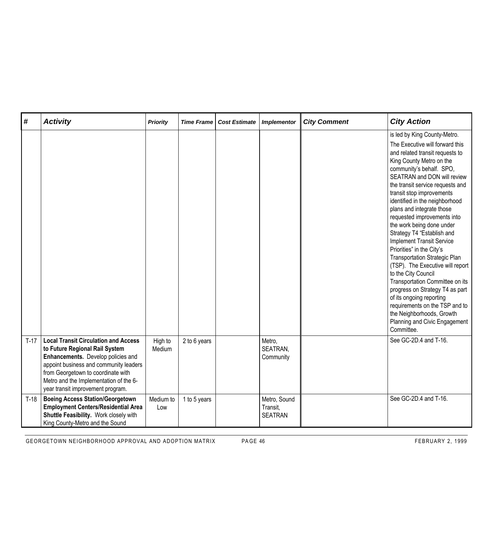| #      | <b>Activity</b>                                                                                                                                                                                                                                                                    | <b>Priority</b>   | <b>Time Frame</b> | <b>Cost Estimate</b> | <b>Implementor</b>                         | <b>City Comment</b> | <b>City Action</b>                                                                                                                                                                                                                                                                                                                                                                                                                                                                                                                                                                                                                                                                                                                                                                                      |
|--------|------------------------------------------------------------------------------------------------------------------------------------------------------------------------------------------------------------------------------------------------------------------------------------|-------------------|-------------------|----------------------|--------------------------------------------|---------------------|---------------------------------------------------------------------------------------------------------------------------------------------------------------------------------------------------------------------------------------------------------------------------------------------------------------------------------------------------------------------------------------------------------------------------------------------------------------------------------------------------------------------------------------------------------------------------------------------------------------------------------------------------------------------------------------------------------------------------------------------------------------------------------------------------------|
|        |                                                                                                                                                                                                                                                                                    |                   |                   |                      |                                            |                     | is led by King County-Metro.<br>The Executive will forward this<br>and related transit requests to<br>King County Metro on the<br>community's behalf. SPO,<br>SEATRAN and DON will review<br>the transit service requests and<br>transit stop improvements<br>identified in the neighborhood<br>plans and integrate those<br>requested improvements into<br>the work being done under<br>Strategy T4 "Establish and<br><b>Implement Transit Service</b><br>Priorities" in the City's<br><b>Transportation Strategic Plan</b><br>(TSP). The Executive will report<br>to the City Council<br>Transportation Committee on its<br>progress on Strategy T4 as part<br>of its ongoing reporting<br>requirements on the TSP and to<br>the Neighborhoods, Growth<br>Planning and Civic Engagement<br>Committee. |
| $T-17$ | <b>Local Transit Circulation and Access</b><br>to Future Regional Rail System<br>Enhancements. Develop policies and<br>appoint business and community leaders<br>from Georgetown to coordinate with<br>Metro and the Implementation of the 6-<br>year transit improvement program. | High to<br>Medium | 2 to 6 years      |                      | Metro,<br>SEATRAN,<br>Community            |                     | See GC-2D.4 and T-16.                                                                                                                                                                                                                                                                                                                                                                                                                                                                                                                                                                                                                                                                                                                                                                                   |
| $T-18$ | <b>Boeing Access Station/Georgetown</b><br><b>Employment Centers/Residential Area</b><br>Shuttle Feasibility. Work closely with<br>King County-Metro and the Sound                                                                                                                 | Medium to<br>Low  | 1 to 5 years      |                      | Metro, Sound<br>Transit,<br><b>SEATRAN</b> |                     | See GC-2D.4 and T-16.                                                                                                                                                                                                                                                                                                                                                                                                                                                                                                                                                                                                                                                                                                                                                                                   |

GEORGETOWN NEIGHBORHOOD APPROVAL AND ADOPTION MATRIX PAGE 46 FEBRUARY 2, 1999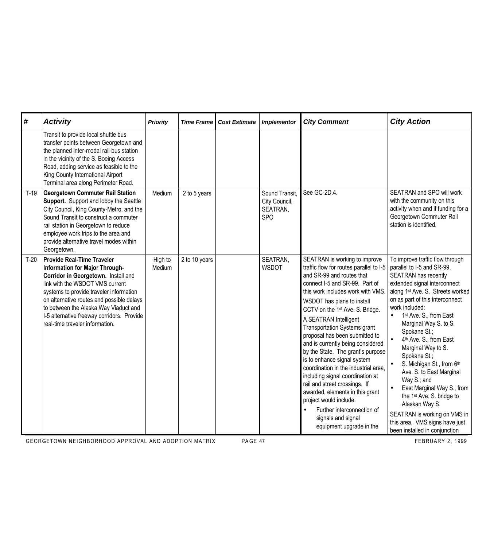| #      | <b>Activity</b>                                                                                                                                                                                                                                                                                                                                                 | <b>Priority</b>   | <b>Time Frame</b> | <b>Cost Estimate</b> | <b>Implementor</b>                                        | <b>City Comment</b>                                                                                                                                                                                                                                                                                                                                                                                                                                                                                                                                                                                                                                                                                               | <b>City Action</b>                                                                                                                                                                                                                                                                                                                                                                                                                                                                                                                                                                                                                                         |
|--------|-----------------------------------------------------------------------------------------------------------------------------------------------------------------------------------------------------------------------------------------------------------------------------------------------------------------------------------------------------------------|-------------------|-------------------|----------------------|-----------------------------------------------------------|-------------------------------------------------------------------------------------------------------------------------------------------------------------------------------------------------------------------------------------------------------------------------------------------------------------------------------------------------------------------------------------------------------------------------------------------------------------------------------------------------------------------------------------------------------------------------------------------------------------------------------------------------------------------------------------------------------------------|------------------------------------------------------------------------------------------------------------------------------------------------------------------------------------------------------------------------------------------------------------------------------------------------------------------------------------------------------------------------------------------------------------------------------------------------------------------------------------------------------------------------------------------------------------------------------------------------------------------------------------------------------------|
|        | Transit to provide local shuttle bus<br>transfer points between Georgetown and<br>the planned inter-modal rail-bus station<br>in the vicinity of the S. Boeing Access<br>Road, adding service as feasible to the<br>King County International Airport<br>Terminal area along Perimeter Road.                                                                    |                   |                   |                      |                                                           |                                                                                                                                                                                                                                                                                                                                                                                                                                                                                                                                                                                                                                                                                                                   |                                                                                                                                                                                                                                                                                                                                                                                                                                                                                                                                                                                                                                                            |
| $T-19$ | <b>Georgetown Commuter Rail Station</b><br>Support. Support and lobby the Seattle<br>City Council, King County-Metro, and the<br>Sound Transit to construct a commuter<br>rail station in Georgetown to reduce<br>employee work trips to the area and<br>provide alternative travel modes within<br>Georgetown.                                                 | Medium            | 2 to 5 years      |                      | Sound Transit,<br>City Council,<br>SEATRAN,<br><b>SPO</b> | See GC-2D.4.                                                                                                                                                                                                                                                                                                                                                                                                                                                                                                                                                                                                                                                                                                      | <b>SEATRAN and SPO will work</b><br>with the community on this<br>activity when and if funding for a<br>Georgetown Commuter Rail<br>station is identified.                                                                                                                                                                                                                                                                                                                                                                                                                                                                                                 |
| $T-20$ | <b>Provide Real-Time Traveler</b><br>Information for Major Through-<br>Corridor in Georgetown. Install and<br>link with the WSDOT VMS current<br>systems to provide traveler information<br>on alternative routes and possible delays<br>to between the Alaska Way Viaduct and<br>I-5 alternative freeway corridors. Provide<br>real-time traveler information. | High to<br>Medium | 2 to 10 years     |                      | SEATRAN,<br><b>WSDOT</b>                                  | SEATRAN is working to improve<br>traffic flow for routes parallel to I-5<br>and SR-99 and routes that<br>connect I-5 and SR-99. Part of<br>this work includes work with VMS<br>WSDOT has plans to install<br>CCTV on the 1st Ave. S. Bridge.<br>A SEATRAN Intelligent<br><b>Transportation Systems grant</b><br>proposal has been submitted to<br>and is currently being considered<br>by the State. The grant's purpose<br>is to enhance signal system<br>coordination in the industrial area,<br>including signal coordination at<br>rail and street crossings. If<br>awarded, elements in this grant<br>project would include:<br>Further interconnection of<br>signals and signal<br>equipment upgrade in the | To improve traffic flow through<br>parallel to I-5 and SR-99,<br>SEATRAN has recently<br>extended signal interconnect<br>along 1 <sup>st</sup> Ave. S. Streets worked<br>on as part of this interconnect<br>work included:<br>1 <sup>st</sup> Ave. S., from East<br>Marginal Way S. to S.<br>Spokane St.;<br>4th Ave. S., from East<br>$\bullet$<br>Marginal Way to S.<br>Spokane St.;<br>S. Michigan St., from 6th<br>Ave. S. to East Marginal<br>Way S.; and<br>East Marginal Way S., from<br>the 1 <sup>st</sup> Ave. S. bridge to<br>Alaskan Way S.<br>SEATRAN is working on VMS in<br>this area. VMS signs have just<br>been installed in conjunction |

GEORGETOWN NEIGHBORHOOD APPROVAL AND ADOPTION MATRIX PAGE 47 PAGE 47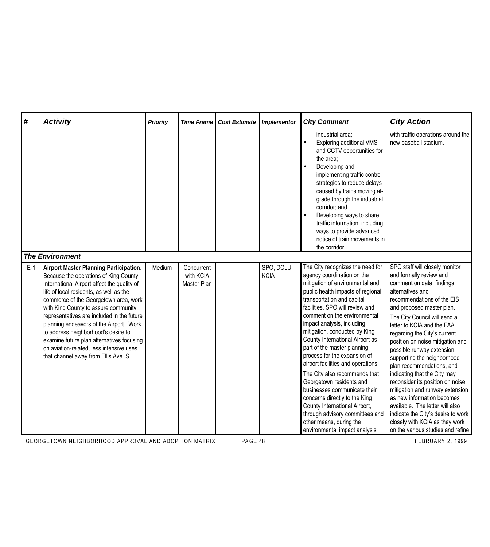| #     | <b>Activity</b>                                                                                                                                                                                                                                                                                                                                                                                                                                                                                                                    | <b>Priority</b> | <b>Time Frame</b>                      | <b>Cost Estimate</b> | <b>Implementor</b>        | <b>City Comment</b>                                                                                                                                                                                                                                                                                                                                                                                                                                                                                                                                                                                                                                                                                          | <b>City Action</b>                                                                                                                                                                                                                                                                                                                                                                                                                                                                                                                                                                                                                                                                      |
|-------|------------------------------------------------------------------------------------------------------------------------------------------------------------------------------------------------------------------------------------------------------------------------------------------------------------------------------------------------------------------------------------------------------------------------------------------------------------------------------------------------------------------------------------|-----------------|----------------------------------------|----------------------|---------------------------|--------------------------------------------------------------------------------------------------------------------------------------------------------------------------------------------------------------------------------------------------------------------------------------------------------------------------------------------------------------------------------------------------------------------------------------------------------------------------------------------------------------------------------------------------------------------------------------------------------------------------------------------------------------------------------------------------------------|-----------------------------------------------------------------------------------------------------------------------------------------------------------------------------------------------------------------------------------------------------------------------------------------------------------------------------------------------------------------------------------------------------------------------------------------------------------------------------------------------------------------------------------------------------------------------------------------------------------------------------------------------------------------------------------------|
|       |                                                                                                                                                                                                                                                                                                                                                                                                                                                                                                                                    |                 |                                        |                      |                           | industrial area;<br><b>Exploring additional VMS</b><br>and CCTV opportunities for<br>the area;<br>Developing and<br>implementing traffic control<br>strategies to reduce delays<br>caused by trains moving at-<br>grade through the industrial<br>corridor; and<br>Developing ways to share<br>traffic information, including<br>ways to provide advanced<br>notice of train movements in<br>the corridor.                                                                                                                                                                                                                                                                                                   | with traffic operations around the<br>new baseball stadium.                                                                                                                                                                                                                                                                                                                                                                                                                                                                                                                                                                                                                             |
|       | <b>The Environment</b>                                                                                                                                                                                                                                                                                                                                                                                                                                                                                                             |                 |                                        |                      |                           |                                                                                                                                                                                                                                                                                                                                                                                                                                                                                                                                                                                                                                                                                                              |                                                                                                                                                                                                                                                                                                                                                                                                                                                                                                                                                                                                                                                                                         |
| $E-1$ | <b>Airport Master Planning Participation.</b><br>Because the operations of King County<br>International Airport affect the quality of<br>life of local residents, as well as the<br>commerce of the Georgetown area, work<br>with King County to assure community<br>representatives are included in the future<br>planning endeavors of the Airport. Work<br>to address neighborhood's desire to<br>examine future plan alternatives focusing<br>on aviation-related, less intensive uses<br>that channel away from Ellis Ave. S. | Medium          | Concurrent<br>with KCIA<br>Master Plan |                      | SPO, DCLU,<br><b>KCIA</b> | The City recognizes the need for<br>agency coordination on the<br>mitigation of environmental and<br>public health impacts of regional<br>transportation and capital<br>facilities. SPO will review and<br>comment on the environmental<br>impact analysis, including<br>mitigation, conducted by King<br>County International Airport as<br>part of the master planning<br>process for the expansion of<br>airport facilities and operations.<br>The City also recommends that<br>Georgetown residents and<br>businesses communicate their<br>concerns directly to the King<br>County International Airport,<br>through advisory committees and<br>other means, during the<br>environmental impact analysis | SPO staff will closely monitor<br>and formally review and<br>comment on data, findings,<br>alternatives and<br>recommendations of the EIS<br>and proposed master plan.<br>The City Council will send a<br>letter to KCIA and the FAA<br>regarding the City's current<br>position on noise mitigation and<br>possible runway extension,<br>supporting the neighborhood<br>plan recommendations, and<br>indicating that the City may<br>reconsider its position on noise<br>mitigation and runway extension<br>as new information becomes<br>available. The letter will also<br>indicate the City's desire to work<br>closely with KCIA as they work<br>on the various studies and refine |

GEORGETOWN NEIGHBORHOOD APPROVAL AND ADOPTION MATRIX PAGE 48 FEBRUARY 2, 1999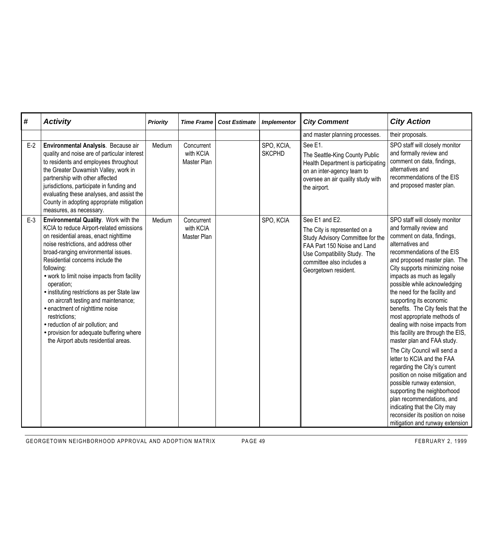| $\boldsymbol{\#}$ | <b>Activity</b>                                                                                                                                                                                                                                                                                                                                                                                                                                                                                                                                                                             | <b>Priority</b> | <b>Time Frame</b>                      | <b>Cost Estimate</b> | <b>Implementor</b>          | <b>City Comment</b>                                                                                                                                                                                    | <b>City Action</b>                                                                                                                                                                                                                                                                                                                                                                                                                                                                                                                                                                                                                                                                                                                                                            |
|-------------------|---------------------------------------------------------------------------------------------------------------------------------------------------------------------------------------------------------------------------------------------------------------------------------------------------------------------------------------------------------------------------------------------------------------------------------------------------------------------------------------------------------------------------------------------------------------------------------------------|-----------------|----------------------------------------|----------------------|-----------------------------|--------------------------------------------------------------------------------------------------------------------------------------------------------------------------------------------------------|-------------------------------------------------------------------------------------------------------------------------------------------------------------------------------------------------------------------------------------------------------------------------------------------------------------------------------------------------------------------------------------------------------------------------------------------------------------------------------------------------------------------------------------------------------------------------------------------------------------------------------------------------------------------------------------------------------------------------------------------------------------------------------|
|                   |                                                                                                                                                                                                                                                                                                                                                                                                                                                                                                                                                                                             |                 |                                        |                      |                             | and master planning processes.                                                                                                                                                                         | their proposals.                                                                                                                                                                                                                                                                                                                                                                                                                                                                                                                                                                                                                                                                                                                                                              |
| $E-2$             | Environmental Analysis. Because air<br>quality and noise are of particular interest<br>to residents and employees throughout<br>the Greater Duwamish Valley, work in<br>partnership with other affected<br>jurisdictions, participate in funding and<br>evaluating these analyses, and assist the<br>County in adopting appropriate mitigation<br>measures, as necessary.                                                                                                                                                                                                                   | Medium          | Concurrent<br>with KCIA<br>Master Plan |                      | SPO, KCIA,<br><b>SKCPHD</b> | See E1.<br>The Seattle-King County Public<br>Health Department is participating<br>on an inter-agency team to<br>oversee an air quality study with<br>the airport.                                     | SPO staff will closely monitor<br>and formally review and<br>comment on data, findings,<br>alternatives and<br>recommendations of the EIS<br>and proposed master plan.                                                                                                                                                                                                                                                                                                                                                                                                                                                                                                                                                                                                        |
| $E-3$             | Environmental Quality. Work with the<br>KCIA to reduce Airport-related emissions<br>on residential areas, enact nighttime<br>noise restrictions, and address other<br>broad-ranging environmental issues.<br>Residential concerns include the<br>following:<br>• work to limit noise impacts from facility<br>operation;<br>• instituting restrictions as per State law<br>on aircraft testing and maintenance;<br>• enactment of nighttime noise<br>restrictions;<br>· reduction of air pollution; and<br>• provision for adequate buffering where<br>the Airport abuts residential areas. | Medium          | Concurrent<br>with KCIA<br>Master Plan |                      | SPO, KCIA                   | See E1 and E2.<br>The City is represented on a<br>Study Advisory Committee for the<br>FAA Part 150 Noise and Land<br>Use Compatibility Study. The<br>committee also includes a<br>Georgetown resident. | SPO staff will closely monitor<br>and formally review and<br>comment on data, findings,<br>alternatives and<br>recommendations of the EIS<br>and proposed master plan. The<br>City supports minimizing noise<br>impacts as much as legally<br>possible while acknowledging<br>the need for the facility and<br>supporting its economic<br>benefits. The City feels that the<br>most appropriate methods of<br>dealing with noise impacts from<br>this facility are through the EIS,<br>master plan and FAA study.<br>The City Council will send a<br>letter to KCIA and the FAA<br>regarding the City's current<br>position on noise mitigation and<br>possible runway extension,<br>supporting the neighborhood<br>plan recommendations, and<br>indicating that the City may |

GEORGETOWN NEIGHBORHOOD APPROVAL AND ADOPTION MATRIX PAGE 49 FEBRUARY 2, 1999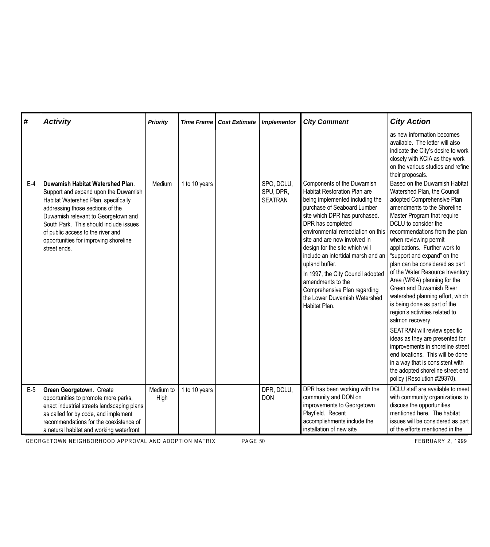| #     | <b>Activity</b>                                                                                                                                                                                                                                                                                                                     | <b>Priority</b>   | <b>Time Frame</b> | <b>Cost Estimate</b> | <b>Implementor</b>                        | <b>City Comment</b>                                                                                                                                                                                                                                                                                                                                                                                                                                                                          | <b>City Action</b>                                                                                                                                                                                                                                                                                                                                                                                                                                                                                                                                                                                                                                                                                                                                                                                                      |
|-------|-------------------------------------------------------------------------------------------------------------------------------------------------------------------------------------------------------------------------------------------------------------------------------------------------------------------------------------|-------------------|-------------------|----------------------|-------------------------------------------|----------------------------------------------------------------------------------------------------------------------------------------------------------------------------------------------------------------------------------------------------------------------------------------------------------------------------------------------------------------------------------------------------------------------------------------------------------------------------------------------|-------------------------------------------------------------------------------------------------------------------------------------------------------------------------------------------------------------------------------------------------------------------------------------------------------------------------------------------------------------------------------------------------------------------------------------------------------------------------------------------------------------------------------------------------------------------------------------------------------------------------------------------------------------------------------------------------------------------------------------------------------------------------------------------------------------------------|
|       |                                                                                                                                                                                                                                                                                                                                     |                   |                   |                      |                                           |                                                                                                                                                                                                                                                                                                                                                                                                                                                                                              | as new information becomes<br>available. The letter will also<br>indicate the City's desire to work<br>closely with KCIA as they work<br>on the various studies and refine<br>their proposals.                                                                                                                                                                                                                                                                                                                                                                                                                                                                                                                                                                                                                          |
| $E-4$ | Duwamish Habitat Watershed Plan.<br>Support and expand upon the Duwamish<br>Habitat Watershed Plan, specifically<br>addressing those sections of the<br>Duwamish relevant to Georgetown and<br>South Park. This should include issues<br>of public access to the river and<br>opportunities for improving shoreline<br>street ends. | Medium            | 1 to 10 years     |                      | SPO, DCLU,<br>SPU, DPR,<br><b>SEATRAN</b> | Components of the Duwamish<br>Habitat Restoration Plan are<br>being implemented including the<br>purchase of Seaboard Lumber<br>site which DPR has purchased.<br>DPR has completed<br>environmental remediation on this<br>site and are now involved in<br>design for the site which will<br>include an intertidal marsh and an<br>upland buffer.<br>In 1997, the City Council adopted<br>amendments to the<br>Comprehensive Plan regarding<br>the Lower Duwamish Watershed<br>Habitat Plan. | Based on the Duwamish Habitat<br>Watershed Plan, the Council<br>adopted Comprehensive Plan<br>amendments to the Shoreline<br>Master Program that require<br>DCLU to consider the<br>recommendations from the plan<br>when reviewing permit<br>applications. Further work to<br>"support and expand" on the<br>plan can be considered as part<br>of the Water Resource Inventory<br>Area (WRIA) planning for the<br>Green and Duwamish River<br>watershed planning effort, which<br>is being done as part of the<br>region's activities related to<br>salmon recovery.<br>SEATRAN will review specific<br>ideas as they are presented for<br>improvements in shoreline street<br>end locations. This will be done<br>in a way that is consistent with<br>the adopted shoreline street end<br>policy (Resolution #29370). |
| $E-5$ | Green Georgetown. Create<br>opportunities to promote more parks,<br>enact industrial streets landscaping plans<br>as called for by code, and implement<br>recommendations for the coexistence of<br>a natural habitat and working waterfront                                                                                        | Medium to<br>High | 1 to 10 years     |                      | DPR, DCLU,<br><b>DON</b>                  | DPR has been working with the<br>community and DON on<br>improvements to Georgetown<br>Playfield. Recent<br>accomplishments include the<br>installation of new site                                                                                                                                                                                                                                                                                                                          | DCLU staff are available to meet<br>with community organizations to<br>discuss the opportunities<br>mentioned here. The habitat<br>issues will be considered as part<br>of the efforts mentioned in the                                                                                                                                                                                                                                                                                                                                                                                                                                                                                                                                                                                                                 |

GEORGETOWN NEIGHBORHOOD APPROVAL AND ADOPTION MATRIX PAGE 50 FEBRUARY 2, 1999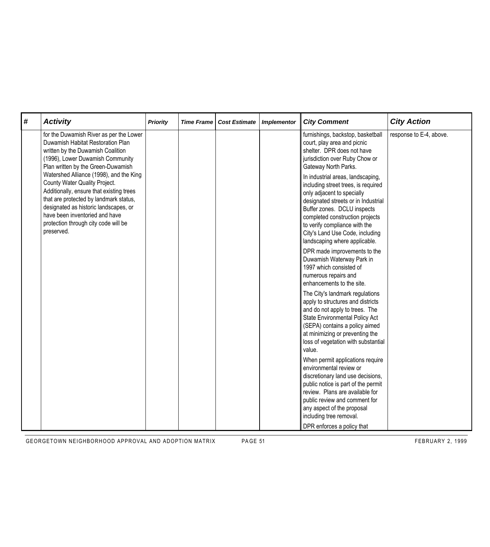| # | <b>Activity</b>                                                                                                                                                                                                                                                                                 | <b>Priority</b> | <b>Time Frame</b> | <b>Cost Estimate</b> | <b>Implementor</b> | <b>City Comment</b>                                                                                                                                                                                                                                                                                                                                                                                                                                               | <b>City Action</b>      |
|---|-------------------------------------------------------------------------------------------------------------------------------------------------------------------------------------------------------------------------------------------------------------------------------------------------|-----------------|-------------------|----------------------|--------------------|-------------------------------------------------------------------------------------------------------------------------------------------------------------------------------------------------------------------------------------------------------------------------------------------------------------------------------------------------------------------------------------------------------------------------------------------------------------------|-------------------------|
|   | for the Duwamish River as per the Lower<br>Duwamish Habitat Restoration Plan<br>written by the Duwamish Coalition<br>(1996), Lower Duwamish Community<br>Plan written by the Green-Duwamish                                                                                                     |                 |                   |                      |                    | furnishings, backstop, basketball<br>court, play area and picnic<br>shelter. DPR does not have<br>jurisdiction over Ruby Chow or<br>Gateway North Parks.                                                                                                                                                                                                                                                                                                          | response to E-4, above. |
|   | Watershed Alliance (1998), and the King<br>County Water Quality Project.<br>Additionally, ensure that existing trees<br>that are protected by landmark status,<br>designated as historic landscapes, or<br>have been inventoried and have<br>protection through city code will be<br>preserved. |                 |                   |                      |                    | In industrial areas, landscaping,<br>including street trees, is required<br>only adjacent to specially<br>designated streets or in Industrial<br>Buffer zones. DCLU inspects<br>completed construction projects<br>to verify compliance with the<br>City's Land Use Code, including<br>landscaping where applicable.<br>DPR made improvements to the<br>Duwamish Waterway Park in<br>1997 which consisted of<br>numerous repairs and<br>enhancements to the site. |                         |
|   |                                                                                                                                                                                                                                                                                                 |                 |                   |                      |                    | The City's landmark regulations<br>apply to structures and districts<br>and do not apply to trees. The<br>State Environmental Policy Act<br>(SEPA) contains a policy aimed<br>at minimizing or preventing the<br>loss of vegetation with substantial<br>value.                                                                                                                                                                                                    |                         |
|   |                                                                                                                                                                                                                                                                                                 |                 |                   |                      |                    | When permit applications require<br>environmental review or<br>discretionary land use decisions,<br>public notice is part of the permit<br>review. Plans are available for<br>public review and comment for<br>any aspect of the proposal<br>including tree removal.<br>DPR enforces a policy that                                                                                                                                                                |                         |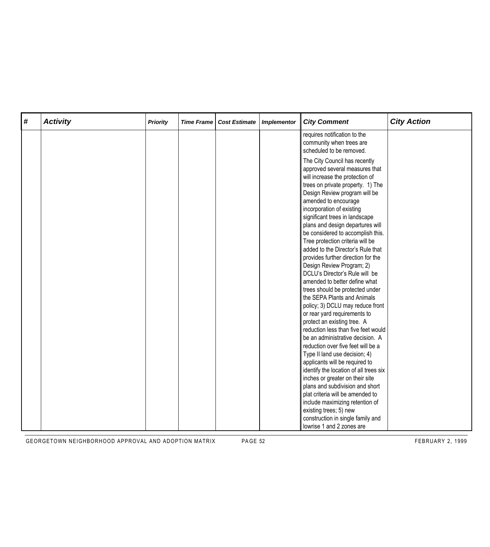| # | <b>Activity</b> | <b>Priority</b> | <b>Time Frame</b> | <b>Cost Estimate</b> | <b>Implementor</b> | <b>City Comment</b>                                                                                                                                                                                                                                                                                                                                                                                                                                                                                                                                                                                                                                                                                                                                                                                                                           | <b>City Action</b> |
|---|-----------------|-----------------|-------------------|----------------------|--------------------|-----------------------------------------------------------------------------------------------------------------------------------------------------------------------------------------------------------------------------------------------------------------------------------------------------------------------------------------------------------------------------------------------------------------------------------------------------------------------------------------------------------------------------------------------------------------------------------------------------------------------------------------------------------------------------------------------------------------------------------------------------------------------------------------------------------------------------------------------|--------------------|
|   |                 |                 |                   |                      |                    | requires notification to the<br>community when trees are<br>scheduled to be removed.                                                                                                                                                                                                                                                                                                                                                                                                                                                                                                                                                                                                                                                                                                                                                          |                    |
|   |                 |                 |                   |                      |                    | The City Council has recently<br>approved several measures that<br>will increase the protection of<br>trees on private property. 1) The<br>Design Review program will be<br>amended to encourage<br>incorporation of existing<br>significant trees in landscape<br>plans and design departures will<br>be considered to accomplish this.<br>Tree protection criteria will be<br>added to the Director's Rule that<br>provides further direction for the<br>Design Review Program; 2)<br>DCLU's Director's Rule will be<br>amended to better define what<br>trees should be protected under<br>the SEPA Plants and Animals<br>policy; 3) DCLU may reduce front<br>or rear yard requirements to<br>protect an existing tree. A<br>reduction less than five feet would<br>be an administrative decision. A<br>reduction over five feet will be a |                    |
|   |                 |                 |                   |                      |                    | Type II land use decision; 4)<br>applicants will be required to<br>identify the location of all trees six                                                                                                                                                                                                                                                                                                                                                                                                                                                                                                                                                                                                                                                                                                                                     |                    |
|   |                 |                 |                   |                      |                    | inches or greater on their site<br>plans and subdivision and short                                                                                                                                                                                                                                                                                                                                                                                                                                                                                                                                                                                                                                                                                                                                                                            |                    |
|   |                 |                 |                   |                      |                    | plat criteria will be amended to<br>include maximizing retention of<br>existing trees; 5) new                                                                                                                                                                                                                                                                                                                                                                                                                                                                                                                                                                                                                                                                                                                                                 |                    |
|   |                 |                 |                   |                      |                    | construction in single family and<br>lowrise 1 and 2 zones are                                                                                                                                                                                                                                                                                                                                                                                                                                                                                                                                                                                                                                                                                                                                                                                |                    |

GEORGETOWN NEIGHBORHOOD APPROVAL AND ADOPTION MATRIX PAGE 52 FEBRUARY 2, 1999